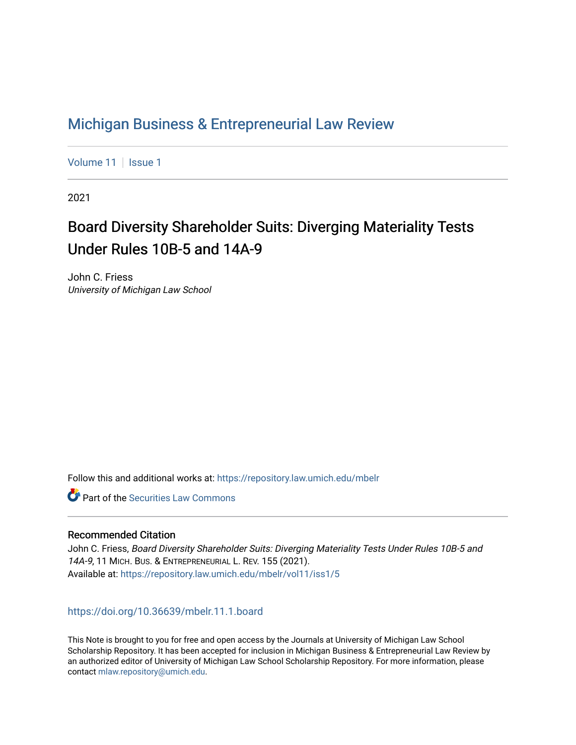# [Michigan Business & Entrepreneurial Law Review](https://repository.law.umich.edu/mbelr)

[Volume 11](https://repository.law.umich.edu/mbelr/vol11) | [Issue 1](https://repository.law.umich.edu/mbelr/vol11/iss1)

2021

# Board Diversity Shareholder Suits: Diverging Materiality Tests Under Rules 10B-5 and 14A-9

John C. Friess University of Michigan Law School

Follow this and additional works at: [https://repository.law.umich.edu/mbelr](https://repository.law.umich.edu/mbelr?utm_source=repository.law.umich.edu%2Fmbelr%2Fvol11%2Fiss1%2F5&utm_medium=PDF&utm_campaign=PDFCoverPages)

**C** Part of the Securities Law Commons

# Recommended Citation

John C. Friess, Board Diversity Shareholder Suits: Diverging Materiality Tests Under Rules 10B-5 and 14A-9, 11 MICH. BUS. & ENTREPRENEURIAL L. REV. 155 (2021). Available at: [https://repository.law.umich.edu/mbelr/vol11/iss1/5](https://repository.law.umich.edu/mbelr/vol11/iss1/5?utm_source=repository.law.umich.edu%2Fmbelr%2Fvol11%2Fiss1%2F5&utm_medium=PDF&utm_campaign=PDFCoverPages)

<https://doi.org/10.36639/mbelr.11.1.board>

This Note is brought to you for free and open access by the Journals at University of Michigan Law School Scholarship Repository. It has been accepted for inclusion in Michigan Business & Entrepreneurial Law Review by an authorized editor of University of Michigan Law School Scholarship Repository. For more information, please contact [mlaw.repository@umich.edu](mailto:mlaw.repository@umich.edu).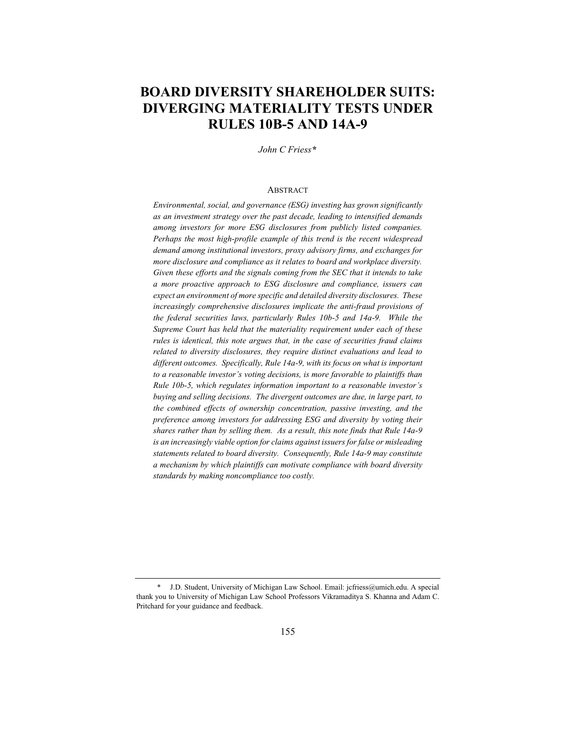# **BOARD DIVERSITY SHAREHOLDER SUITS: DIVERGING MATERIALITY TESTS UNDER RULES 10B-5 AND 14A-9**

*John C Friess\**

## **ABSTRACT**

*Environmental, social, and governance (ESG) investing has grown significantly as an investment strategy over the past decade, leading to intensified demands among investors for more ESG disclosures from publicly listed companies. Perhaps the most high-profile example of this trend is the recent widespread demand among institutional investors, proxy advisory firms, and exchanges for more disclosure and compliance as it relates to board and workplace diversity. Given these efforts and the signals coming from the SEC that it intends to take a more proactive approach to ESG disclosure and compliance, issuers can expect an environment of more specific and detailed diversity disclosures. These increasingly comprehensive disclosures implicate the anti-fraud provisions of the federal securities laws, particularly Rules 10b-5 and 14a-9. While the Supreme Court has held that the materiality requirement under each of these rules is identical, this note argues that, in the case of securities fraud claims related to diversity disclosures, they require distinct evaluations and lead to different outcomes. Specifically, Rule 14a-9, with its focus on what is important to a reasonable investor's voting decisions, is more favorable to plaintiffs than Rule 10b-5, which regulates information important to a reasonable investor's buying and selling decisions. The divergent outcomes are due, in large part, to the combined effects of ownership concentration, passive investing, and the preference among investors for addressing ESG and diversity by voting their shares rather than by selling them. As a result, this note finds that Rule 14a-9 is an increasingly viable option for claims against issuers for false or misleading statements related to board diversity. Consequently, Rule 14a-9 may constitute a mechanism by which plaintiffs can motivate compliance with board diversity standards by making noncompliance too costly.*

<sup>\*</sup> J.D. Student, University of Michigan Law School. Email: jcfriess@umich.edu. A special thank you to University of Michigan Law School Professors Vikramaditya S. Khanna and Adam C. Pritchard for your guidance and feedback.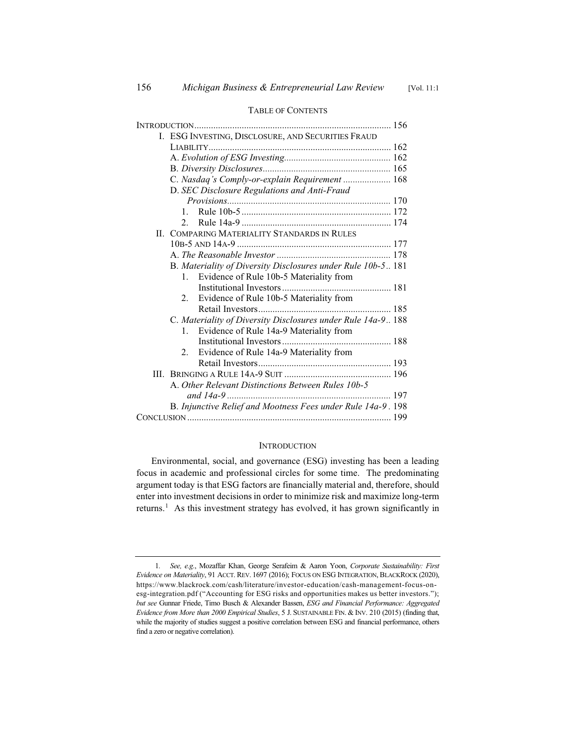TABLE OF CONTENTS

# INTRODUCTION................................................................................... 156 I. ESG INVESTING, DISCLOSURE, AND SECURITIES FRAUD LIABILITY............................................................................. 162 A. *Evolution of ESG Investing.............................................* 162 B. *Diversity Disclosures......................................................* 165 C. *Nasdaq's Comply-or-explain Requirement ....................* 168 D. *SEC Disclosure Regulations and Anti-Fraud Provisions.....................................................................* 170 1. Rule 10b-5 ............................................................... 172 2. Rule 14a-9 ............................................................... 174 II. COMPARING MATERIALITY STANDARDS IN RULES 10B-5 AND 14A-9 ................................................................. 177 A. *The Reasonable Investor ................................................* 178 B. *Materiality of Diversity Disclosures under Rule 10b-5..* 181 1. Evidence of Rule 10b-5 Materiality from Institutional Investors .............................................. 181 2. Evidence of Rule 10b-5 Materiality from Retail Investors........................................................ 185 C. *Materiality of Diversity Disclosures under Rule 14a-9..* 188 1. Evidence of Rule 14a-9 Materiality from Institutional Investors .............................................. 188 2. Evidence of Rule 14a-9 Materiality from Retail Investors........................................................ 193 III. BRINGING A RULE 14A-9 SUIT ............................................. 196 A. *Other Relevant Distinctions Between Rules 10b-5 and 14a-9 .....................................................................* 197 B. *Injunctive Relief and Mootness Fees under Rule 14a-9 .* 198 CONCLUSION ...................................................................................... 199

#### **INTRODUCTION**

Environmental, social, and governance (ESG) investing has been a leading focus in academic and professional circles for some time. The predominating argument today is that ESG factors are financially material and, therefore, should enter into investment decisions in order to minimize risk and maximize long-term returns.1 As this investment strategy has evolved, it has grown significantly in

<sup>1</sup>*. See, e.g.*, Mozaffar Khan, George Serafeim & Aaron Yoon, *Corporate Sustainability: First Evidence on Materiality*, 91 ACCT. REV. 1697 (2016); FOCUS ON ESG INTEGRATION, BLACKROCK (2020), https://www.blackrock.com/cash/literature/investor-education/cash-management-focus-onesg-integration.pdf ("Accounting for ESG risks and opportunities makes us better investors."); *but see* Gunnar Friede, Timo Busch & Alexander Bassen, *ESG and Financial Performance: Aggregated Evidence from More than 2000 Empirical Studies*, 5 J. SUSTAINABLE FIN.&INV. 210 (2015) (finding that, while the majority of studies suggest a positive correlation between ESG and financial performance, others find a zero or negative correlation).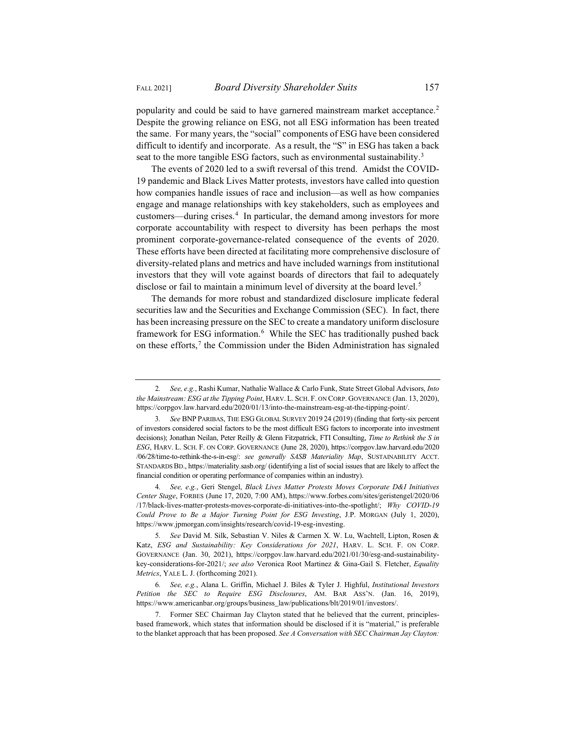popularity and could be said to have garnered mainstream market acceptance.<sup>2</sup> Despite the growing reliance on ESG, not all ESG information has been treated the same. For many years, the "social" components of ESG have been considered difficult to identify and incorporate. As a result, the "S" in ESG has taken a back seat to the more tangible ESG factors, such as environmental sustainability.<sup>3</sup>

The events of 2020 led to a swift reversal of this trend. Amidst the COVID-19 pandemic and Black Lives Matter protests, investors have called into question how companies handle issues of race and inclusion—as well as how companies engage and manage relationships with key stakeholders, such as employees and customers—during crises.<sup>4</sup> In particular, the demand among investors for more corporate accountability with respect to diversity has been perhaps the most prominent corporate-governance-related consequence of the events of 2020. These efforts have been directed at facilitating more comprehensive disclosure of diversity-related plans and metrics and have included warnings from institutional investors that they will vote against boards of directors that fail to adequately disclose or fail to maintain a minimum level of diversity at the board level.<sup>5</sup>

The demands for more robust and standardized disclosure implicate federal securities law and the Securities and Exchange Commission (SEC). In fact, there has been increasing pressure on the SEC to create a mandatory uniform disclosure framework for ESG information.<sup>6</sup> While the SEC has traditionally pushed back on these efforts, $\frac{7}{1}$  the Commission under the Biden Administration has signaled

<sup>2</sup>*. See, e.g.*, Rashi Kumar, Nathalie Wallace & Carlo Funk, State Street Global Advisors, *Into the Mainstream: ESG at the Tipping Point*, HARV. L. SCH. F. ON CORP. GOVERNANCE (Jan. 13, 2020), https://corpgov.law.harvard.edu/2020/01/13/into-the-mainstream-esg-at-the-tipping-point/.

<sup>3</sup>*. See* BNP PARIBAS, THE ESG GLOBAL SURVEY 2019 24 (2019) (finding that forty-six percent of investors considered social factors to be the most difficult ESG factors to incorporate into investment decisions); Jonathan Neilan, Peter Reilly & Glenn Fitzpatrick, FTI Consulting, *Time to Rethink the S in ESG*, HARV. L. SCH. F. ON CORP. GOVERNANCE (June 28, 2020), https://corpgov.law.harvard.edu/2020 /06/28/time-to-rethink-the-s-in-esg/: *see generally SASB Materiality Map*, SUSTAINABILITY ACCT. STANDARDS BD., https://materiality.sasb.org/ (identifying a list of social issues that are likely to affect the financial condition or operating performance of companies within an industry).

<sup>4</sup>*. See, e.g.*, Geri Stengel, *Black Lives Matter Protests Moves Corporate D&I Initiatives Center Stage*, FORBES (June 17, 2020, 7:00 AM), https://www.forbes.com/sites/geristengel/2020/06 /17/black-lives-matter-protests-moves-corporate-di-initiatives-into-the-spotlight/; *Why COVID-19 Could Prove to Be a Major Turning Point for ESG Investing*, J.P. MORGAN (July 1, 2020), https://www.jpmorgan.com/insights/research/covid-19-esg-investing.

<sup>5</sup>*. See* David M. Silk, Sebastian V. Niles & Carmen X. W. Lu, Wachtell, Lipton, Rosen & Katz, *ESG and Sustainability: Key Considerations for 2021*, HARV. L. SCH. F. ON CORP. GOVERNANCE (Jan. 30, 2021), https://corpgov.law.harvard.edu/2021/01/30/esg-and-sustainabilitykey-considerations-for-2021/; *see also* Veronica Root Martinez & Gina-Gail S. Fletcher, *Equality Metrics*, YALE L. J. (forthcoming 2021).

<sup>6</sup>*. See, e.g.*, Alana L. Griffin, Michael J. Biles & Tyler J. Highful, *Institutional Investors Petition the SEC to Require ESG Disclosures*, AM. BAR ASS'N. (Jan. 16, 2019), https://www.americanbar.org/groups/business\_law/publications/blt/2019/01/investors/.

<sup>7.</sup> Former SEC Chairman Jay Clayton stated that he believed that the current, principlesbased framework, which states that information should be disclosed if it is "material," is preferable to the blanket approach that has been proposed. *See A Conversation with SEC Chairman Jay Clayton:*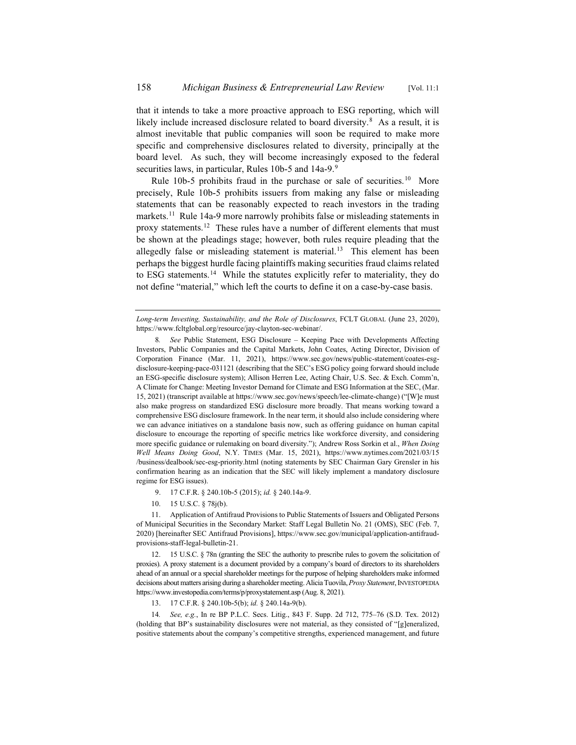that it intends to take a more proactive approach to ESG reporting, which will likely include increased disclosure related to board diversity.<sup>8</sup> As a result, it is almost inevitable that public companies will soon be required to make more specific and comprehensive disclosures related to diversity, principally at the board level. As such, they will become increasingly exposed to the federal securities laws, in particular, Rules 10b-5 and 14a-9.<sup>9</sup>

Rule 10b-5 prohibits fraud in the purchase or sale of securities.<sup>10</sup> More precisely, Rule 10b-5 prohibits issuers from making any false or misleading statements that can be reasonably expected to reach investors in the trading markets.<sup>11</sup> Rule 14a-9 more narrowly prohibits false or misleading statements in proxy statements.<sup>12</sup> These rules have a number of different elements that must be shown at the pleadings stage; however, both rules require pleading that the allegedly false or misleading statement is material.<sup>13</sup> This element has been perhaps the biggest hurdle facing plaintiffs making securities fraud claims related to ESG statements.<sup>14</sup> While the statutes explicitly refer to materiality, they do not define "material," which left the courts to define it on a case-by-case basis.

*Long-term Investing, Sustainability, and the Role of Disclosures*, FCLT GLOBAL (June 23, 2020), https://www.fcltglobal.org/resource/jay-clayton-sec-webinar/.

- 9. 17 C.F.R. § 240.10b-5 (2015); *id.* § 240.14a-9.
- 10. 15 U.S.C. § 78j(b).

11. Application of Antifraud Provisions to Public Statements of Issuers and Obligated Persons of Municipal Securities in the Secondary Market: Staff Legal Bulletin No. 21 (OMS), SEC (Feb. 7, 2020) [hereinafter SEC Antifraud Provisions], https://www.sec.gov/municipal/application-antifraudprovisions-staff-legal-bulletin-21.

12. 15 U.S.C. § 78n (granting the SEC the authority to prescribe rules to govern the solicitation of proxies). A proxy statement is a document provided by a company's board of directors to its shareholders ahead of an annual or a special shareholder meetings for the purpose of helping shareholders make informed decisions about matters arising during a shareholder meeting. Alicia Tuovila, *Proxy Statement*, INVESTOPEDIA https://www.investopedia.com/terms/p/proxystatement.asp (Aug. 8, 2021).

14*. See, e.g.*, In re BP P.L.C. Secs. Litig., 843 F. Supp. 2d 712, 775–76 (S.D. Tex. 2012) (holding that BP's sustainability disclosures were not material, as they consisted of "[g]eneralized, positive statements about the company's competitive strengths, experienced management, and future

<sup>8</sup>*. See* Public Statement, ESG Disclosure – Keeping Pace with Developments Affecting Investors, Public Companies and the Capital Markets, John Coates, Acting Director, Division of Corporation Finance (Mar. 11, 2021), https://www.sec.gov/news/public-statement/coates-esgdisclosure-keeping-pace-031121 (describing that the SEC's ESG policy going forward should include an ESG-specific disclosure system); Allison Herren Lee, Acting Chair, U.S. Sec. & Exch. Comm'n, A Climate for Change: Meeting Investor Demand for Climate and ESG Information at the SEC, (Mar. 15, 2021) (transcript available at https://www.sec.gov/news/speech/lee-climate-change) ("[W]e must also make progress on standardized ESG disclosure more broadly. That means working toward a comprehensive ESG disclosure framework. In the near term, it should also include considering where we can advance initiatives on a standalone basis now, such as offering guidance on human capital disclosure to encourage the reporting of specific metrics like workforce diversity, and considering more specific guidance or rulemaking on board diversity."); Andrew Ross Sorkin et al., *When Doing Well Means Doing Good*, N.Y. TIMES (Mar. 15, 2021), https://www.nytimes.com/2021/03/15 /business/dealbook/sec-esg-priority.html (noting statements by SEC Chairman Gary Grensler in his confirmation hearing as an indication that the SEC will likely implement a mandatory disclosure regime for ESG issues).

<sup>13. 17</sup> C.F.R. § 240.10b-5(b); *id.* § 240.14a-9(b).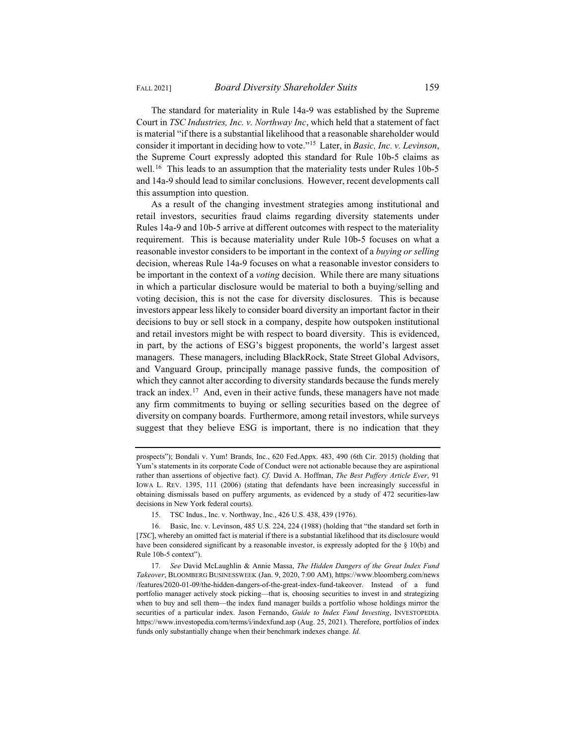The standard for materiality in Rule 14a-9 was established by the Supreme Court in *TSC Industries, Inc. v. Northway Inc*, which held that a statement of fact is material "if there is a substantial likelihood that a reasonable shareholder would consider it important in deciding how to vote."15 Later, in *Basic, Inc. v. Levinson*, the Supreme Court expressly adopted this standard for Rule 10b-5 claims as well.<sup>16</sup> This leads to an assumption that the materiality tests under Rules 10b-5 and 14a-9 should lead to similar conclusions. However, recent developments call this assumption into question.

As a result of the changing investment strategies among institutional and retail investors, securities fraud claims regarding diversity statements under Rules 14a-9 and 10b-5 arrive at different outcomes with respect to the materiality requirement. This is because materiality under Rule 10b-5 focuses on what a reasonable investor considers to be important in the context of a *buying or selling* decision, whereas Rule 14a-9 focuses on what a reasonable investor considers to be important in the context of a *voting* decision. While there are many situations in which a particular disclosure would be material to both a buying/selling and voting decision, this is not the case for diversity disclosures. This is because investors appear less likely to consider board diversity an important factor in their decisions to buy or sell stock in a company, despite how outspoken institutional and retail investors might be with respect to board diversity. This is evidenced, in part, by the actions of ESG's biggest proponents, the world's largest asset managers. These managers, including BlackRock, State Street Global Advisors, and Vanguard Group, principally manage passive funds, the composition of which they cannot alter according to diversity standards because the funds merely track an index.<sup>17</sup> And, even in their active funds, these managers have not made any firm commitments to buying or selling securities based on the degree of diversity on company boards. Furthermore, among retail investors, while surveys suggest that they believe ESG is important, there is no indication that they

prospects"); Bondali v. Yum! Brands, Inc., 620 Fed.Appx. 483, 490 (6th Cir. 2015) (holding that Yum's statements in its corporate Code of Conduct were not actionable because they are aspirational rather than assertions of objective fact). *Cf.* David A. Hoffman, *The Best Puffery Article Ever*, 91 IOWA L. REV. 1395, 111 (2006) (stating that defendants have been increasingly successful in obtaining dismissals based on puffery arguments, as evidenced by a study of 472 securities-law decisions in New York federal courts).

<sup>15.</sup> TSC Indus., Inc. v. Northway, Inc., 426 U.S. 438, 439 (1976).

<sup>16.</sup> Basic, Inc. v. Levinson, 485 U.S. 224, 224 (1988) (holding that "the standard set forth in [*TSC*], whereby an omitted fact is material if there is a substantial likelihood that its disclosure would have been considered significant by a reasonable investor, is expressly adopted for the § 10(b) and Rule 10b-5 context").

<sup>17</sup>*. See* David McLaughlin & Annie Massa, *The Hidden Dangers of the Great Index Fund Takeover*, BLOOMBERG BUSINESSWEEK (Jan. 9, 2020, 7:00 AM), https://www.bloomberg.com/news /features/2020-01-09/the-hidden-dangers-of-the-great-index-fund-takeover. Instead of a fund portfolio manager actively stock picking—that is, choosing securities to invest in and strategizing when to buy and sell them—the index fund manager builds a portfolio whose holdings mirror the securities of a particular index. Jason Fernando, *Guide to Index Fund Investing*, INVESTOPEDIA https://www.investopedia.com/terms/i/indexfund.asp (Aug. 25, 2021). Therefore, portfolios of index funds only substantially change when their benchmark indexes change. *Id.*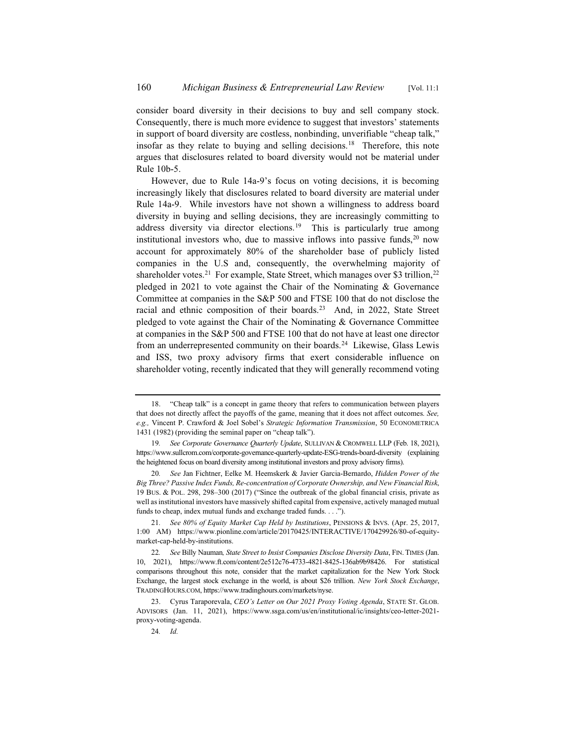consider board diversity in their decisions to buy and sell company stock. Consequently, there is much more evidence to suggest that investors' statements in support of board diversity are costless, nonbinding, unverifiable "cheap talk," insofar as they relate to buying and selling decisions.<sup>18</sup> Therefore, this note argues that disclosures related to board diversity would not be material under Rule 10b-5.

However, due to Rule 14a-9's focus on voting decisions, it is becoming increasingly likely that disclosures related to board diversity are material under Rule 14a-9. While investors have not shown a willingness to address board diversity in buying and selling decisions, they are increasingly committing to address diversity via director elections.<sup>19</sup> This is particularly true among institutional investors who, due to massive inflows into passive funds,  $20$  now account for approximately 80% of the shareholder base of publicly listed companies in the U.S and, consequently, the overwhelming majority of shareholder votes.<sup>21</sup> For example, State Street, which manages over \$3 trillion,<sup>22</sup> pledged in 2021 to vote against the Chair of the Nominating & Governance Committee at companies in the S&P 500 and FTSE 100 that do not disclose the racial and ethnic composition of their boards.<sup>23</sup> And, in 2022, State Street pledged to vote against the Chair of the Nominating & Governance Committee at companies in the S&P 500 and FTSE 100 that do not have at least one director from an underrepresented community on their boards.<sup>24</sup> Likewise, Glass Lewis and ISS, two proxy advisory firms that exert considerable influence on shareholder voting, recently indicated that they will generally recommend voting

24*. Id.*

<sup>18. &</sup>quot;Cheap talk" is a concept in game theory that refers to communication between players that does not directly affect the payoffs of the game, meaning that it does not affect outcomes. *See, e.g.,* Vincent P. Crawford & Joel Sobel's *Strategic Information Transmission*, 50 ECONOMETRICA 1431 (1982) (providing the seminal paper on "cheap talk").

<sup>19</sup>*. See Corporate Governance Quarterly Update*, SULLIVAN & CROMWELL LLP (Feb. 18, 2021), https://www.sullcrom.com/corporate-governance-quarterly-update-ESG-trends-board-diversity (explaining the heightened focus on board diversity among institutional investors and proxy advisory firms).

<sup>20</sup>*. See* Jan Fichtner, Eelke M. Heemskerk & Javier Garcia-Bernardo, *Hidden Power of the Big Three? Passive Index Funds, Re-concentration of Corporate Ownership, and New Financial Risk*, 19 BUS.&POL. 298, 298–300 (2017) ("Since the outbreak of the global financial crisis, private as well as institutional investors have massively shifted capital from expensive, actively managed mutual funds to cheap, index mutual funds and exchange traded funds. . . .").

<sup>21</sup>*. See 80% of Equity Market Cap Held by Institutions*, PENSIONS & INVS. (Apr. 25, 2017, 1:00 AM) https://www.pionline.com/article/20170425/INTERACTIVE/170429926/80-of-equitymarket-cap-held-by-institutions.

<sup>22</sup>*. See* Billy Nauman*, State Street to Insist Companies Disclose Diversity Data*, FIN. TIMES (Jan. 10, 2021), https://www.ft.com/content/2e512c76-4733-4821-8425-136ab9b98426. For statistical comparisons throughout this note, consider that the market capitalization for the New York Stock Exchange, the largest stock exchange in the world, is about \$26 trillion. *New York Stock Exchange*, TRADINGHOURS.COM, https://www.tradinghours.com/markets/nyse.

<sup>23.</sup> Cyrus Taraporevala, *CEO's Letter on Our 2021 Proxy Voting Agenda*, STATE ST. GLOB. ADVISORS (Jan. 11, 2021), https://www.ssga.com/us/en/institutional/ic/insights/ceo-letter-2021 proxy-voting-agenda.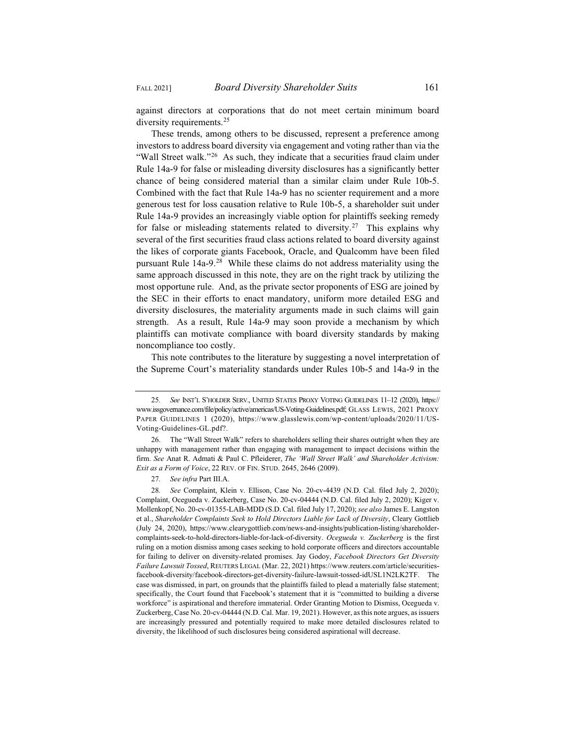against directors at corporations that do not meet certain minimum board diversity requirements.<sup>25</sup>

These trends, among others to be discussed, represent a preference among investors to address board diversity via engagement and voting rather than via the "Wall Street walk."<sup>26</sup> As such, they indicate that a securities fraud claim under Rule 14a-9 for false or misleading diversity disclosures has a significantly better chance of being considered material than a similar claim under Rule 10b-5. Combined with the fact that Rule 14a-9 has no scienter requirement and a more generous test for loss causation relative to Rule 10b-5, a shareholder suit under Rule 14a-9 provides an increasingly viable option for plaintiffs seeking remedy for false or misleading statements related to diversity.<sup>27</sup> This explains why several of the first securities fraud class actions related to board diversity against the likes of corporate giants Facebook, Oracle, and Qualcomm have been filed pursuant Rule  $14a-9$ <sup>28</sup> While these claims do not address materiality using the same approach discussed in this note, they are on the right track by utilizing the most opportune rule. And, as the private sector proponents of ESG are joined by the SEC in their efforts to enact mandatory, uniform more detailed ESG and diversity disclosures, the materiality arguments made in such claims will gain strength. As a result, Rule 14a-9 may soon provide a mechanism by which plaintiffs can motivate compliance with board diversity standards by making noncompliance too costly.

This note contributes to the literature by suggesting a novel interpretation of the Supreme Court's materiality standards under Rules 10b-5 and 14a-9 in the

<sup>25</sup>*. See* INST'L S'HOLDER SERV., UNITED STATES PROXY VOTING GUIDELINES 11–12 (2020), https:// www.issgovernance.com/file/policy/active/americas/US-Voting-Guidelines.pdf; GLASS LEWIS, 2021 PROXY PAPER GUIDELINES 1 (2020), https://www.glasslewis.com/wp-content/uploads/2020/11/US-Voting-Guidelines-GL.pdf?.

<sup>26.</sup> The "Wall Street Walk" refers to shareholders selling their shares outright when they are unhappy with management rather than engaging with management to impact decisions within the firm. *See* Anat R. Admati & Paul C. Pfleiderer, *The 'Wall Street Walk' and Shareholder Activism: Exit as a Form of Voice*, 22 REV. OF FIN. STUD. 2645, 2646 (2009).

<sup>27</sup>*. See infra* Part III.A.

<sup>28</sup>*. See* Complaint, Klein v. Ellison, Case No. 20-cv-4439 (N.D. Cal. filed July 2, 2020); Complaint, Ocegueda v. Zuckerberg, Case No. 20-cv-04444 (N.D. Cal. filed July 2, 2020); Kiger v. Mollenkopf, No. 20-cv-01355-LAB-MDD (S.D. Cal. filed July 17, 2020); *see also* James E. Langston et al., *Shareholder Complaints Seek to Hold Directors Liable for Lack of Diversity*, Cleary Gottlieb (July 24, 2020), https://www.clearygottlieb.com/news-and-insights/publication-listing/shareholdercomplaints-seek-to-hold-directors-liable-for-lack-of-diversity. *Ocegueda v. Zuckerberg* is the first ruling on a motion dismiss among cases seeking to hold corporate officers and directors accountable for failing to deliver on diversity-related promises. Jay Godoy, *Facebook Directors Get Diversity Failure Lawsuit Tossed*, REUTERS LEGAL (Mar. 22, 2021) https://www.reuters.com/article/securitiesfacebook-diversity/facebook-directors-get-diversity-failure-lawsuit-tossed-idUSL1N2LK2TF. The case was dismissed, in part, on grounds that the plaintiffs failed to plead a materially false statement; specifically, the Court found that Facebook's statement that it is "committed to building a diverse workforce" is aspirational and therefore immaterial. Order Granting Motion to Dismiss, Ocegueda v. Zuckerberg, Case No. 20-cv-04444 (N.D. Cal. Mar. 19, 2021). However, as this note argues, as issuers are increasingly pressured and potentially required to make more detailed disclosures related to diversity, the likelihood of such disclosures being considered aspirational will decrease.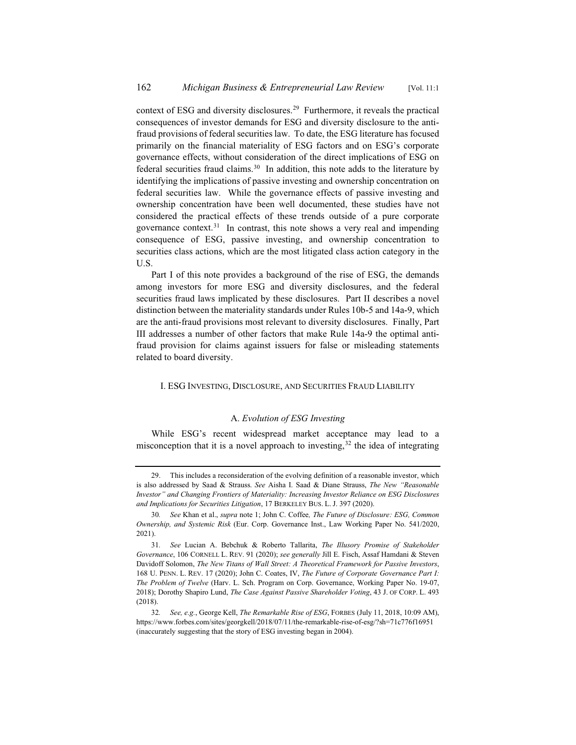context of ESG and diversity disclosures.29 Furthermore, it reveals the practical consequences of investor demands for ESG and diversity disclosure to the antifraud provisions of federal securities law. To date, the ESG literature has focused primarily on the financial materiality of ESG factors and on ESG's corporate governance effects, without consideration of the direct implications of ESG on federal securities fraud claims.<sup>30</sup> In addition, this note adds to the literature by identifying the implications of passive investing and ownership concentration on federal securities law. While the governance effects of passive investing and ownership concentration have been well documented, these studies have not considered the practical effects of these trends outside of a pure corporate governance context.31 In contrast, this note shows a very real and impending consequence of ESG, passive investing, and ownership concentration to securities class actions, which are the most litigated class action category in the U.S.

Part I of this note provides a background of the rise of ESG, the demands among investors for more ESG and diversity disclosures, and the federal securities fraud laws implicated by these disclosures. Part II describes a novel distinction between the materiality standards under Rules 10b-5 and 14a-9, which are the anti-fraud provisions most relevant to diversity disclosures. Finally, Part III addresses a number of other factors that make Rule 14a-9 the optimal antifraud provision for claims against issuers for false or misleading statements related to board diversity.

#### I. ESG INVESTING, DISCLOSURE, AND SECURITIES FRAUD LIABILITY

# A. *Evolution of ESG Investing*

While ESG's recent widespread market acceptance may lead to a misconception that it is a novel approach to investing,  $32$  the idea of integrating

<sup>29.</sup> This includes a reconsideration of the evolving definition of a reasonable investor, which is also addressed by Saad & Strauss. *See* Aisha I. Saad & Diane Strauss, *The New "Reasonable Investor" and Changing Frontiers of Materiality: Increasing Investor Reliance on ESG Disclosures and Implications for Securities Litigation*, 17 BERKELEY BUS. L. J. 397 (2020).

<sup>30</sup>*. See* Khan et al., *supra* note 1; John C. Coffee*, The Future of Disclosure: ESG, Common Ownership, and Systemic Risk* (Eur. Corp. Governance Inst., Law Working Paper No. 541/2020, 2021).

<sup>31</sup>*. See* Lucian A. Bebchuk & Roberto Tallarita, *The Illusory Promise of Stakeholder Governance*, 106 CORNELL L. REV. 91 (2020); *see generally* Jill E. Fisch, Assaf Hamdani & Steven Davidoff Solomon, *The New Titans of Wall Street: A Theoretical Framework for Passive Investors*, 168 U. PENN. L. REV. 17 (2020); John C. Coates, IV, *The Future of Corporate Governance Part I: The Problem of Twelve* (Harv. L. Sch. Program on Corp. Governance, Working Paper No. 19-07, 2018); Dorothy Shapiro Lund, *The Case Against Passive Shareholder Voting*, 43 J. OF CORP. L. 493 (2018).

<sup>32</sup>*. See, e.g.*, George Kell, *The Remarkable Rise of ESG*, FORBES (July 11, 2018, 10:09 AM), https://www.forbes.com/sites/georgkell/2018/07/11/the-remarkable-rise-of-esg/?sh=71c776f16951 (inaccurately suggesting that the story of ESG investing began in 2004).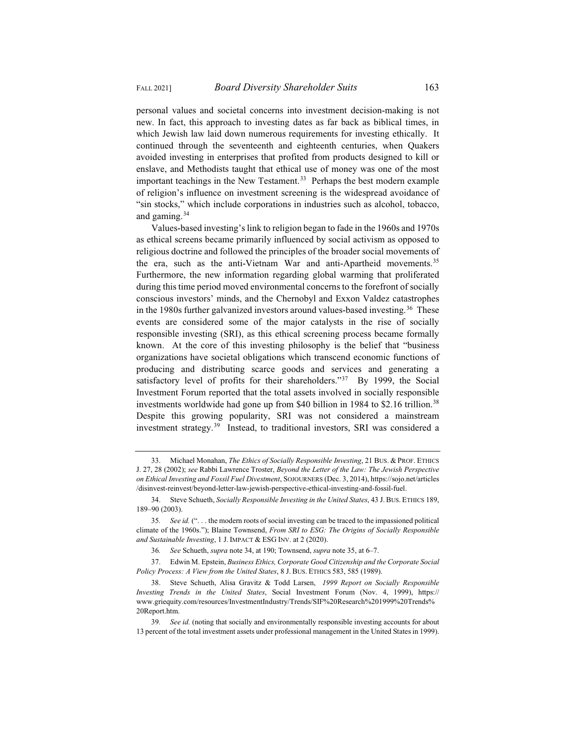personal values and societal concerns into investment decision-making is not new. In fact, this approach to investing dates as far back as biblical times, in which Jewish law laid down numerous requirements for investing ethically. It continued through the seventeenth and eighteenth centuries, when Quakers avoided investing in enterprises that profited from products designed to kill or enslave, and Methodists taught that ethical use of money was one of the most important teachings in the New Testament.<sup>33</sup> Perhaps the best modern example of religion's influence on investment screening is the widespread avoidance of "sin stocks," which include corporations in industries such as alcohol, tobacco, and gaming.34

Values-based investing's link to religion began to fade in the 1960s and 1970s as ethical screens became primarily influenced by social activism as opposed to religious doctrine and followed the principles of the broader social movements of the era, such as the anti-Vietnam War and anti-Apartheid movements.<sup>35</sup> Furthermore, the new information regarding global warming that proliferated during this time period moved environmental concerns to the forefront of socially conscious investors' minds, and the Chernobyl and Exxon Valdez catastrophes in the 1980s further galvanized investors around values-based investing.<sup>36</sup> These events are considered some of the major catalysts in the rise of socially responsible investing (SRI), as this ethical screening process became formally known. At the core of this investing philosophy is the belief that "business organizations have societal obligations which transcend economic functions of producing and distributing scarce goods and services and generating a satisfactory level of profits for their shareholders."<sup>37</sup> By 1999, the Social Investment Forum reported that the total assets involved in socially responsible investments worldwide had gone up from \$40 billion in 1984 to \$2.16 trillion.<sup>38</sup> Despite this growing popularity, SRI was not considered a mainstream investment strategy.39 Instead, to traditional investors, SRI was considered a

<sup>33.</sup> Michael Monahan, *The Ethics of Socially Responsible Investing*, 21 BUS. & PROF. ETHICS J. 27, 28 (2002); *see* Rabbi Lawrence Troster, *Beyond the Letter of the Law: The Jewish Perspective on Ethical Investing and Fossil Fuel Divestment*, SOJOURNERS (Dec. 3, 2014), https://sojo.net/articles /disinvest-reinvest/beyond-letter-law-jewish-perspective-ethical-investing-and-fossil-fuel.

<sup>34.</sup> Steve Schueth, *Socially Responsible Investing in the United States*, 43 J. BUS. ETHICS 189, 189–90 (2003).

<sup>35</sup>*. See id.* (". . . the modern roots of social investing can be traced to the impassioned political climate of the 1960s."); Blaine Townsend, *From SRI to ESG: The Origins of Socially Responsible and Sustainable Investing*, 1 J. IMPACT & ESG INV. at 2 (2020).

<sup>36</sup>*. See* Schueth, *supra* note 34, at 190; Townsend, *supra* note 35, at 6–7.

<sup>37.</sup> Edwin M. Epstein, *Business Ethics, Corporate Good Citizenship and the Corporate Social Policy Process: A View from the United States*, 8 J. BUS. ETHICS 583, 585 (1989).

<sup>38.</sup> Steve Schueth, Alisa Gravitz & Todd Larsen, *1999 Report on Socially Responsible Investing Trends in the United States*, Social Investment Forum (Nov. 4, 1999), https:// www.griequity.com/resources/InvestmentIndustry/Trends/SIF%20Research%201999%20Trends% 20Report.htm.

<sup>39</sup>*. See id.* (noting that socially and environmentally responsible investing accounts for about 13 percent of the total investment assets under professional management in the United States in 1999).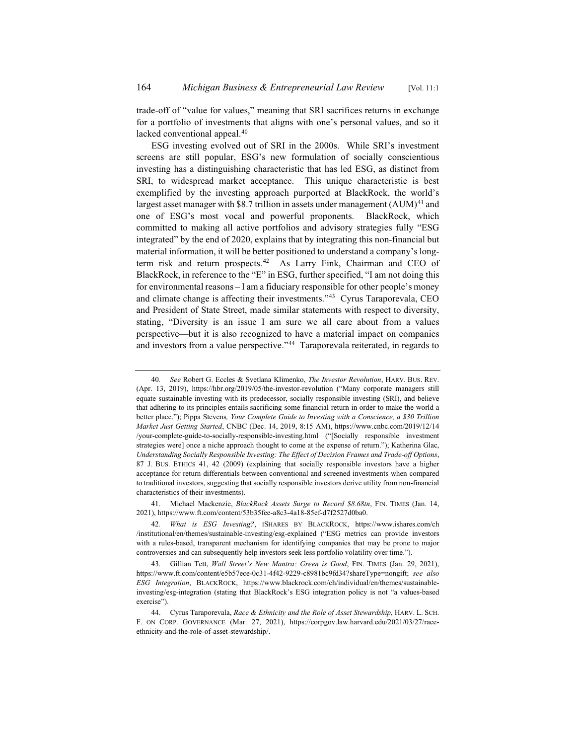trade-off of "value for values," meaning that SRI sacrifices returns in exchange for a portfolio of investments that aligns with one's personal values, and so it lacked conventional appeal.<sup>40</sup>

ESG investing evolved out of SRI in the 2000s. While SRI's investment screens are still popular, ESG's new formulation of socially conscientious investing has a distinguishing characteristic that has led ESG, as distinct from SRI, to widespread market acceptance. This unique characteristic is best exemplified by the investing approach purported at BlackRock, the world's largest asset manager with \$8.7 trillion in assets under management  $(AUM)^{41}$  and one of ESG's most vocal and powerful proponents. BlackRock, which committed to making all active portfolios and advisory strategies fully "ESG integrated" by the end of 2020, explains that by integrating this non-financial but material information, it will be better positioned to understand a company's longterm risk and return prospects.<sup>42</sup> As Larry Fink, Chairman and CEO of BlackRock, in reference to the "E" in ESG, further specified, "I am not doing this for environmental reasons – I am a fiduciary responsible for other people's money and climate change is affecting their investments."43 Cyrus Taraporevala, CEO and President of State Street, made similar statements with respect to diversity, stating, "Diversity is an issue I am sure we all care about from a values perspective—but it is also recognized to have a material impact on companies and investors from a value perspective."<sup>44</sup> Taraporevala reiterated, in regards to

<sup>40</sup>*. See* Robert G. Eccles & Svetlana Klimenko, *The Investor Revolution*, HARV. BUS. REV. (Apr. 13, 2019), https://hbr.org/2019/05/the-investor-revolution ("Many corporate managers still equate sustainable investing with its predecessor, socially responsible investing (SRI), and believe that adhering to its principles entails sacrificing some financial return in order to make the world a better place."); Pippa Stevens*, Your Complete Guide to Investing with a Conscience, a \$30 Trillion Market Just Getting Started*, CNBC (Dec. 14, 2019, 8:15 AM), https://www.cnbc.com/2019/12/14 /your-complete-guide-to-socially-responsible-investing.html ("[Socially responsible investment strategies were] once a niche approach thought to come at the expense of return."); Katherina Glac, *Understanding Socially Responsible Investing: The Effect of Decision Frames and Trade-off Options*, 87 J. BUS. ETHICS 41, 42 (2009) (explaining that socially responsible investors have a higher acceptance for return differentials between conventional and screened investments when compared to traditional investors, suggesting that socially responsible investors derive utility from non-financial characteristics of their investments).

<sup>41.</sup> Michael Mackenzie, *BlackRock Assets Surge to Record \$8.68tn*, FIN. TIMES (Jan. 14, 2021), https://www.ft.com/content/53b35fee-a8c3-4a18-85ef-d7f2527d0ba0.

<sup>42</sup>*. What is ESG Investing?*, ISHARES BY BLACKROCK, https://www.ishares.com/ch /institutional/en/themes/sustainable-investing/esg-explained ("ESG metrics can provide investors with a rules-based, transparent mechanism for identifying companies that may be prone to major controversies and can subsequently help investors seek less portfolio volatility over time.").

<sup>43.</sup> Gillian Tett, *Wall Street's New Mantra: Green is Good*, FIN. TIMES (Jan. 29, 2021), https://www.ft.com/content/e5b57ece-0c31-4f42-9229-c8981bc9fd34?shareType=nongift; *see also ESG Integration*, BLACKROCK, https://www.blackrock.com/ch/individual/en/themes/sustainableinvesting/esg-integration (stating that BlackRock's ESG integration policy is not "a values-based exercise").

<sup>44.</sup> Cyrus Taraporevala, *Race & Ethnicity and the Role of Asset Stewardship*, HARV. L. SCH. F. ON CORP. GOVERNANCE (Mar. 27, 2021), https://corpgov.law.harvard.edu/2021/03/27/raceethnicity-and-the-role-of-asset-stewardship/.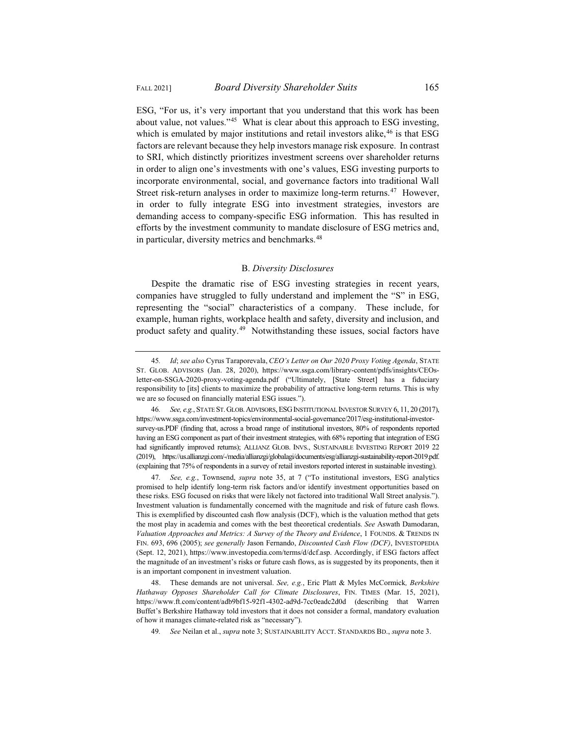ESG, "For us, it's very important that you understand that this work has been about value, not values."45 What is clear about this approach to ESG investing, which is emulated by major institutions and retail investors alike,  $46$  is that ESG factors are relevant because they help investors manage risk exposure. In contrast to SRI, which distinctly prioritizes investment screens over shareholder returns in order to align one's investments with one's values, ESG investing purports to incorporate environmental, social, and governance factors into traditional Wall Street risk-return analyses in order to maximize long-term returns.<sup>47</sup> However, in order to fully integrate ESG into investment strategies, investors are demanding access to company-specific ESG information. This has resulted in efforts by the investment community to mandate disclosure of ESG metrics and, in particular, diversity metrics and benchmarks.<sup>48</sup>

### B. *Diversity Disclosures*

Despite the dramatic rise of ESG investing strategies in recent years, companies have struggled to fully understand and implement the "S" in ESG, representing the "social" characteristics of a company. These include, for example, human rights, workplace health and safety, diversity and inclusion, and product safety and quality.49 Notwithstanding these issues, social factors have

47*. See, e.g.*, Townsend, *supra* note 35, at 7 ("To institutional investors, ESG analytics promised to help identify long-term risk factors and/or identify investment opportunities based on these risks. ESG focused on risks that were likely not factored into traditional Wall Street analysis."). Investment valuation is fundamentally concerned with the magnitude and risk of future cash flows. This is exemplified by discounted cash flow analysis (DCF), which is the valuation method that gets the most play in academia and comes with the best theoretical credentials. *See* Aswath Damodaran, *Valuation Approaches and Metrics: A Survey of the Theory and Evidence*, 1 FOUNDS.&TRENDS IN FIN. 693, 696 (2005); *see generally* Jason Fernando, *Discounted Cash Flow (DCF)*, INVESTOPEDIA (Sept. 12, 2021), https://www.investopedia.com/terms/d/dcf.asp. Accordingly, if ESG factors affect the magnitude of an investment's risks or future cash flows, as is suggested by its proponents, then it is an important component in investment valuation.

48. These demands are not universal. *See, e.g.*, Eric Platt & Myles McCormick*, Berkshire Hathaway Opposes Shareholder Call for Climate Disclosures*, FIN. TIMES (Mar. 15, 2021), https://www.ft.com/content/adb9bf15-92f1-4302-ad9d-7cc0eadc2d0d (describing that Warren Buffet's Berkshire Hathaway told investors that it does not consider a formal, mandatory evaluation of how it manages climate-related risk as "necessary").

49*. See* Neilan et al., *supra* note 3; SUSTAINABILITY ACCT. STANDARDS BD., *supra* note 3.

<sup>45</sup>*. Id*; *see also* Cyrus Taraporevala, *CEO's Letter on Our 2020 Proxy Voting Agenda*, STATE ST. GLOB. ADVISORS (Jan. 28, 2020), https://www.ssga.com/library-content/pdfs/insights/CEOsletter-on-SSGA-2020-proxy-voting-agenda.pdf ("Ultimately, [State Street] has a fiduciary responsibility to [its] clients to maximize the probability of attractive long-term returns. This is why we are so focused on financially material ESG issues.").

<sup>46</sup>*. See, e.g.*, STATE ST. GLOB. ADVISORS, ESG INSTITUTIONAL INVESTOR SURVEY 6, 11, 20 (2017), https://www.ssga.com/investment-topics/environmental-social-governance/2017/esg-institutional-investorsurvey-us.PDF (finding that, across a broad range of institutional investors, 80% of respondents reported having an ESG component as part of their investment strategies, with 68% reporting that integration of ESG had significantly improved returns); ALLIANZ GLOB. INVS., SUSTAINABLE INVESTING REPORT 2019 22 (2019), https://us.allianzgi.com/-/media/allianzgi/globalagi/documents/esg/allianzgi-sustainability-report-2019.pdf. (explaining that 75% of respondents in a survey of retail investors reported interest in sustainable investing).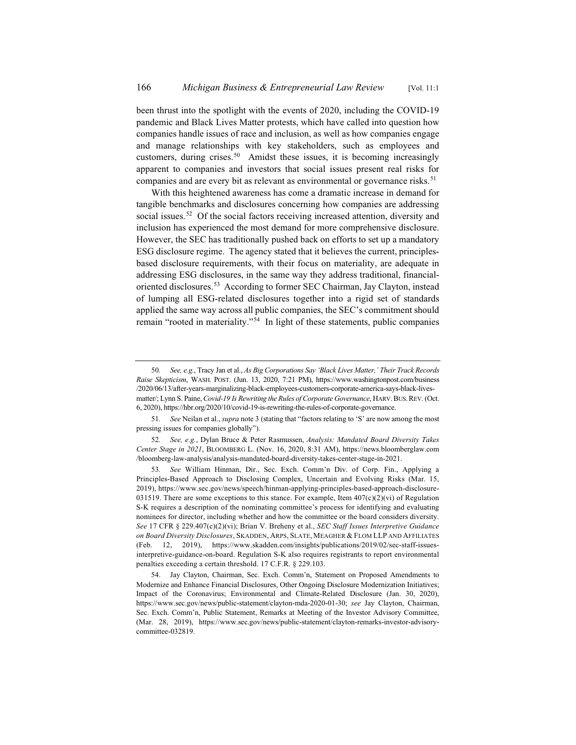been thrust into the spotlight with the events of 2020, including the COVID-19 pandemic and Black Lives Matter protests, which have called into question how companies handle issues of race and inclusion, as well as how companies engage and manage relationships with key stakeholders, such as employees and customers, during crises.<sup>50</sup> Amidst these issues, it is becoming increasingly apparent to companies and investors that social issues present real risks for companies and are every bit as relevant as environmental or governance risks.<sup>51</sup>

With this heightened awareness has come a dramatic increase in demand for tangible benchmarks and disclosures concerning how companies are addressing social issues.<sup>52</sup> Of the social factors receiving increased attention, diversity and inclusion has experienced the most demand for more comprehensive disclosure. However, the SEC has traditionally pushed back on efforts to set up a mandatory ESG disclosure regime. The agency stated that it believes the current, principlesbased disclosure requirements, with their focus on materiality, are adequate in addressing ESG disclosures, in the same way they address traditional, financialoriented disclosures.<sup>53</sup> According to former SEC Chairman, Jay Clayton, instead of lumping all ESG-related disclosures together into a rigid set of standards applied the same way across all public companies, the SEC's commitment should remain "rooted in materiality."54 In light of these statements, public companies

<sup>50</sup>*. See, e.g.*, Tracy Jan et al., *As Big Corporations Say 'Black Lives Matter,' Their Track Records Raise Skepticism*, WASH. POST. (Jun. 13, 2020, 7:21 PM), https://www.washingtonpost.com/business /2020/06/13/after-years-marginalizing-black-employees-customers-corporate-america-says-black-livesmatter/; Lynn S. Paine, *Covid-19 Is Rewriting the Rules of Corporate Governance*, HARV.BUS. REV. (Oct. 6, 2020), https://hbr.org/2020/10/covid-19-is-rewriting-the-rules-of-corporate-governance.

<sup>51</sup>*. See* Neilan et al., *supra* note 3 (stating that "factors relating to 'S' are now among the most pressing issues for companies globally").

<sup>52</sup>*. See, e.g.*, Dylan Bruce & Peter Rasmussen, *Analysis: Mandated Board Diversity Takes Center Stage in 2021*, BLOOMBERG L. (Nov. 16, 2020, 8:31 AM), https://news.bloomberglaw.com /bloomberg-law-analysis/analysis-mandated-board-diversity-takes-center-stage-in-2021.

<sup>53</sup>*. See* William Hinman, Dir., Sec. Exch. Comm'n Div. of Corp. Fin., Applying a Principles-Based Approach to Disclosing Complex, Uncertain and Evolving Risks (Mar. 15, 2019), https://www.sec.gov/news/speech/hinman-applying-principles-based-approach-disclosure-031519. There are some exceptions to this stance. For example, Item  $407(c)(2)(vi)$  of Regulation S-K requires a description of the nominating committee's process for identifying and evaluating nominees for director, including whether and how the committee or the board considers diversity. *See* 17 CFR § 229.407(c)(2)(vi); Brian V. Breheny et al., *SEC Staff Issues Interpretive Guidance on Board Diversity Disclosures*, SKADDEN, ARPS, SLATE, MEAGHER & FLOM LLP AND AFFILIATES (Feb. 12, 2019), https://www.skadden.com/insights/publications/2019/02/sec-staff-issuesinterpretive-guidance-on-board. Regulation S-K also requires registrants to report environmental penalties exceeding a certain threshold. 17 C.F.R. § 229.103.

<sup>54.</sup> Jay Clayton, Chairman, Sec. Exch. Comm'n, Statement on Proposed Amendments to Modernize and Enhance Financial Disclosures, Other Ongoing Disclosure Modernization Initiatives; Impact of the Coronavirus; Environmental and Climate-Related Disclosure (Jan. 30, 2020), https://www.sec.gov/news/public-statement/clayton-mda-2020-01-30; *see* Jay Clayton, Chairman, Sec. Exch. Comm'n, Public Statement, Remarks at Meeting of the Investor Advisory Committee, (Mar. 28, 2019), https://www.sec.gov/news/public-statement/clayton-remarks-investor-advisorycommittee-032819.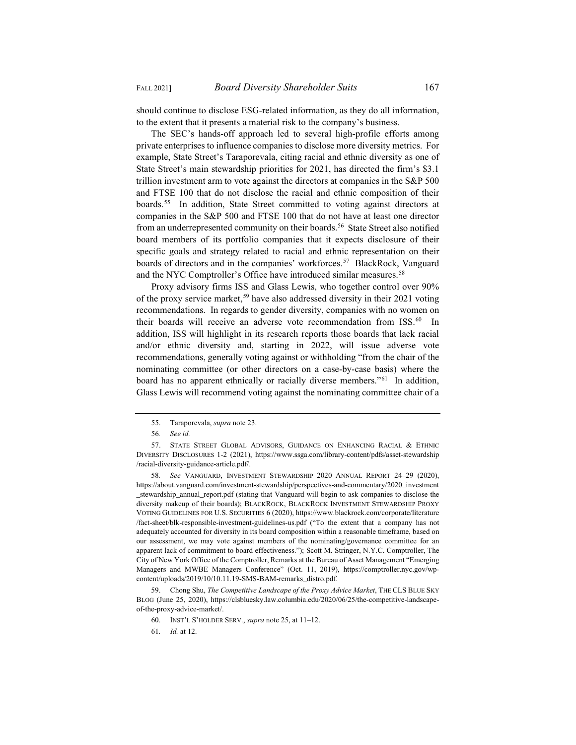should continue to disclose ESG-related information, as they do all information, to the extent that it presents a material risk to the company's business.

The SEC's hands-off approach led to several high-profile efforts among private enterprises to influence companies to disclose more diversity metrics. For example, State Street's Taraporevala, citing racial and ethnic diversity as one of State Street's main stewardship priorities for 2021, has directed the firm's \$3.1 trillion investment arm to vote against the directors at companies in the S&P 500 and FTSE 100 that do not disclose the racial and ethnic composition of their boards.<sup>55</sup> In addition, State Street committed to voting against directors at companies in the S&P 500 and FTSE 100 that do not have at least one director from an underrepresented community on their boards.<sup>56</sup> State Street also notified board members of its portfolio companies that it expects disclosure of their specific goals and strategy related to racial and ethnic representation on their boards of directors and in the companies' workforces.<sup>57</sup> BlackRock, Vanguard and the NYC Comptroller's Office have introduced similar measures.<sup>58</sup>

Proxy advisory firms ISS and Glass Lewis, who together control over 90% of the proxy service market,<sup>59</sup> have also addressed diversity in their 2021 voting recommendations. In regards to gender diversity, companies with no women on their boards will receive an adverse vote recommendation from ISS.<sup>60</sup> In addition, ISS will highlight in its research reports those boards that lack racial and/or ethnic diversity and, starting in 2022, will issue adverse vote recommendations, generally voting against or withholding "from the chair of the nominating committee (or other directors on a case-by-case basis) where the board has no apparent ethnically or racially diverse members."61 In addition, Glass Lewis will recommend voting against the nominating committee chair of a

58*. See* VANGUARD, INVESTMENT STEWARDSHIP 2020 ANNUAL REPORT 24–29 (2020), https://about.vanguard.com/investment-stewardship/perspectives-and-commentary/2020\_investment \_stewardship\_annual\_report.pdf (stating that Vanguard will begin to ask companies to disclose the diversity makeup of their boards); BLACKROCK, BLACKROCK INVESTMENT STEWARDSHIP PROXY VOTING GUIDELINES FOR U.S. SECURITIES 6 (2020), https://www.blackrock.com/corporate/literature /fact-sheet/blk-responsible-investment-guidelines-us.pdf ("To the extent that a company has not adequately accounted for diversity in its board composition within a reasonable timeframe, based on our assessment, we may vote against members of the nominating/governance committee for an apparent lack of commitment to board effectiveness."); Scott M. Stringer, N.Y.C. Comptroller, The City of New York Office of the Comptroller, Remarks at the Bureau of Asset Management "Emerging Managers and MWBE Managers Conference" (Oct. 11, 2019), https://comptroller.nyc.gov/wpcontent/uploads/2019/10/10.11.19-SMS-BAM-remarks\_distro.pdf.

59. Chong Shu, *The Competitive Landscape of the Proxy Advice Market*, THE CLS BLUE SKY BLOG (June 25, 2020), https://clsbluesky.law.columbia.edu/2020/06/25/the-competitive-landscapeof-the-proxy-advice-market/.

<sup>55.</sup> Taraporevala, *supra* note 23.

<sup>56</sup>*. See id.*

<sup>57.</sup> STATE STREET GLOBAL ADVISORS, GUIDANCE ON ENHANCING RACIAL & ETHNIC DIVERSITY DISCLOSURES 1-2 (2021), https://www.ssga.com/library-content/pdfs/asset-stewardship /racial-diversity-guidance-article.pdf/.

<sup>60.</sup> INST'L S'HOLDER SERV., *supra* note 25, at 11–12.

<sup>61</sup>*. Id.* at 12.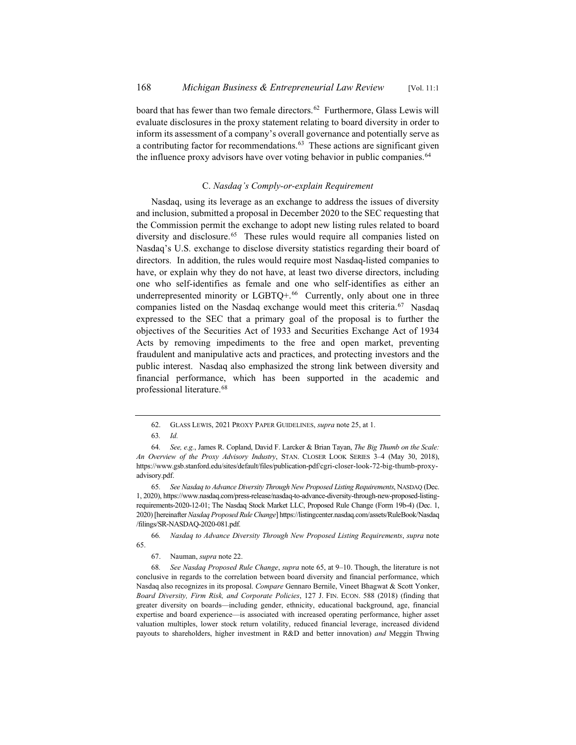board that has fewer than two female directors.<sup>62</sup> Furthermore, Glass Lewis will evaluate disclosures in the proxy statement relating to board diversity in order to inform its assessment of a company's overall governance and potentially serve as a contributing factor for recommendations.<sup>63</sup> These actions are significant given the influence proxy advisors have over voting behavior in public companies.<sup>64</sup>

# C. *Nasdaq's Comply-or-explain Requirement*

Nasdaq, using its leverage as an exchange to address the issues of diversity and inclusion, submitted a proposal in December 2020 to the SEC requesting that the Commission permit the exchange to adopt new listing rules related to board diversity and disclosure.<sup>65</sup> These rules would require all companies listed on Nasdaq's U.S. exchange to disclose diversity statistics regarding their board of directors. In addition, the rules would require most Nasdaq-listed companies to have, or explain why they do not have, at least two diverse directors, including one who self-identifies as female and one who self-identifies as either an underrepresented minority or  $LGBTQ+.66$  Currently, only about one in three companies listed on the Nasdaq exchange would meet this criteria.<sup>67</sup> Nasdaq expressed to the SEC that a primary goal of the proposal is to further the objectives of the Securities Act of 1933 and Securities Exchange Act of 1934 Acts by removing impediments to the free and open market, preventing fraudulent and manipulative acts and practices, and protecting investors and the public interest. Nasdaq also emphasized the strong link between diversity and financial performance, which has been supported in the academic and professional literature.68

<sup>62.</sup> GLASS LEWIS, 2021 PROXY PAPER GUIDELINES, *supra* note 25, at 1.

<sup>63</sup>*. Id.*

<sup>64</sup>*. See, e.g.*, James R. Copland, David F. Larcker & Brian Tayan, *The Big Thumb on the Scale: An Overview of the Proxy Advisory Industry*, STAN. CLOSER LOOK SERIES 3–4 (May 30, 2018), https://www.gsb.stanford.edu/sites/default/files/publication-pdf/cgri-closer-look-72-big-thumb-proxyadvisory.pdf.

<sup>65</sup>*. See Nasdaq to Advance Diversity Through New Proposed Listing Requirements*, NASDAQ (Dec. 1, 2020), https://www.nasdaq.com/press-release/nasdaq-to-advance-diversity-through-new-proposed-listingrequirements-2020-12-01; The Nasdaq Stock Market LLC, Proposed Rule Change (Form 19b-4) (Dec. 1, 2020) [hereinafter *Nasdaq Proposed Rule Change*] https://listingcenter.nasdaq.com/assets/RuleBook/Nasdaq /filings/SR-NASDAQ-2020-081.pdf.

<sup>66</sup>*. Nasdaq to Advance Diversity Through New Proposed Listing Requirements*, *supra* note 65.

<sup>67.</sup> Nauman, *supra* note 22.

<sup>68</sup>*. See Nasdaq Proposed Rule Change*, *supra* note 65, at 9–10. Though, the literature is not conclusive in regards to the correlation between board diversity and financial performance, which Nasdaq also recognizes in its proposal. *Compare* Gennaro Bernile, Vineet Bhagwat & Scott Yonker, *Board Diversity, Firm Risk, and Corporate Policies*, 127 J. FIN. ECON. 588 (2018) (finding that greater diversity on boards—including gender, ethnicity, educational background, age, financial expertise and board experience—is associated with increased operating performance, higher asset valuation multiples, lower stock return volatility, reduced financial leverage, increased dividend payouts to shareholders, higher investment in R&D and better innovation) *and* Meggin Thwing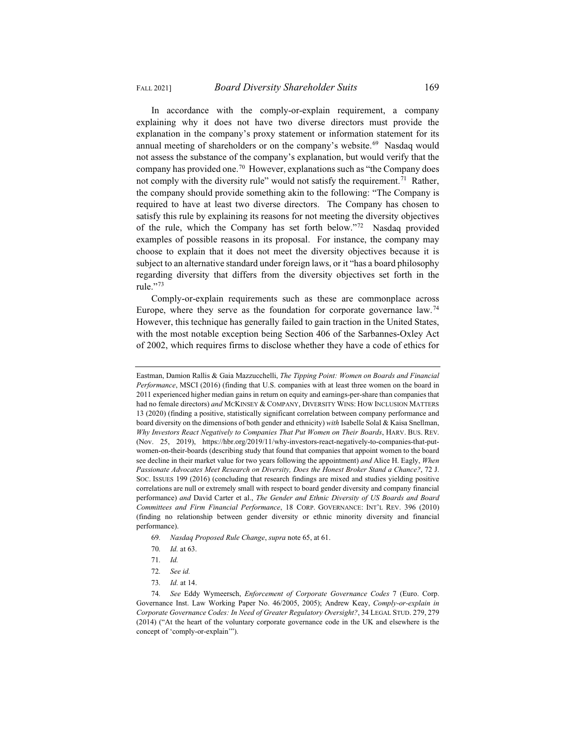In accordance with the comply-or-explain requirement, a company explaining why it does not have two diverse directors must provide the explanation in the company's proxy statement or information statement for its annual meeting of shareholders or on the company's website.<sup>69</sup> Nasdaq would not assess the substance of the company's explanation, but would verify that the company has provided one.<sup>70</sup> However, explanations such as "the Company does not comply with the diversity rule" would not satisfy the requirement.<sup>71</sup> Rather, the company should provide something akin to the following: "The Company is required to have at least two diverse directors. The Company has chosen to satisfy this rule by explaining its reasons for not meeting the diversity objectives of the rule, which the Company has set forth below."72 Nasdaq provided examples of possible reasons in its proposal. For instance, the company may choose to explain that it does not meet the diversity objectives because it is subject to an alternative standard under foreign laws, or it "has a board philosophy regarding diversity that differs from the diversity objectives set forth in the rule." $73$ 

Comply-or-explain requirements such as these are commonplace across Europe, where they serve as the foundation for corporate governance law.74 However, this technique has generally failed to gain traction in the United States, with the most notable exception being Section 406 of the Sarbannes-Oxley Act of 2002, which requires firms to disclose whether they have a code of ethics for

- 69*. Nasdaq Proposed Rule Change*, *supra* note 65, at 61.
- 70*. Id.* at 63.
- 71*. Id.*
- 72*. See id.*
- 73*. Id.* at 14.

Eastman, Damion Rallis & Gaia Mazzucchelli, *The Tipping Point: Women on Boards and Financial Performance*, MSCI (2016) (finding that U.S. companies with at least three women on the board in 2011 experienced higher median gains in return on equity and earnings-per-share than companies that had no female directors) *and* MCKINSEY & COMPANY, DIVERSITY WINS: HOW INCLUSION MATTERS 13 (2020) (finding a positive, statistically significant correlation between company performance and board diversity on the dimensions of both gender and ethnicity) *with* Isabelle Solal & Kaisa Snellman, *Why Investors React Negatively to Companies That Put Women on Their Boards*, HARV. BUS. REV. (Nov. 25, 2019), https://hbr.org/2019/11/why-investors-react-negatively-to-companies-that-putwomen-on-their-boards (describing study that found that companies that appoint women to the board see decline in their market value for two years following the appointment) *and* Alice H. Eagly, *When Passionate Advocates Meet Research on Diversity, Does the Honest Broker Stand a Chance?*, 72 J. SOC. ISSUES 199 (2016) (concluding that research findings are mixed and studies yielding positive correlations are null or extremely small with respect to board gender diversity and company financial performance) *and* David Carter et al., *The Gender and Ethnic Diversity of US Boards and Board Committees and Firm Financial Performance*, 18 CORP. GOVERNANCE: INT'L REV. 396 (2010) (finding no relationship between gender diversity or ethnic minority diversity and financial performance).

<sup>74</sup>*. See* Eddy Wymeersch, *Enforcement of Corporate Governance Codes* 7 (Euro. Corp. Governance Inst. Law Working Paper No. 46/2005, 2005); Andrew Keay, *Comply-or-explain in Corporate Governance Codes: In Need of Greater Regulatory Oversight?*, 34 LEGAL STUD. 279, 279 (2014) ("At the heart of the voluntary corporate governance code in the UK and elsewhere is the concept of 'comply-or-explain'").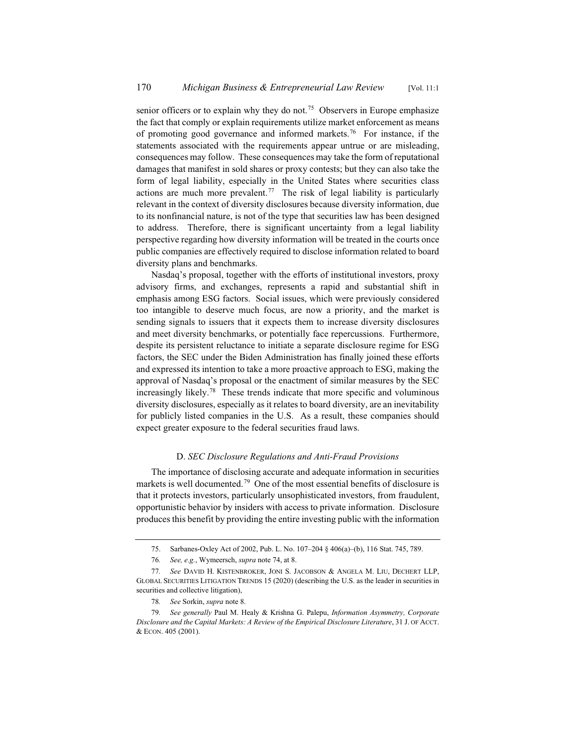senior officers or to explain why they do not.<sup>75</sup> Observers in Europe emphasize the fact that comply or explain requirements utilize market enforcement as means of promoting good governance and informed markets.<sup>76</sup> For instance, if the statements associated with the requirements appear untrue or are misleading, consequences may follow. These consequences may take the form of reputational damages that manifest in sold shares or proxy contests; but they can also take the form of legal liability, especially in the United States where securities class actions are much more prevalent.<sup>77</sup> The risk of legal liability is particularly relevant in the context of diversity disclosures because diversity information, due to its nonfinancial nature, is not of the type that securities law has been designed to address. Therefore, there is significant uncertainty from a legal liability perspective regarding how diversity information will be treated in the courts once public companies are effectively required to disclose information related to board diversity plans and benchmarks.

Nasdaq's proposal, together with the efforts of institutional investors, proxy advisory firms, and exchanges, represents a rapid and substantial shift in emphasis among ESG factors. Social issues, which were previously considered too intangible to deserve much focus, are now a priority, and the market is sending signals to issuers that it expects them to increase diversity disclosures and meet diversity benchmarks, or potentially face repercussions. Furthermore, despite its persistent reluctance to initiate a separate disclosure regime for ESG factors, the SEC under the Biden Administration has finally joined these efforts and expressed its intention to take a more proactive approach to ESG, making the approval of Nasdaq's proposal or the enactment of similar measures by the SEC increasingly likely.78 These trends indicate that more specific and voluminous diversity disclosures, especially as it relates to board diversity, are an inevitability for publicly listed companies in the U.S. As a result, these companies should expect greater exposure to the federal securities fraud laws.

# D. *SEC Disclosure Regulations and Anti-Fraud Provisions*

The importance of disclosing accurate and adequate information in securities markets is well documented.<sup>79</sup> One of the most essential benefits of disclosure is that it protects investors, particularly unsophisticated investors, from fraudulent, opportunistic behavior by insiders with access to private information. Disclosure produces this benefit by providing the entire investing public with the information

<sup>75.</sup> Sarbanes-Oxley Act of 2002, Pub. L. No. 107–204 § 406(a)–(b), 116 Stat. 745, 789.

<sup>76</sup>*. See, e.g.*, Wymeersch, *supra* note 74, at 8.

<sup>77</sup>*. See* DAVID H. KISTENBROKER, JONI S. JACOBSON & ANGELA M. LIU, DECHERT LLP, GLOBAL SECURITIES LITIGATION TRENDS 15 (2020) (describing the U.S. as the leader in securities in securities and collective litigation),

<sup>78</sup>*. See* Sorkin, *supra* note 8.

<sup>79</sup>*. See generally* Paul M. Healy & Krishna G. Palepu, *Information Asymmetry, Corporate Disclosure and the Capital Markets: A Review of the Empirical Disclosure Literature*, 31 J. OF ACCT. & ECON. 405 (2001).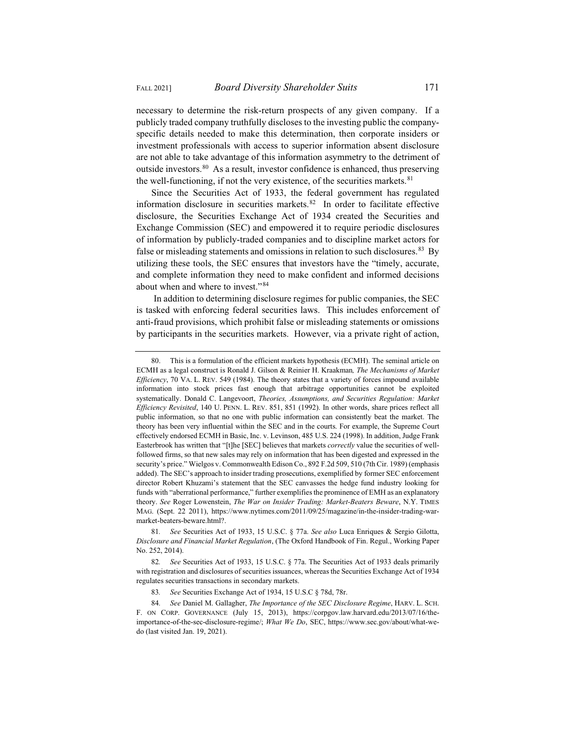necessary to determine the risk-return prospects of any given company. If a publicly traded company truthfully discloses to the investing public the companyspecific details needed to make this determination, then corporate insiders or investment professionals with access to superior information absent disclosure are not able to take advantage of this information asymmetry to the detriment of outside investors.80 As a result, investor confidence is enhanced, thus preserving the well-functioning, if not the very existence, of the securities markets. $81$ 

Since the Securities Act of 1933, the federal government has regulated information disclosure in securities markets.82 In order to facilitate effective disclosure, the Securities Exchange Act of 1934 created the Securities and Exchange Commission (SEC) and empowered it to require periodic disclosures of information by publicly-traded companies and to discipline market actors for false or misleading statements and omissions in relation to such disclosures.<sup>83</sup> By utilizing these tools, the SEC ensures that investors have the "timely, accurate, and complete information they need to make confident and informed decisions about when and where to invest."84

In addition to determining disclosure regimes for public companies, the SEC is tasked with enforcing federal securities laws. This includes enforcement of anti-fraud provisions, which prohibit false or misleading statements or omissions by participants in the securities markets. However, via a private right of action,

<sup>80.</sup> This is a formulation of the efficient markets hypothesis (ECMH). The seminal article on ECMH as a legal construct is Ronald J. Gilson & Reinier H. Kraakman*, The Mechanisms of Market Efficiency*, 70 VA. L. REV. 549 (1984). The theory states that a variety of forces impound available information into stock prices fast enough that arbitrage opportunities cannot be exploited systematically. Donald C. Langevoort, *Theories, Assumptions, and Securities Regulation: Market Efficiency Revisited*, 140 U. PENN. L. REV. 851, 851 (1992). In other words, share prices reflect all public information, so that no one with public information can consistently beat the market. The theory has been very influential within the SEC and in the courts. For example, the Supreme Court effectively endorsed ECMH in Basic, Inc. v. Levinson, 485 U.S. 224 (1998). In addition, Judge Frank Easterbrook has written that "[t]he [SEC] believes that markets *correctly* value the securities of wellfollowed firms, so that new sales may rely on information that has been digested and expressed in the security's price." Wielgos v. Commonwealth Edison Co., 892 F.2d 509, 510 (7th Cir. 1989) (emphasis added). The SEC's approach to insider trading prosecutions, exemplified by former SEC enforcement director Robert Khuzami's statement that the SEC canvasses the hedge fund industry looking for funds with "aberrational performance," further exemplifies the prominence of EMH as an explanatory theory. *See* Roger Lowenstein, *The War on Insider Trading: Market-Beaters Beware*, N.Y. TIMES MAG. (Sept. 22 2011), https://www.nytimes.com/2011/09/25/magazine/in-the-insider-trading-warmarket-beaters-beware.html?.

<sup>81</sup>*. See* Securities Act of 1933, 15 U.S.C. § 77a. *See also* Luca Enriques & Sergio Gilotta, *Disclosure and Financial Market Regulation*, (The Oxford Handbook of Fin. Regul., Working Paper No. 252, 2014).

<sup>82</sup>*. See* Securities Act of 1933, 15 U.S.C. § 77a. The Securities Act of 1933 deals primarily with registration and disclosures of securities issuances, whereas the Securities Exchange Act of 1934 regulates securities transactions in secondary markets.

<sup>83</sup>*. See* Securities Exchange Act of 1934, 15 U.S.C § 78d, 78r.

<sup>84</sup>*. See* Daniel M. Gallagher, *The Importance of the SEC Disclosure Regime*, HARV. L. SCH. F. ON CORP. GOVERNANCE (July 15, 2013), https://corpgov.law.harvard.edu/2013/07/16/theimportance-of-the-sec-disclosure-regime/; *What We Do*, SEC, https://www.sec.gov/about/what-wedo (last visited Jan. 19, 2021).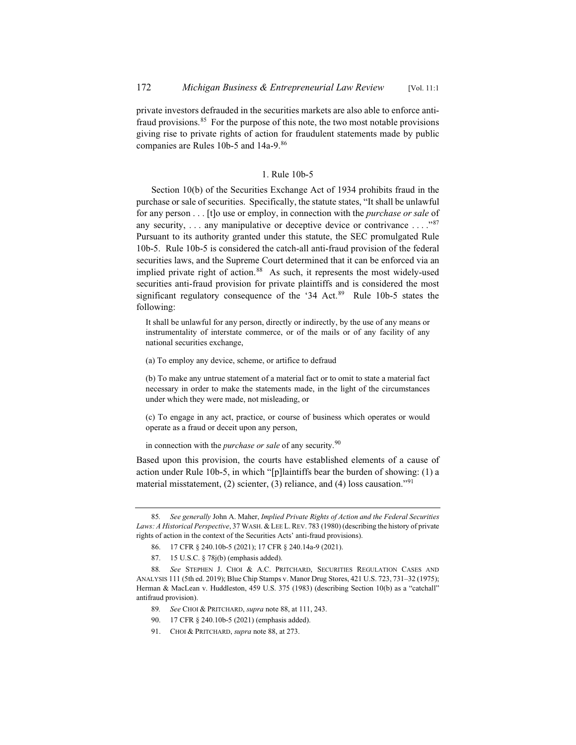private investors defrauded in the securities markets are also able to enforce antifraud provisions.<sup>85</sup> For the purpose of this note, the two most notable provisions giving rise to private rights of action for fraudulent statements made by public companies are Rules 10b-5 and 14a-9.86

# 1. Rule 10b-5

Section 10(b) of the Securities Exchange Act of 1934 prohibits fraud in the purchase or sale of securities. Specifically, the statute states, "It shall be unlawful for any person . . . [t]o use or employ, in connection with the *purchase or sale* of any security, ... any manipulative or deceptive device or contrivance ...."87 Pursuant to its authority granted under this statute, the SEC promulgated Rule 10b-5. Rule 10b-5 is considered the catch-all anti-fraud provision of the federal securities laws, and the Supreme Court determined that it can be enforced via an implied private right of action.<sup>88</sup> As such, it represents the most widely-used securities anti-fraud provision for private plaintiffs and is considered the most significant regulatory consequence of the '34 Act. $89$  Rule 10b-5 states the following:

It shall be unlawful for any person, directly or indirectly, by the use of any means or instrumentality of interstate commerce, or of the mails or of any facility of any national securities exchange,

(a) To employ any device, scheme, or artifice to defraud

(b) To make any untrue statement of a material fact or to omit to state a material fact necessary in order to make the statements made, in the light of the circumstances under which they were made, not misleading, or

(c) To engage in any act, practice, or course of business which operates or would operate as a fraud or deceit upon any person,

in connection with the *purchase or sale* of any security.<sup>90</sup>

Based upon this provision, the courts have established elements of a cause of action under Rule 10b-5, in which "[p]laintiffs bear the burden of showing: (1) a material misstatement, (2) scienter, (3) reliance, and (4) loss causation."91

- 89*. See* CHOI & PRITCHARD, *supra* note 88, at 111, 243.
- 90. 17 CFR § 240.10b-5 (2021) (emphasis added).
- 91. CHOI & PRITCHARD, *supra* note 88, at 273.

<sup>85</sup>*. See generally* John A. Maher, *Implied Private Rights of Action and the Federal Securities Laws: A Historical Perspective*, 37 WASH.&LEE L. REV. 783 (1980) (describing the history of private rights of action in the context of the Securities Acts' anti-fraud provisions).

<sup>86. 17</sup> CFR § 240.10b-5 (2021); 17 CFR § 240.14a-9 (2021).

<sup>87. 15</sup> U.S.C. § 78j(b) (emphasis added).

<sup>88</sup>*. See* STEPHEN J. CHOI & A.C. PRITCHARD, SECURITIES REGULATION CASES AND ANALYSIS 111 (5th ed. 2019); Blue Chip Stamps v. Manor Drug Stores, 421 U.S. 723, 731–32 (1975); Herman & MacLean v. Huddleston, 459 U.S. 375 (1983) (describing Section 10(b) as a "catchall" antifraud provision).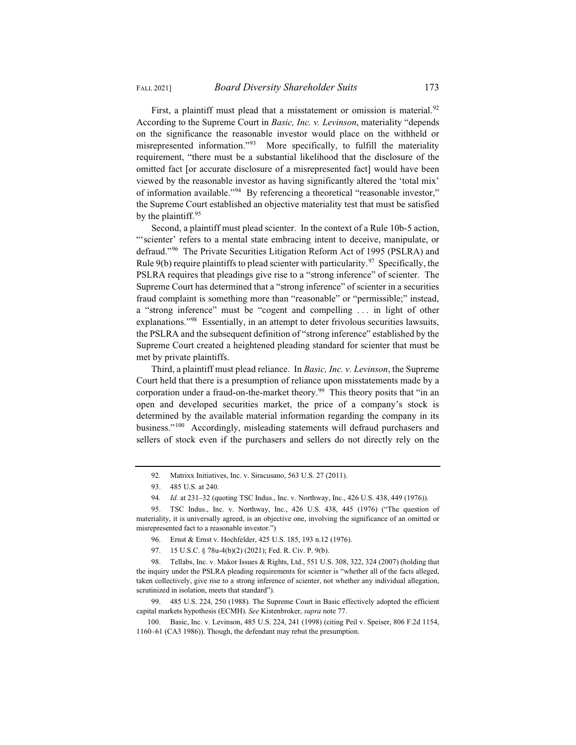by the plaintiff.<sup>95</sup>

First, a plaintiff must plead that a misstatement or omission is material.<sup>92</sup> According to the Supreme Court in *Basic, Inc. v. Levinson*, materiality "depends on the significance the reasonable investor would place on the withheld or misrepresented information."<sup>93</sup> More specifically, to fulfill the materiality requirement, "there must be a substantial likelihood that the disclosure of the omitted fact [or accurate disclosure of a misrepresented fact] would have been viewed by the reasonable investor as having significantly altered the 'total mix' of information available."94 By referencing a theoretical "reasonable investor," the Supreme Court established an objective materiality test that must be satisfied

Second, a plaintiff must plead scienter. In the context of a Rule 10b-5 action, "'scienter' refers to a mental state embracing intent to deceive, manipulate, or defraud."96 The Private Securities Litigation Reform Act of 1995 (PSLRA) and Rule  $9(b)$  require plaintiffs to plead scienter with particularity.<sup>97</sup> Specifically, the PSLRA requires that pleadings give rise to a "strong inference" of scienter. The Supreme Court has determined that a "strong inference" of scienter in a securities fraud complaint is something more than "reasonable" or "permissible;" instead, a "strong inference" must be "cogent and compelling . . . in light of other explanations."<sup>98</sup> Essentially, in an attempt to deter frivolous securities lawsuits, the PSLRA and the subsequent definition of "strong inference" established by the Supreme Court created a heightened pleading standard for scienter that must be met by private plaintiffs.

Third, a plaintiff must plead reliance. In *Basic, Inc. v. Levinson*, the Supreme Court held that there is a presumption of reliance upon misstatements made by a corporation under a fraud-on-the-market theory.<sup>99</sup> This theory posits that "in an open and developed securities market, the price of a company's stock is determined by the available material information regarding the company in its business."<sup>100</sup> Accordingly, misleading statements will defraud purchasers and sellers of stock even if the purchasers and sellers do not directly rely on the

99. 485 U.S. 224, 250 (1988). The Supreme Court in Basic effectively adopted the efficient capital markets hypothesis (ECMH). *See* Kistenbroker, *supra* note 77.

<sup>92.</sup> Matrixx Initiatives, Inc. v. Siracusano, 563 U.S. 27 (2011).

<sup>93. 485</sup> U.S. at 240.

<sup>94</sup>*. Id.* at 231–32 (quoting TSC Indus., Inc. v. Northway, Inc., 426 U.S. 438, 449 (1976)).

<sup>95.</sup> TSC Indus., Inc. v. Northway, Inc., 426 U.S. 438, 445 (1976) ("The question of materiality, it is universally agreed, is an objective one, involving the significance of an omitted or misrepresented fact to a reasonable investor.")

<sup>96.</sup> Ernst & Ernst v. Hochfelder, 425 U.S. 185, 193 n.12 (1976).

<sup>97. 15</sup> U.S.C. § 78u-4(b)(2) (2021); Fed. R. Civ. P. 9(b).

<sup>98.</sup> Tellabs, Inc. v. Makor Issues & Rights, Ltd., 551 U.S. 308, 322, 324 (2007) (holding that the inquiry under the PSLRA pleading requirements for scienter is "whether all of the facts alleged, taken collectively, give rise to a strong inference of scienter, not whether any individual allegation, scrutinized in isolation, meets that standard").

<sup>100.</sup> Basic, Inc. v. Levinson, 485 U.S. 224, 241 (1998) (citing Peil v. Speiser, 806 F.2d 1154, 1160–61 (CA3 1986)). Though, the defendant may rebut the presumption.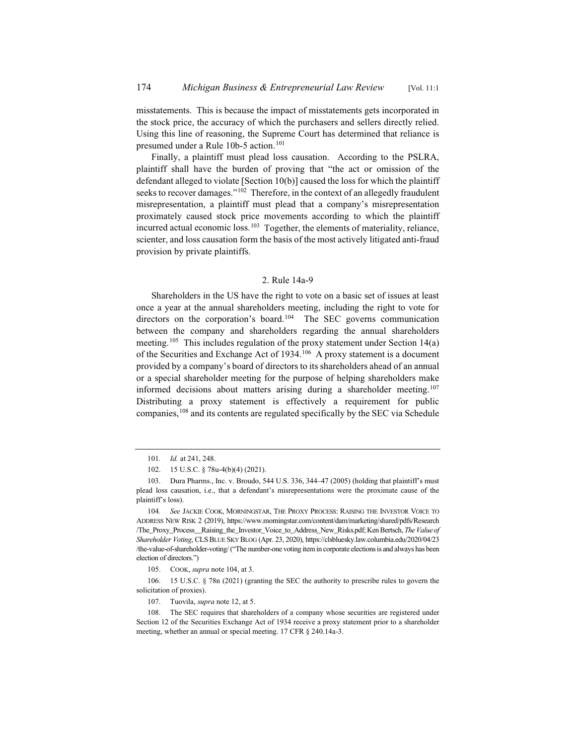misstatements. This is because the impact of misstatements gets incorporated in the stock price, the accuracy of which the purchasers and sellers directly relied. Using this line of reasoning, the Supreme Court has determined that reliance is presumed under a Rule 10b-5 action.<sup>101</sup>

Finally, a plaintiff must plead loss causation. According to the PSLRA, plaintiff shall have the burden of proving that "the act or omission of the defendant alleged to violate [Section 10(b)] caused the loss for which the plaintiff seeks to recover damages."<sup>102</sup> Therefore, in the context of an allegedly fraudulent misrepresentation, a plaintiff must plead that a company's misrepresentation proximately caused stock price movements according to which the plaintiff incurred actual economic loss.<sup>103</sup> Together, the elements of materiality, reliance, scienter, and loss causation form the basis of the most actively litigated anti-fraud provision by private plaintiffs.

### 2. Rule 14a-9

Shareholders in the US have the right to vote on a basic set of issues at least once a year at the annual shareholders meeting, including the right to vote for directors on the corporation's board.<sup>104</sup> The SEC governs communication between the company and shareholders regarding the annual shareholders meeting.<sup>105</sup> This includes regulation of the proxy statement under Section 14(a) of the Securities and Exchange Act of 1934.106 A proxy statement is a document provided by a company's board of directors to its shareholders ahead of an annual or a special shareholder meeting for the purpose of helping shareholders make informed decisions about matters arising during a shareholder meeting.<sup>107</sup> Distributing a proxy statement is effectively a requirement for public companies,<sup>108</sup> and its contents are regulated specifically by the SEC via Schedule

<sup>101</sup>*. Id.* at 241, 248.

<sup>102. 15</sup> U.S.C. § 78u-4(b)(4) (2021).

<sup>103.</sup> Dura Pharms., Inc. v. Broudo, 544 U.S. 336, 344–47 (2005) (holding that plaintiff's must plead loss causation, i.e., that a defendant's misrepresentations were the proximate cause of the plaintiff's loss).

<sup>104</sup>*. See* JACKIE COOK, MORNINGSTAR, THE PROXY PROCESS: RAISING THE INVESTOR VOICE TO ADDRESS NEW RISK 2 (2019), https://www.morningstar.com/content/dam/marketing/shared/pdfs/Research /The\_Proxy\_Process\_\_Raising\_the\_Investor\_Voice\_to\_Address\_New\_Risks.pdf; Ken Bertsch, *The Value of Shareholder Voting*, CLSBLUE SKY BLOG (Apr. 23, 2020), https://clsbluesky.law.columbia.edu/2020/04/23 /the-value-of-shareholder-voting/ ("The number-one voting item in corporate elections is and always has been election of directors.")

<sup>105.</sup> COOK, *supra* note 104, at 3.

<sup>106. 15</sup> U.S.C. § 78n (2021) (granting the SEC the authority to prescribe rules to govern the solicitation of proxies).

<sup>107.</sup> Tuovila, *supra* note 12, at 5.

<sup>108.</sup> The SEC requires that shareholders of a company whose securities are registered under Section 12 of the Securities Exchange Act of 1934 receive a proxy statement prior to a shareholder meeting, whether an annual or special meeting. 17 CFR § 240.14a-3.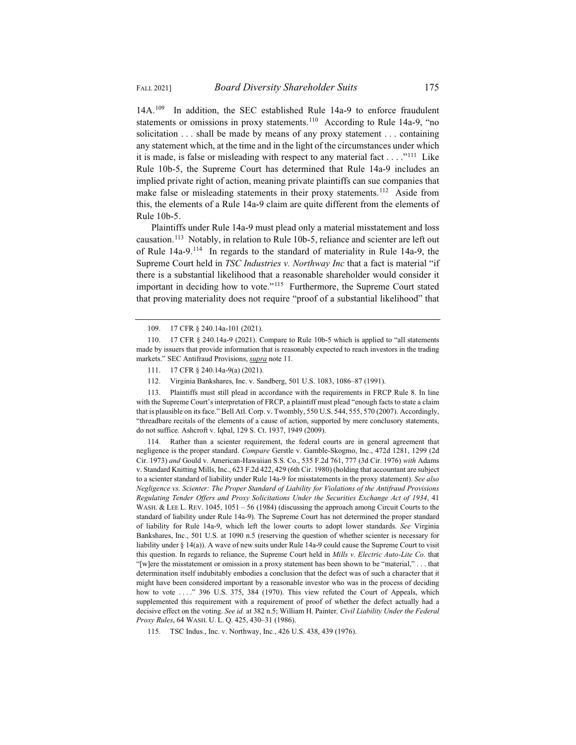14A.<sup>109</sup> In addition, the SEC established Rule 14a-9 to enforce fraudulent statements or omissions in proxy statements.<sup>110</sup> According to Rule 14a-9, "no solicitation . . . shall be made by means of any proxy statement . . . containing any statement which, at the time and in the light of the circumstances under which it is made, is false or misleading with respect to any material fact  $\dots$ .  $\cdot$ <sup>111</sup> Like Rule 10b-5, the Supreme Court has determined that Rule 14a-9 includes an implied private right of action, meaning private plaintiffs can sue companies that make false or misleading statements in their proxy statements.<sup>112</sup> Aside from this, the elements of a Rule 14a-9 claim are quite different from the elements of Rule 10b-5.

Plaintiffs under Rule 14a-9 must plead only a material misstatement and loss causation.113 Notably, in relation to Rule 10b-5, reliance and scienter are left out of Rule 14a-9.114 In regards to the standard of materiality in Rule 14a-9, the Supreme Court held in *TSC Industries v. Northway Inc* that a fact is material "if there is a substantial likelihood that a reasonable shareholder would consider it important in deciding how to vote."<sup>115</sup> Furthermore, the Supreme Court stated that proving materiality does not require "proof of a substantial likelihood" that

- 111. 17 CFR § 240.14a-9(a) (2021).
- 112. Virginia Bankshares, Inc. v. Sandberg, 501 U.S. 1083, 1086–87 (1991).

113. Plaintiffs must still plead in accordance with the requirements in FRCP Rule 8. In line with the Supreme Court's interpretation of FRCP, a plaintiff must plead "enough facts to state a claim that is plausible on its face." Bell Atl. Corp. v. Twombly, 550 U.S. 544, 555, 570 (2007). Accordingly, "threadbare recitals of the elements of a cause of action, supported by mere conclusory statements, do not suffice. Ashcroft v. Iqbal, 129 S. Ct. 1937, 1949 (2009).

Rather than a scienter requirement, the federal courts are in general agreement that negligence is the proper standard. *Compare* Gerstle v. Gamble-Skogmo, Inc., 472d 1281, 1299 (2d Cir. 1973) *and* Gould v. American-Hawaiian S.S. Co., 535 F.2d 761, 777 (3d Cir. 1976) *with* Adams v. Standard Knitting Mills, Inc., 623 F.2d 422, 429 (6th Cir. 1980) (holding that accountant are subject to a scienter standard of liability under Rule 14a-9 for misstatements in the proxy statement). *See also Negligence vs. Scienter: The Proper Standard of Liability for Violations of the Antifraud Provisions Regulating Tender Offers and Proxy Solicitations Under the Securities Exchange Act of 1934*, 41 WASH. & LEE L. REV. 1045, 1051 - 56 (1984) (discussing the approach among Circuit Courts to the standard of liability under Rule 14a-9). The Supreme Court has not determined the proper standard of liability for Rule 14a-9, which left the lower courts to adopt lower standards. *See* Virginia Bankshares, Inc., 501 U.S. at 1090 n.5 (reserving the question of whether scienter is necessary for liability under § 14(a)). A wave of new suits under Rule 14a-9 could cause the Supreme Court to visit this question. In regards to reliance, the Supreme Court held in *Mills v. Electric Auto-Lite Co.* that "[w]ere the misstatement or omission in a proxy statement has been shown to be "material," . . . that determination itself indubitably embodies a conclusion that the defect was of such a character that it might have been considered important by a reasonable investor who was in the process of deciding how to vote . . . . " 396 U.S. 375, 384 (1970). This view refuted the Court of Appeals, which supplemented this requirement with a requirement of proof of whether the defect actually had a decisive effect on the voting. *See id.* at 382 n.5; William H. Painter*, Civil Liability Under the Federal Proxy Rules*, 64 WASH. U. L. Q. 425, 430–31 (1986).

115. TSC Indus., Inc. v. Northway, Inc., 426 U.S. 438, 439 (1976).

<sup>109. 17</sup> CFR § 240.14a-101 (2021).

<sup>110. 17</sup> CFR § 240.14a-9 (2021). Compare to Rule 10b-5 which is applied to "all statements made by issuers that provide information that is reasonably expected to reach investors in the trading markets." SEC Antifraud Provisions, *supra* note 11.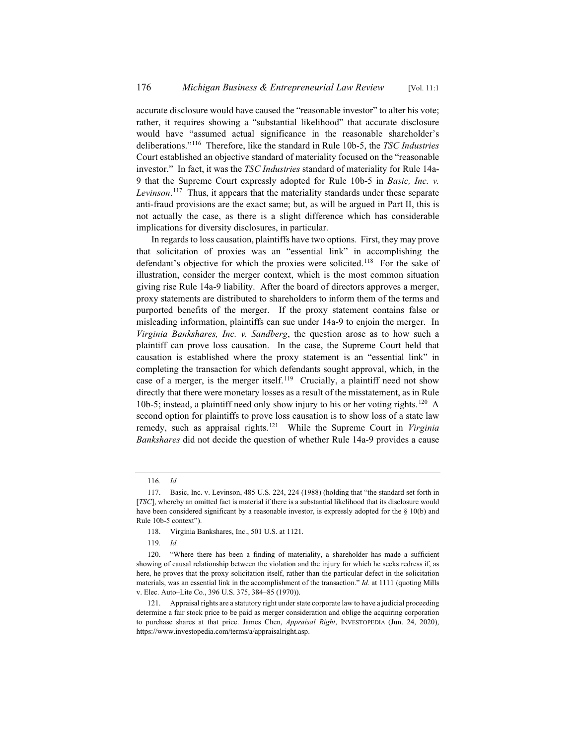accurate disclosure would have caused the "reasonable investor" to alter his vote; rather, it requires showing a "substantial likelihood" that accurate disclosure would have "assumed actual significance in the reasonable shareholder's deliberations."116 Therefore, like the standard in Rule 10b-5, the *TSC Industries* Court established an objective standard of materiality focused on the "reasonable investor." In fact, it was the *TSC Industries* standard of materiality for Rule 14a-9 that the Supreme Court expressly adopted for Rule 10b-5 in *Basic, Inc. v. Levinson*. <sup>117</sup> Thus, it appears that the materiality standards under these separate anti-fraud provisions are the exact same; but, as will be argued in Part II, this is not actually the case, as there is a slight difference which has considerable implications for diversity disclosures, in particular.

In regards to loss causation, plaintiffs have two options. First, they may prove that solicitation of proxies was an "essential link" in accomplishing the defendant's objective for which the proxies were solicited.<sup>118</sup> For the sake of illustration, consider the merger context, which is the most common situation giving rise Rule 14a-9 liability. After the board of directors approves a merger, proxy statements are distributed to shareholders to inform them of the terms and purported benefits of the merger. If the proxy statement contains false or misleading information, plaintiffs can sue under 14a-9 to enjoin the merger. In *Virginia Bankshares, Inc. v. Sandberg*, the question arose as to how such a plaintiff can prove loss causation. In the case, the Supreme Court held that causation is established where the proxy statement is an "essential link" in completing the transaction for which defendants sought approval, which, in the case of a merger, is the merger itself.<sup>119</sup> Crucially, a plaintiff need not show directly that there were monetary losses as a result of the misstatement, as in Rule 10b-5; instead, a plaintiff need only show injury to his or her voting rights.120 A second option for plaintiffs to prove loss causation is to show loss of a state law remedy, such as appraisal rights.121 While the Supreme Court in *Virginia Bankshares* did not decide the question of whether Rule 14a-9 provides a cause

<sup>116</sup>*. Id.*

<sup>117.</sup> Basic, Inc. v. Levinson, 485 U.S. 224, 224 (1988) (holding that "the standard set forth in [*TSC*], whereby an omitted fact is material if there is a substantial likelihood that its disclosure would have been considered significant by a reasonable investor, is expressly adopted for the § 10(b) and Rule 10b-5 context").

<sup>118.</sup> Virginia Bankshares, Inc., 501 U.S. at 1121.

<sup>119</sup>*. Id.*

<sup>120. &</sup>quot;Where there has been a finding of materiality, a shareholder has made a sufficient showing of causal relationship between the violation and the injury for which he seeks redress if, as here, he proves that the proxy solicitation itself, rather than the particular defect in the solicitation materials, was an essential link in the accomplishment of the transaction." *Id.* at 1111 (quoting Mills v. Elec. Auto–Lite Co., 396 U.S. 375, 384–85 (1970)).

<sup>121.</sup> Appraisal rights are a statutory right under state corporate law to have a judicial proceeding determine a fair stock price to be paid as merger consideration and oblige the acquiring corporation to purchase shares at that price. James Chen, *Appraisal Right*, INVESTOPEDIA (Jun. 24, 2020), https://www.investopedia.com/terms/a/appraisalright.asp.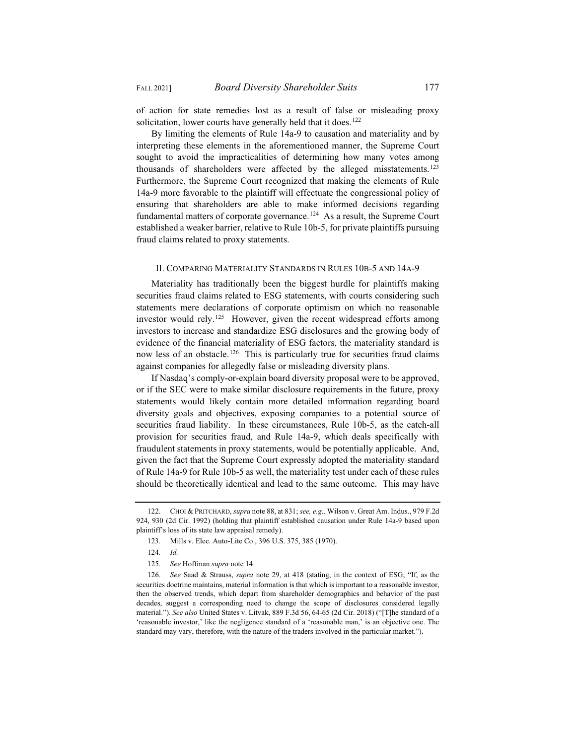of action for state remedies lost as a result of false or misleading proxy solicitation, lower courts have generally held that it does.<sup>122</sup>

By limiting the elements of Rule 14a-9 to causation and materiality and by interpreting these elements in the aforementioned manner, the Supreme Court sought to avoid the impracticalities of determining how many votes among thousands of shareholders were affected by the alleged misstatements.123 Furthermore, the Supreme Court recognized that making the elements of Rule 14a-9 more favorable to the plaintiff will effectuate the congressional policy of ensuring that shareholders are able to make informed decisions regarding fundamental matters of corporate governance.<sup>124</sup> As a result, the Supreme Court established a weaker barrier, relative to Rule 10b-5, for private plaintiffs pursuing fraud claims related to proxy statements.

# II. COMPARING MATERIALITY STANDARDS IN RULES 10B-5 AND 14A-9

Materiality has traditionally been the biggest hurdle for plaintiffs making securities fraud claims related to ESG statements, with courts considering such statements mere declarations of corporate optimism on which no reasonable investor would rely.<sup>125</sup> However, given the recent widespread efforts among investors to increase and standardize ESG disclosures and the growing body of evidence of the financial materiality of ESG factors, the materiality standard is now less of an obstacle.<sup>126</sup> This is particularly true for securities fraud claims against companies for allegedly false or misleading diversity plans.

If Nasdaq's comply-or-explain board diversity proposal were to be approved, or if the SEC were to make similar disclosure requirements in the future, proxy statements would likely contain more detailed information regarding board diversity goals and objectives, exposing companies to a potential source of securities fraud liability. In these circumstances, Rule 10b-5, as the catch-all provision for securities fraud, and Rule 14a-9, which deals specifically with fraudulent statements in proxy statements, would be potentially applicable. And, given the fact that the Supreme Court expressly adopted the materiality standard of Rule 14a-9 for Rule 10b-5 as well, the materiality test under each of these rules should be theoretically identical and lead to the same outcome. This may have

<sup>122.</sup> CHOI & PRITCHARD, *supra* note 88, at 831; *see, e.g.,* Wilson v. Great Am. Indus., 979 F.2d 924, 930 (2d Cir. 1992) (holding that plaintiff established causation under Rule 14a-9 based upon plaintiff's loss of its state law appraisal remedy).

<sup>123.</sup> Mills v. Elec. Auto-Lite Co., 396 U.S. 375, 385 (1970).

<sup>124</sup>*. Id.*

<sup>125</sup>*. See* Hoffman *supra* note 14.

<sup>126</sup>*. See* Saad & Strauss, *supra* note 29, at 418 (stating, in the context of ESG, "If, as the securities doctrine maintains, material information is that which is important to a reasonable investor, then the observed trends, which depart from shareholder demographics and behavior of the past decades, suggest a corresponding need to change the scope of disclosures considered legally material."). *See also* United States v. Litvak, 889 F.3d 56, 64-65 (2d Cir. 2018) ("[T]he standard of a 'reasonable investor,' like the negligence standard of a 'reasonable man,' is an objective one. The standard may vary, therefore, with the nature of the traders involved in the particular market.").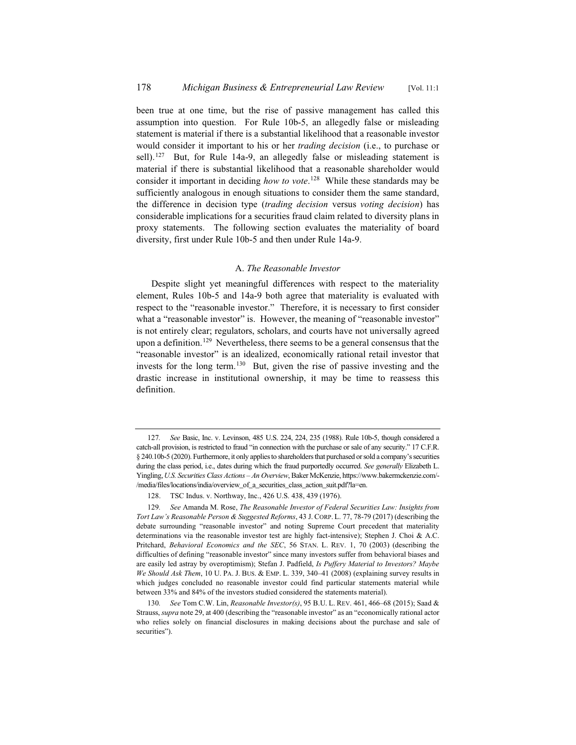been true at one time, but the rise of passive management has called this assumption into question. For Rule 10b-5, an allegedly false or misleading statement is material if there is a substantial likelihood that a reasonable investor would consider it important to his or her *trading decision* (i.e., to purchase or sell).<sup>127</sup> But, for Rule 14a-9, an allegedly false or misleading statement is material if there is substantial likelihood that a reasonable shareholder would consider it important in deciding *how to vote*. <sup>128</sup> While these standards may be sufficiently analogous in enough situations to consider them the same standard, the difference in decision type (*trading decision* versus *voting decision*) has considerable implications for a securities fraud claim related to diversity plans in proxy statements. The following section evaluates the materiality of board diversity, first under Rule 10b-5 and then under Rule 14a-9.

# A. *The Reasonable Investor*

Despite slight yet meaningful differences with respect to the materiality element, Rules 10b-5 and 14a-9 both agree that materiality is evaluated with respect to the "reasonable investor." Therefore, it is necessary to first consider what a "reasonable investor" is. However, the meaning of "reasonable investor" is not entirely clear; regulators, scholars, and courts have not universally agreed upon a definition.<sup>129</sup> Nevertheless, there seems to be a general consensus that the "reasonable investor" is an idealized, economically rational retail investor that invests for the long term.130 But, given the rise of passive investing and the drastic increase in institutional ownership, it may be time to reassess this definition.

<sup>127</sup>*. See* Basic, Inc. v. Levinson, 485 U.S. 224, 224, 235 (1988). Rule 10b-5, though considered a catch-all provision, is restricted to fraud "in connection with the purchase or sale of any security." 17 C.F.R. § 240.10b-5 (2020). Furthermore, it only applies to shareholders that purchased or sold a company's securities during the class period, i.e., dates during which the fraud purportedly occurred. *See generally* Elizabeth L. Yingling,*U.S. Securities Class Actions – An Overview*, Baker McKenzie, https://www.bakermckenzie.com/- /media/files/locations/india/overview\_of\_a\_securities\_class\_action\_suit.pdf?la=en.

<sup>128.</sup> TSC Indus. v. Northway, Inc., 426 U.S. 438, 439 (1976).

<sup>129</sup>*. See* Amanda M. Rose, *The Reasonable Investor of Federal Securities Law: Insights from Tort Law's Reasonable Person & Suggested Reforms*, 43 J. CORP. L. 77, 78-79 (2017) (describing the debate surrounding "reasonable investor" and noting Supreme Court precedent that materiality determinations via the reasonable investor test are highly fact-intensive); Stephen J. Choi & A.C. Pritchard, *Behavioral Economics and the SEC*, 56 STAN. L. REV. 1, 70 (2003) (describing the difficulties of defining "reasonable investor" since many investors suffer from behavioral biases and are easily led astray by overoptimism); Stefan J. Padfield, *Is Puffery Material to Investors? Maybe We Should Ask Them*, 10 U. PA. J. BUS.&EMP. L. 339, 340–41 (2008) (explaining survey results in which judges concluded no reasonable investor could find particular statements material while between 33% and 84% of the investors studied considered the statements material).

<sup>130</sup>*. See* Tom C.W. Lin, *Reasonable Investor(s)*, 95 B.U. L. REV. 461, 466–68 (2015); Saad & Strauss, *supra* note 29, at 400 (describing the "reasonable investor" as an "economically rational actor who relies solely on financial disclosures in making decisions about the purchase and sale of securities").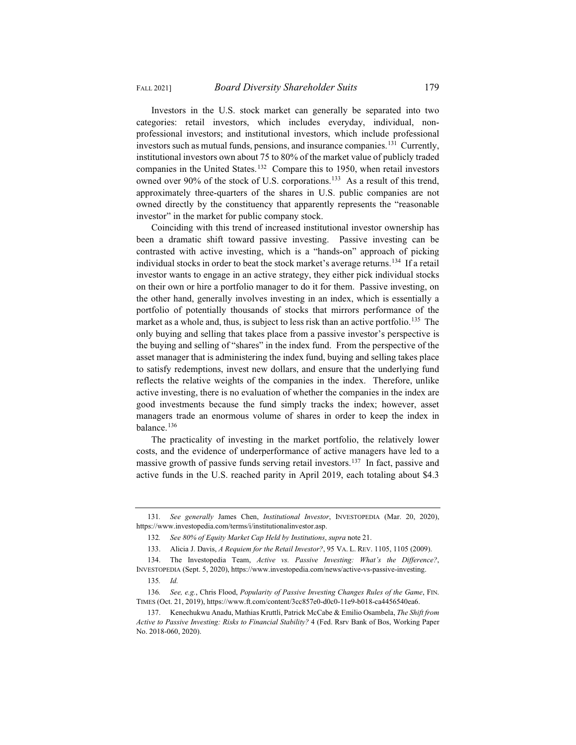Investors in the U.S. stock market can generally be separated into two categories: retail investors, which includes everyday, individual, nonprofessional investors; and institutional investors, which include professional investors such as mutual funds, pensions, and insurance companies.131 Currently, institutional investors own about 75 to 80% of the market value of publicly traded companies in the United States.132 Compare this to 1950, when retail investors owned over 90% of the stock of U.S. corporations.<sup>133</sup> As a result of this trend, approximately three-quarters of the shares in U.S. public companies are not owned directly by the constituency that apparently represents the "reasonable investor" in the market for public company stock.

Coinciding with this trend of increased institutional investor ownership has been a dramatic shift toward passive investing. Passive investing can be contrasted with active investing, which is a "hands-on" approach of picking individual stocks in order to beat the stock market's average returns.134 If a retail investor wants to engage in an active strategy, they either pick individual stocks on their own or hire a portfolio manager to do it for them. Passive investing, on the other hand, generally involves investing in an index, which is essentially a portfolio of potentially thousands of stocks that mirrors performance of the market as a whole and, thus, is subject to less risk than an active portfolio.<sup>135</sup> The only buying and selling that takes place from a passive investor's perspective is the buying and selling of "shares" in the index fund. From the perspective of the asset manager that is administering the index fund, buying and selling takes place to satisfy redemptions, invest new dollars, and ensure that the underlying fund reflects the relative weights of the companies in the index. Therefore, unlike active investing, there is no evaluation of whether the companies in the index are good investments because the fund simply tracks the index; however, asset managers trade an enormous volume of shares in order to keep the index in balance.<sup>136</sup>

The practicality of investing in the market portfolio, the relatively lower costs, and the evidence of underperformance of active managers have led to a massive growth of passive funds serving retail investors.<sup>137</sup> In fact, passive and active funds in the U.S. reached parity in April 2019, each totaling about \$4.3

<sup>131</sup>*. See generally* James Chen, *Institutional Investor*, INVESTOPEDIA (Mar. 20, 2020), https://www.investopedia.com/terms/i/institutionalinvestor.asp.

<sup>132</sup>*. See 80% of Equity Market Cap Held by Institutions*, *supra* note 21.

<sup>133.</sup> Alicia J. Davis, *A Requiem for the Retail Investor?*, 95 VA. L. REV. 1105, 1105 (2009).

<sup>134.</sup> The Investopedia Team, *Active vs. Passive Investing: What's the Difference?*, INVESTOPEDIA (Sept. 5, 2020), https://www.investopedia.com/news/active-vs-passive-investing.

<sup>135</sup>*. Id.*

<sup>136</sup>*. See, e.g.*, Chris Flood, *Popularity of Passive Investing Changes Rules of the Game*, FIN. TIMES (Oct. 21, 2019), https://www.ft.com/content/3cc857e0-d0c0-11e9-b018-ca4456540ea6.

<sup>137.</sup> Kenechukwu Anadu, Mathias Kruttli, Patrick McCabe & Emilio Osambela, *The Shift from Active to Passive Investing: Risks to Financial Stability?* 4 (Fed. Rsrv Bank of Bos, Working Paper No. 2018-060, 2020).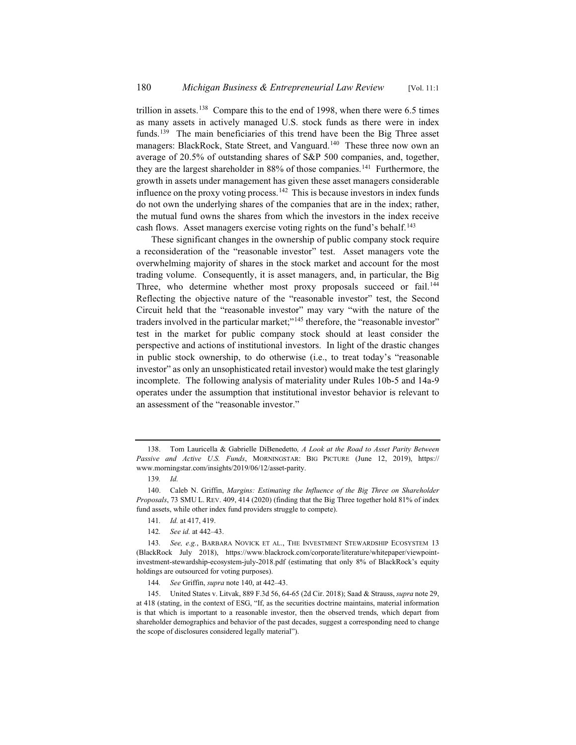trillion in assets.<sup>138</sup> Compare this to the end of 1998, when there were 6.5 times as many assets in actively managed U.S. stock funds as there were in index funds.<sup>139</sup> The main beneficiaries of this trend have been the Big Three asset managers: BlackRock, State Street, and Vanguard.<sup>140</sup> These three now own an average of 20.5% of outstanding shares of S&P 500 companies, and, together, they are the largest shareholder in  $88\%$  of those companies.<sup>141</sup> Furthermore, the growth in assets under management has given these asset managers considerable influence on the proxy voting process.<sup>142</sup> This is because investors in index funds do not own the underlying shares of the companies that are in the index; rather, the mutual fund owns the shares from which the investors in the index receive cash flows. Asset managers exercise voting rights on the fund's behalf.<sup>143</sup>

These significant changes in the ownership of public company stock require a reconsideration of the "reasonable investor" test. Asset managers vote the overwhelming majority of shares in the stock market and account for the most trading volume. Consequently, it is asset managers, and, in particular, the Big Three, who determine whether most proxy proposals succeed or fail.<sup>144</sup> Reflecting the objective nature of the "reasonable investor" test, the Second Circuit held that the "reasonable investor" may vary "with the nature of the traders involved in the particular market;"<sup>145</sup> therefore, the "reasonable investor" test in the market for public company stock should at least consider the perspective and actions of institutional investors. In light of the drastic changes in public stock ownership, to do otherwise (i.e., to treat today's "reasonable investor" as only an unsophisticated retail investor) would make the test glaringly incomplete. The following analysis of materiality under Rules 10b-5 and 14a-9 operates under the assumption that institutional investor behavior is relevant to an assessment of the "reasonable investor."

<sup>138.</sup> Tom Lauricella & Gabrielle DiBenedetto*, A Look at the Road to Asset Parity Between Passive and Active U.S. Funds*, MORNINGSTAR: BIG PICTURE (June 12, 2019), https:// www.morningstar.com/insights/2019/06/12/asset-parity.

<sup>139</sup>*. Id.*

<sup>140.</sup> Caleb N. Griffin, *Margins: Estimating the Influence of the Big Three on Shareholder Proposals*, 73 SMU L. REV. 409, 414 (2020) (finding that the Big Three together hold 81% of index fund assets, while other index fund providers struggle to compete).

<sup>141</sup>*. Id.* at 417, 419.

<sup>142</sup>*. See id.* at 442–43.

<sup>143.</sup> See, e.g., BARBARA NOVICK ET AL., THE INVESTMENT STEWARDSHIP ECOSYSTEM 13 (BlackRock July 2018), https://www.blackrock.com/corporate/literature/whitepaper/viewpointinvestment-stewardship-ecosystem-july-2018.pdf (estimating that only 8% of BlackRock's equity holdings are outsourced for voting purposes).

<sup>144</sup>*. See* Griffin, *supra* note 140, at 442–43.

<sup>145.</sup> United States v. Litvak, 889 F.3d 56, 64-65 (2d Cir. 2018); Saad & Strauss, *supra* note 29, at 418 (stating, in the context of ESG, "If, as the securities doctrine maintains, material information is that which is important to a reasonable investor, then the observed trends, which depart from shareholder demographics and behavior of the past decades, suggest a corresponding need to change the scope of disclosures considered legally material").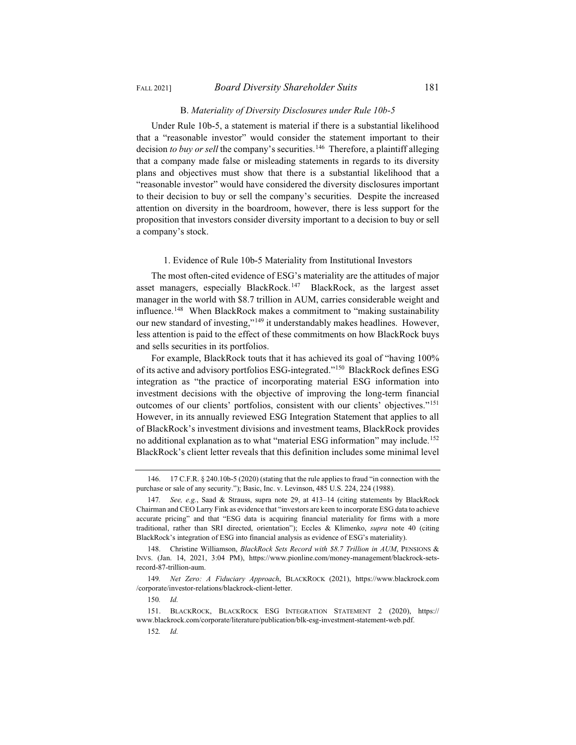#### B. *Materiality of Diversity Disclosures under Rule 10b-5*

Under Rule 10b-5, a statement is material if there is a substantial likelihood that a "reasonable investor" would consider the statement important to their decision *to buy or sell* the company's securities.<sup>146</sup> Therefore, a plaintiff alleging that a company made false or misleading statements in regards to its diversity plans and objectives must show that there is a substantial likelihood that a "reasonable investor" would have considered the diversity disclosures important to their decision to buy or sell the company's securities. Despite the increased attention on diversity in the boardroom, however, there is less support for the proposition that investors consider diversity important to a decision to buy or sell a company's stock.

# 1. Evidence of Rule 10b-5 Materiality from Institutional Investors

The most often-cited evidence of ESG's materiality are the attitudes of major asset managers, especially BlackRock.<sup>147</sup> BlackRock, as the largest asset manager in the world with \$8.7 trillion in AUM, carries considerable weight and influence.<sup>148</sup> When BlackRock makes a commitment to "making sustainability our new standard of investing,"149 it understandably makes headlines. However, less attention is paid to the effect of these commitments on how BlackRock buys and sells securities in its portfolios.

For example, BlackRock touts that it has achieved its goal of "having 100% of its active and advisory portfolios ESG-integrated."150 BlackRock defines ESG integration as "the practice of incorporating material ESG information into investment decisions with the objective of improving the long-term financial outcomes of our clients' portfolios, consistent with our clients' objectives."151 However, in its annually reviewed ESG Integration Statement that applies to all of BlackRock's investment divisions and investment teams, BlackRock provides no additional explanation as to what "material ESG information" may include.<sup>152</sup> BlackRock's client letter reveals that this definition includes some minimal level

<sup>146. 17</sup> C.F.R. § 240.10b-5 (2020) (stating that the rule applies to fraud "in connection with the purchase or sale of any security."); Basic, Inc. v. Levinson, 485 U.S. 224, 224 (1988).

<sup>147</sup>*. See, e.g.*, Saad & Strauss, supra note 29, at 413–14 (citing statements by BlackRock Chairman and CEO Larry Fink as evidence that "investors are keen to incorporate ESG data to achieve accurate pricing" and that "ESG data is acquiring financial materiality for firms with a more traditional, rather than SRI directed, orientation"); Eccles & Klimenko, *supra* note 40 (citing BlackRock's integration of ESG into financial analysis as evidence of ESG's materiality).

<sup>148.</sup> Christine Williamson, *BlackRock Sets Record with \$8.7 Trillion in AUM*, PENSIONS & INVS. (Jan. 14, 2021, 3:04 PM), https://www.pionline.com/money-management/blackrock-setsrecord-87-trillion-aum.

<sup>149</sup>*. Net Zero: A Fiduciary Approach*, BLACKROCK (2021), https://www.blackrock.com /corporate/investor-relations/blackrock-client-letter.

<sup>150</sup>*. Id.*

<sup>151.</sup> BLACKROCK, BLACKROCK ESG INTEGRATION STATEMENT 2 (2020), https:// www.blackrock.com/corporate/literature/publication/blk-esg-investment-statement-web.pdf.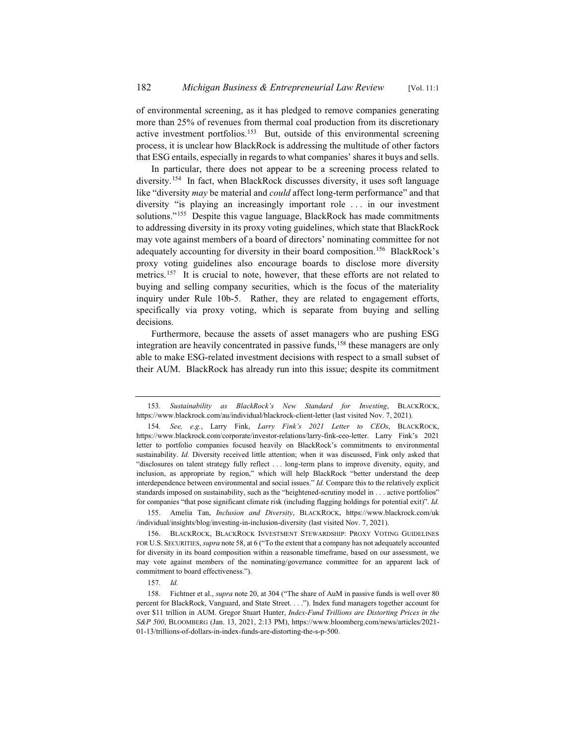of environmental screening, as it has pledged to remove companies generating more than 25% of revenues from thermal coal production from its discretionary active investment portfolios.153 But, outside of this environmental screening process, it is unclear how BlackRock is addressing the multitude of other factors that ESG entails, especially in regards to what companies' shares it buys and sells.

In particular, there does not appear to be a screening process related to diversity.154 In fact, when BlackRock discusses diversity, it uses soft language like "diversity *may* be material and *could* affect long-term performance" and that diversity "is playing an increasingly important role . . . in our investment solutions."<sup>155</sup> Despite this vague language, BlackRock has made commitments to addressing diversity in its proxy voting guidelines, which state that BlackRock may vote against members of a board of directors' nominating committee for not adequately accounting for diversity in their board composition.<sup>156</sup> BlackRock's proxy voting guidelines also encourage boards to disclose more diversity metrics.<sup>157</sup> It is crucial to note, however, that these efforts are not related to buying and selling company securities, which is the focus of the materiality inquiry under Rule 10b-5. Rather, they are related to engagement efforts, specifically via proxy voting, which is separate from buying and selling decisions.

Furthermore, because the assets of asset managers who are pushing ESG integration are heavily concentrated in passive funds,<sup>158</sup> these managers are only able to make ESG-related investment decisions with respect to a small subset of their AUM. BlackRock has already run into this issue; despite its commitment

155. Amelia Tan, *Inclusion and Diversity*, BLACKROCK, https://www.blackrock.com/uk /individual/insights/blog/investing-in-inclusion-diversity (last visited Nov. 7, 2021).

156. BLACKROCK, BLACKROCK INVESTMENT STEWARDSHIP: PROXY VOTING GUIDELINES FOR U.S. SECURITIES, *supra* note 58, at 6 ("To the extent that a company has not adequately accounted for diversity in its board composition within a reasonable timeframe, based on our assessment, we may vote against members of the nominating/governance committee for an apparent lack of commitment to board effectiveness.").

<sup>153</sup>*. Sustainability as BlackRock's New Standard for Investing*, BLACKROCK, https://www.blackrock.com/au/individual/blackrock-client-letter (last visited Nov. 7, 2021).

<sup>154</sup>*. See, e.g.*, Larry Fink, *Larry Fink's 2021 Letter to CEOs*, BLACKROCK, https://www.blackrock.com/corporate/investor-relations/larry-fink-ceo-letter. Larry Fink's 2021 letter to portfolio companies focused heavily on BlackRock's commitments to environmental sustainability. *Id.* Diversity received little attention; when it was discussed, Fink only asked that "disclosures on talent strategy fully reflect . . . long-term plans to improve diversity, equity, and inclusion, as appropriate by region," which will help BlackRock "better understand the deep interdependence between environmental and social issues." *Id.* Compare this to the relatively explicit standards imposed on sustainability, such as the "heightened-scrutiny model in . . . active portfolios" for companies "that pose significant climate risk (including flagging holdings for potential exit)". *Id.*

<sup>157</sup>*. Id.*

<sup>158.</sup> Fichtner et al., *supra* note 20, at 304 ("The share of AuM in passive funds is well over 80 percent for BlackRock, Vanguard, and State Street. . . ."). Index fund managers together account for over \$11 trillion in AUM. Gregor Stuart Hunter, *Index-Fund Trillions are Distorting Prices in the S&P 500*, BLOOMBERG (Jan. 13, 2021, 2:13 PM), https://www.bloomberg.com/news/articles/2021- 01-13/trillions-of-dollars-in-index-funds-are-distorting-the-s-p-500.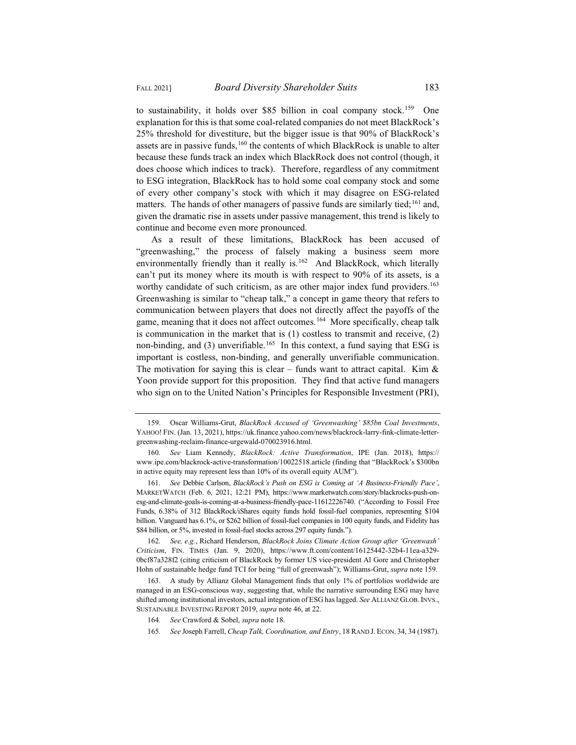to sustainability, it holds over \$85 billion in coal company stock.<sup>159</sup> One explanation for this is that some coal-related companies do not meet BlackRock's 25% threshold for divestiture, but the bigger issue is that 90% of BlackRock's assets are in passive funds,<sup>160</sup> the contents of which BlackRock is unable to alter because these funds track an index which BlackRock does not control (though, it does choose which indices to track). Therefore, regardless of any commitment to ESG integration, BlackRock has to hold some coal company stock and some of every other company's stock with which it may disagree on ESG-related matters. The hands of other managers of passive funds are similarly tied;<sup>161</sup> and, given the dramatic rise in assets under passive management, this trend is likely to

As a result of these limitations, BlackRock has been accused of "greenwashing," the process of falsely making a business seem more environmentally friendly than it really is.<sup>162</sup> And BlackRock, which literally can't put its money where its mouth is with respect to 90% of its assets, is a worthy candidate of such criticism, as are other major index fund providers.<sup>163</sup> Greenwashing is similar to "cheap talk," a concept in game theory that refers to communication between players that does not directly affect the payoffs of the game, meaning that it does not affect outcomes.<sup>164</sup> More specifically, cheap talk is communication in the market that is (1) costless to transmit and receive, (2) non-binding, and  $(3)$  unverifiable.<sup>165</sup> In this context, a fund saying that ESG is important is costless, non-binding, and generally unverifiable communication. The motivation for saying this is clear – funds want to attract capital. Kim  $\&$ Yoon provide support for this proposition. They find that active fund managers who sign on to the United Nation's Principles for Responsible Investment (PRI),

162*. See, e.g.*, Richard Henderson, *BlackRock Joins Climate Action Group after 'Greenwash' Criticism*, FIN. TIMES (Jan. 9, 2020), https://www.ft.com/content/16125442-32b4-11ea-a329- 0bcf87a328f2 (citing criticism of BlackRock by former US vice-president Al Gore and Christopher Hohn of sustainable hedge fund TCI for being "full of greenwash"); Williams-Grut, *supra* note 159.

continue and become even more pronounced.

<sup>159.</sup> Oscar Williams-Grut, *BlackRock Accused of 'Greenwashing' \$85bn Coal Investments*, YAHOO! FIN. (Jan. 13, 2021), https://uk.finance.yahoo.com/news/blackrock-larry-fink-climate-lettergreenwashing-reclaim-finance-urgewald-070023916.html.

<sup>160</sup>*. See* Liam Kennedy, *BlackRock: Active Transformation*, IPE (Jan. 2018), https:// www.ipe.com/blackrock-active-transformation/10022518.article (finding that "BlackRock's \$300bn in active equity may represent less than 10% of its overall equity AUM").

<sup>161</sup>*. See* Debbie Carlson, *BlackRock's Push on ESG is Coming at 'A Business-Friendly Pace'*, MARKETWATCH (Feb. 6, 2021, 12:21 PM), https://www.marketwatch.com/story/blackrocks-push-onesg-and-climate-goals-is-coming-at-a-business-friendly-pace-11612226740. ("According to Fossil Free Funds, 6.38% of 312 BlackRock/iShares equity funds hold fossil-fuel companies, representing \$104 billion. Vanguard has 6.1%, or \$262 billion of fossil-fuel companies in 100 equity funds, and Fidelity has \$84 billion, or 5%, invested in fossil-fuel stocks across 297 equity funds.").

<sup>163.</sup> A study by Allianz Global Management finds that only 1% of portfolios worldwide are managed in an ESG-conscious way, suggesting that, while the narrative surrounding ESG may have shifted among institutional investors, actual integration of ESG has lagged. *See* ALLIANZ GLOB. INVS., SUSTAINABLE INVESTING REPORT 2019, *supra* note 46, at 22.

<sup>164</sup>*. See* Crawford & Sobel, *supra* note 18.

<sup>165</sup>*. See* Joseph Farrell, *Cheap Talk, Coordination, and Entry*, 18 RAND J. ECON. 34, 34 (1987).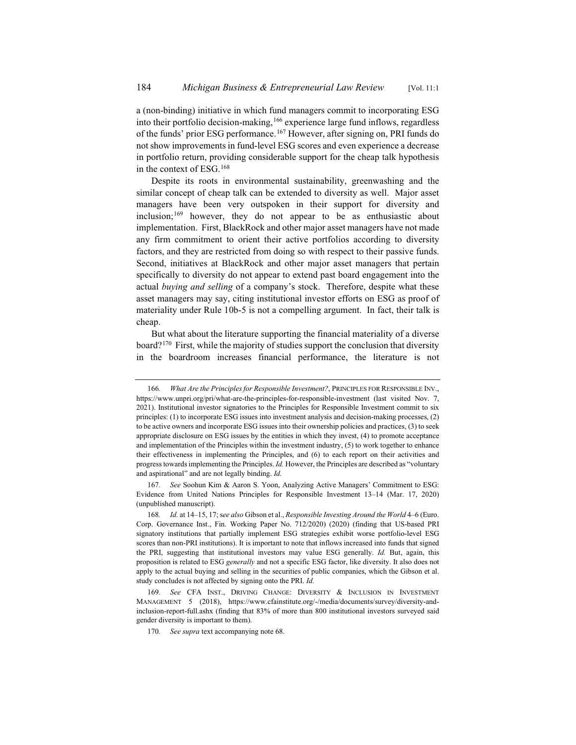a (non-binding) initiative in which fund managers commit to incorporating ESG into their portfolio decision-making,<sup>166</sup> experience large fund inflows, regardless of the funds' prior ESG performance.167 However, after signing on, PRI funds do not show improvements in fund-level ESG scores and even experience a decrease in portfolio return, providing considerable support for the cheap talk hypothesis in the context of ESG.168

Despite its roots in environmental sustainability, greenwashing and the similar concept of cheap talk can be extended to diversity as well. Major asset managers have been very outspoken in their support for diversity and inclusion;169 however, they do not appear to be as enthusiastic about implementation. First, BlackRock and other major asset managers have not made any firm commitment to orient their active portfolios according to diversity factors, and they are restricted from doing so with respect to their passive funds. Second, initiatives at BlackRock and other major asset managers that pertain specifically to diversity do not appear to extend past board engagement into the actual *buying and selling* of a company's stock. Therefore, despite what these asset managers may say, citing institutional investor efforts on ESG as proof of materiality under Rule 10b-5 is not a compelling argument. In fact, their talk is cheap.

But what about the literature supporting the financial materiality of a diverse board?170 First, while the majority of studies support the conclusion that diversity in the boardroom increases financial performance, the literature is not

<sup>166</sup>*. What Are the Principles for Responsible Investment?*, PRINCIPLES FOR RESPONSIBLE INV., https://www.unpri.org/pri/what-are-the-principles-for-responsible-investment (last visited Nov. 7, 2021). Institutional investor signatories to the Principles for Responsible Investment commit to six principles: (1) to incorporate ESG issues into investment analysis and decision-making processes, (2) to be active owners and incorporate ESG issues into their ownership policies and practices, (3) to seek appropriate disclosure on ESG issues by the entities in which they invest, (4) to promote acceptance and implementation of the Principles within the investment industry, (5) to work together to enhance their effectiveness in implementing the Principles, and (6) to each report on their activities and progress towards implementing the Principles. *Id.* However, the Principles are described as "voluntary and aspirational" and are not legally binding. *Id.*

<sup>167</sup>*. See* Soohun Kim & Aaron S. Yoon, Analyzing Active Managers' Commitment to ESG: Evidence from United Nations Principles for Responsible Investment 13–14 (Mar. 17, 2020) (unpublished manuscript).

<sup>168</sup>*. Id.* at 14–15, 17; s*ee also* Gibson et al., *Responsible Investing Around the World* 4–6 (Euro. Corp. Governance Inst., Fin. Working Paper No. 712/2020) (2020) (finding that US-based PRI signatory institutions that partially implement ESG strategies exhibit worse portfolio-level ESG scores than non-PRI institutions). It is important to note that inflows increased into funds that signed the PRI, suggesting that institutional investors may value ESG generally. *Id.* But, again, this proposition is related to ESG *generally* and not a specific ESG factor, like diversity. It also does not apply to the actual buying and selling in the securities of public companies, which the Gibson et al. study concludes is not affected by signing onto the PRI. *Id.*

<sup>169</sup>*. See* CFA INST., DRIVING CHANGE: DIVERSITY & INCLUSION IN INVESTMENT MANAGEMENT 5 (2018), https://www.cfainstitute.org/-/media/documents/survey/diversity-andinclusion-report-full.ashx (finding that 83% of more than 800 institutional investors surveyed said gender diversity is important to them).

<sup>170</sup>*. See supra* text accompanying note 68.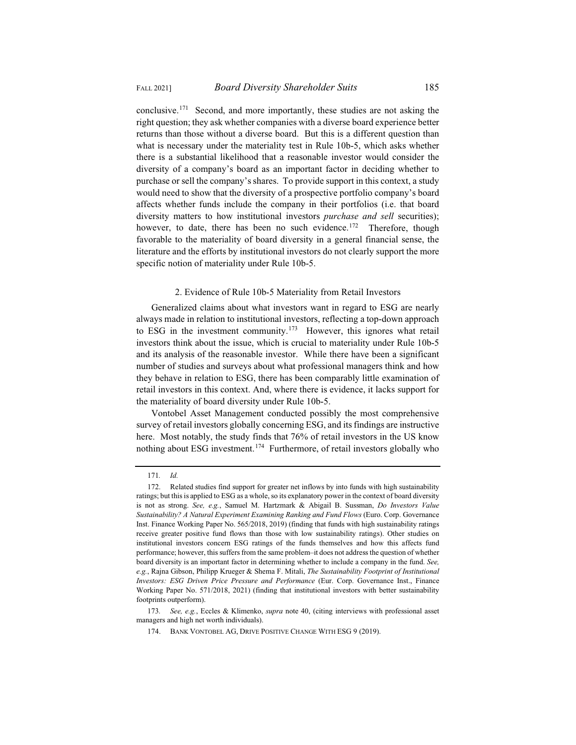conclusive.171 Second, and more importantly, these studies are not asking the right question; they ask whether companies with a diverse board experience better returns than those without a diverse board. But this is a different question than what is necessary under the materiality test in Rule 10b-5, which asks whether there is a substantial likelihood that a reasonable investor would consider the diversity of a company's board as an important factor in deciding whether to purchase or sell the company's shares. To provide support in this context, a study would need to show that the diversity of a prospective portfolio company's board affects whether funds include the company in their portfolios (i.e. that board diversity matters to how institutional investors *purchase and sell* securities); however, to date, there has been no such evidence.<sup>172</sup> Therefore, though

favorable to the materiality of board diversity in a general financial sense, the literature and the efforts by institutional investors do not clearly support the more specific notion of materiality under Rule 10b-5.

#### 2. Evidence of Rule 10b-5 Materiality from Retail Investors

Generalized claims about what investors want in regard to ESG are nearly always made in relation to institutional investors, reflecting a top-down approach to ESG in the investment community.<sup>173</sup> However, this ignores what retail investors think about the issue, which is crucial to materiality under Rule 10b-5 and its analysis of the reasonable investor. While there have been a significant number of studies and surveys about what professional managers think and how they behave in relation to ESG, there has been comparably little examination of retail investors in this context. And, where there is evidence, it lacks support for the materiality of board diversity under Rule 10b-5.

Vontobel Asset Management conducted possibly the most comprehensive survey of retail investors globally concerning ESG, and its findings are instructive here. Most notably, the study finds that 76% of retail investors in the US know nothing about ESG investment.174 Furthermore, of retail investors globally who

<sup>171</sup>*. Id.*

<sup>172.</sup> Related studies find support for greater net inflows by into funds with high sustainability ratings; but this is applied to ESG as a whole, so its explanatory power in the context of board diversity is not as strong. *See, e.g.*, Samuel M. Hartzmark & Abigail B. Sussman, *Do Investors Value Sustainability? A Natural Experiment Examining Ranking and Fund Flows* (Euro. Corp. Governance Inst. Finance Working Paper No. 565/2018, 2019) (finding that funds with high sustainability ratings receive greater positive fund flows than those with low sustainability ratings). Other studies on institutional investors concern ESG ratings of the funds themselves and how this affects fund performance; however, this suffers from the same problem–it does not address the question of whether board diversity is an important factor in determining whether to include a company in the fund. *See, e.g.*, Rajna Gibson, Philipp Krueger & Shema F. Mitali, *The Sustainability Footprint of Institutional Investors: ESG Driven Price Pressure and Performance* (Eur. Corp. Governance Inst., Finance Working Paper No. 571/2018, 2021) (finding that institutional investors with better sustainability footprints outperform).

<sup>173</sup>*. See, e.g.*, Eccles & Klimenko, *supra* note 40, (citing interviews with professional asset managers and high net worth individuals).

<sup>174.</sup> BANK VONTOBEL AG, DRIVE POSITIVE CHANGE WITH ESG 9 (2019).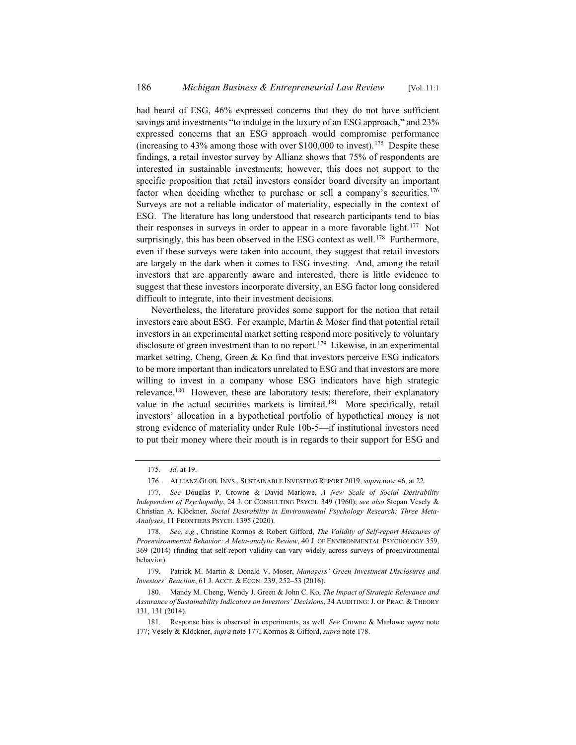had heard of ESG, 46% expressed concerns that they do not have sufficient savings and investments "to indulge in the luxury of an ESG approach," and 23% expressed concerns that an ESG approach would compromise performance (increasing to  $43\%$  among those with over \$100,000 to invest).<sup>175</sup> Despite these findings, a retail investor survey by Allianz shows that 75% of respondents are interested in sustainable investments; however, this does not support to the specific proposition that retail investors consider board diversity an important factor when deciding whether to purchase or sell a company's securities.<sup>176</sup> Surveys are not a reliable indicator of materiality, especially in the context of ESG. The literature has long understood that research participants tend to bias their responses in surveys in order to appear in a more favorable light.<sup>177</sup> Not surprisingly, this has been observed in the ESG context as well.<sup>178</sup> Furthermore, even if these surveys were taken into account, they suggest that retail investors are largely in the dark when it comes to ESG investing. And, among the retail investors that are apparently aware and interested, there is little evidence to suggest that these investors incorporate diversity, an ESG factor long considered difficult to integrate, into their investment decisions.

Nevertheless, the literature provides some support for the notion that retail investors care about ESG. For example, Martin & Moser find that potential retail investors in an experimental market setting respond more positively to voluntary disclosure of green investment than to no report.<sup>179</sup> Likewise, in an experimental market setting, Cheng, Green & Ko find that investors perceive ESG indicators to be more important than indicators unrelated to ESG and that investors are more willing to invest in a company whose ESG indicators have high strategic relevance.<sup>180</sup> However, these are laboratory tests; therefore, their explanatory value in the actual securities markets is limited.<sup>181</sup> More specifically, retail investors' allocation in a hypothetical portfolio of hypothetical money is not strong evidence of materiality under Rule 10b-5—if institutional investors need to put their money where their mouth is in regards to their support for ESG and

<sup>175</sup>*. Id.* at 19.

<sup>176.</sup> ALLIANZ GLOB. INVS., SUSTAINABLE INVESTING REPORT 2019, *supra* note 46, at 22.

<sup>177</sup>*. See* Douglas P. Crowne & David Marlowe, *A New Scale of Social Desirability Independent of Psychopathy*, 24 J. OF CONSULTING PSYCH. 349 (1960); *see also* Stepan Vesely & Christian A. Klöckner, *Social Desirability in Environmental Psychology Research: Three Meta-Analyses*, 11 FRONTIERS PSYCH. 1395 (2020).

<sup>178</sup>*. See, e.g.*, Christine Kormos & Robert Gifford, *The Validity of Self-report Measures of Proenvironmental Behavior: A Meta-analytic Review*, 40 J. OF ENVIRONMENTAL PSYCHOLOGY 359, 369 (2014) (finding that self-report validity can vary widely across surveys of proenvironmental behavior).

<sup>179.</sup> Patrick M. Martin & Donald V. Moser, *Managers' Green Investment Disclosures and Investors' Reaction*, 61 J. ACCT.&ECON. 239, 252–53 (2016).

<sup>180.</sup> Mandy M. Cheng, Wendy J. Green & John C. Ko, *The Impact of Strategic Relevance and Assurance of Sustainability Indicators on Investors' Decisions*, 34 AUDITING: J. OF PRAC.&THEORY 131, 131 (2014).

<sup>181.</sup> Response bias is observed in experiments, as well. *See* Crowne & Marlowe *supra* note 177; Vesely & Klöckner, *supra* note 177; Kormos & Gifford, *supra* note 178.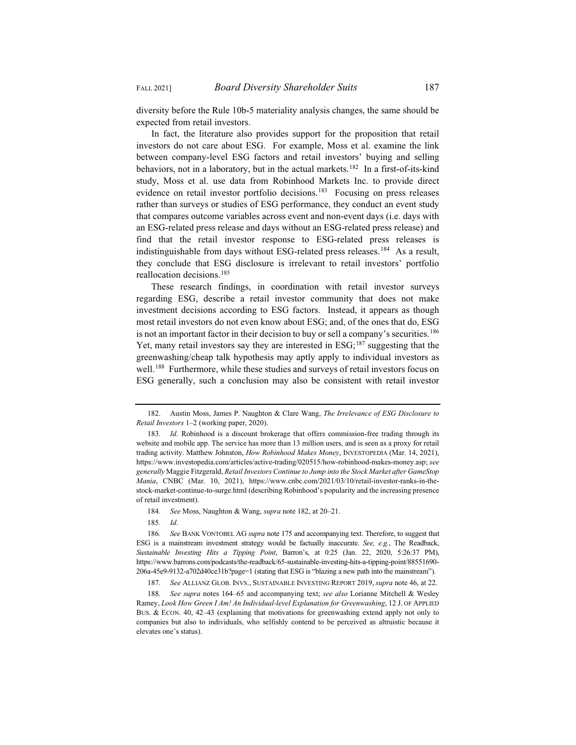diversity before the Rule 10b-5 materiality analysis changes, the same should be expected from retail investors.

In fact, the literature also provides support for the proposition that retail investors do not care about ESG. For example, Moss et al. examine the link between company-level ESG factors and retail investors' buying and selling behaviors, not in a laboratory, but in the actual markets.<sup>182</sup> In a first-of-its-kind study, Moss et al. use data from Robinhood Markets Inc. to provide direct evidence on retail investor portfolio decisions.<sup>183</sup> Focusing on press releases rather than surveys or studies of ESG performance, they conduct an event study that compares outcome variables across event and non-event days (i.e. days with an ESG-related press release and days without an ESG-related press release) and find that the retail investor response to ESG-related press releases is indistinguishable from days without ESG-related press releases.<sup>184</sup> As a result, they conclude that ESG disclosure is irrelevant to retail investors' portfolio reallocation decisions.185

These research findings, in coordination with retail investor surveys regarding ESG, describe a retail investor community that does not make investment decisions according to ESG factors. Instead, it appears as though most retail investors do not even know about ESG; and, of the ones that do, ESG is not an important factor in their decision to buy or sell a company's securities.<sup>186</sup> Yet, many retail investors say they are interested in  $ESG<sub>187</sub>$  suggesting that the greenwashing/cheap talk hypothesis may aptly apply to individual investors as well.<sup>188</sup> Furthermore, while these studies and surveys of retail investors focus on ESG generally, such a conclusion may also be consistent with retail investor

<sup>182.</sup> Austin Moss, James P. Naughton & Clare Wang, *The Irrelevance of ESG Disclosure to Retail Investors* 1–2 (working paper, 2020).

<sup>183</sup>*. Id.* Robinhood is a discount brokerage that offers commission-free trading through its website and mobile app. The service has more than 13 million users, and is seen as a proxy for retail trading activity. Matthew Johnston, *How Robinhood Makes Money*, INVESTOPEDIA (Mar. 14, 2021), https://www.investopedia.com/articles/active-trading/020515/how-robinhood-makes-money.asp; *see generally* Maggie Fitzgerald, *Retail Investors Continue to Jump into the Stock Market after GameStop Mania*, CNBC (Mar. 10, 2021), https://www.cnbc.com/2021/03/10/retail-investor-ranks-in-thestock-market-continue-to-surge.html (describing Robinhood's popularity and the increasing presence of retail investment).

<sup>184</sup>*. See* Moss, Naughton & Wang, *supra* note 182, at 20–21.

<sup>185</sup>*. Id.*

<sup>186</sup>*. See* BANK VONTOBEL AG *supra* note 175 and accompanying text. Therefore, to suggest that ESG is a mainstream investment strategy would be factually inaccurate. *See, e.g.*, The Readback, *Sustainable Investing Hits a Tipping Point*, Barron's, at 0:25 (Jan. 22, 2020, 5:26:37 PM), https://www.barrons.com/podcasts/the-readback/65-sustainable-investing-hits-a-tipping-point/88551690- 206a-45e9-9132-a702d40ce31b?page=1 (stating that ESG is "blazing a new path into the mainstream").

<sup>187</sup>*. See* ALLIANZ GLOB. INVS., SUSTAINABLE INVESTING REPORT 2019, *supra* note 46, at 22.

<sup>188</sup>*. See supra* notes 164–65 and accompanying text; *see also* Lorianne Mitchell & Wesley Ramey, *Look How Green I Am! An Individual-level Explanation for Greenwashing*, 12 J. OF APPLIED BUS.&ECON. 40, 42–43 (explaining that motivations for greenwashing extend apply not only to companies but also to individuals, who selfishly contend to be perceived as altruistic because it elevates one's status).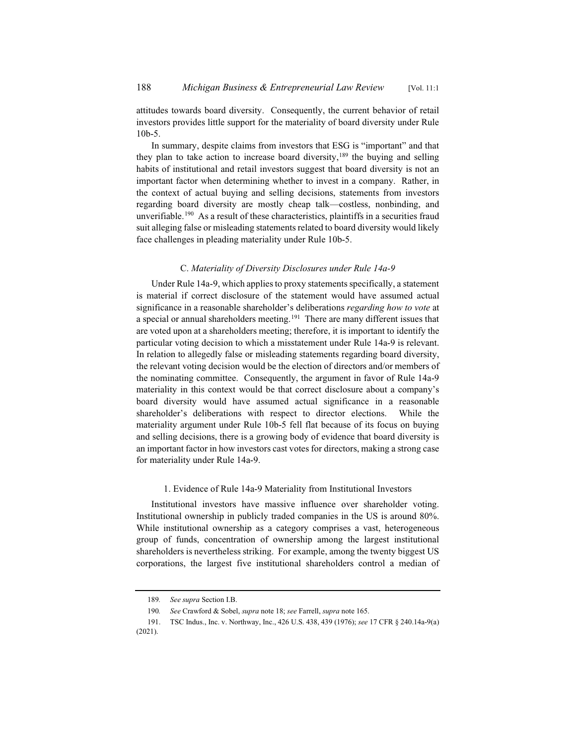attitudes towards board diversity. Consequently, the current behavior of retail investors provides little support for the materiality of board diversity under Rule 10b-5.

In summary, despite claims from investors that ESG is "important" and that they plan to take action to increase board diversity,  $189$  the buying and selling habits of institutional and retail investors suggest that board diversity is not an important factor when determining whether to invest in a company. Rather, in the context of actual buying and selling decisions, statements from investors regarding board diversity are mostly cheap talk—costless, nonbinding, and unverifiable.<sup>190</sup> As a result of these characteristics, plaintiffs in a securities fraud suit alleging false or misleading statements related to board diversity would likely face challenges in pleading materiality under Rule 10b-5.

# C. *Materiality of Diversity Disclosures under Rule 14a-9*

Under Rule 14a-9, which applies to proxy statements specifically, a statement is material if correct disclosure of the statement would have assumed actual significance in a reasonable shareholder's deliberations *regarding how to vote* at a special or annual shareholders meeting.<sup>191</sup> There are many different issues that are voted upon at a shareholders meeting; therefore, it is important to identify the particular voting decision to which a misstatement under Rule 14a-9 is relevant. In relation to allegedly false or misleading statements regarding board diversity, the relevant voting decision would be the election of directors and/or members of the nominating committee. Consequently, the argument in favor of Rule 14a-9 materiality in this context would be that correct disclosure about a company's board diversity would have assumed actual significance in a reasonable shareholder's deliberations with respect to director elections. While the materiality argument under Rule 10b-5 fell flat because of its focus on buying and selling decisions, there is a growing body of evidence that board diversity is an important factor in how investors cast votes for directors, making a strong case for materiality under Rule 14a-9.

# 1. Evidence of Rule 14a-9 Materiality from Institutional Investors

Institutional investors have massive influence over shareholder voting. Institutional ownership in publicly traded companies in the US is around 80%. While institutional ownership as a category comprises a vast, heterogeneous group of funds, concentration of ownership among the largest institutional shareholders is nevertheless striking. For example, among the twenty biggest US corporations, the largest five institutional shareholders control a median of

<sup>189</sup>*. See supra* Section I.B.

<sup>190</sup>*. See* Crawford & Sobel, *supra* note 18; *see* Farrell, *supra* note 165.

<sup>191.</sup> TSC Indus., Inc. v. Northway, Inc., 426 U.S. 438, 439 (1976); *see* 17 CFR § 240.14a-9(a) (2021).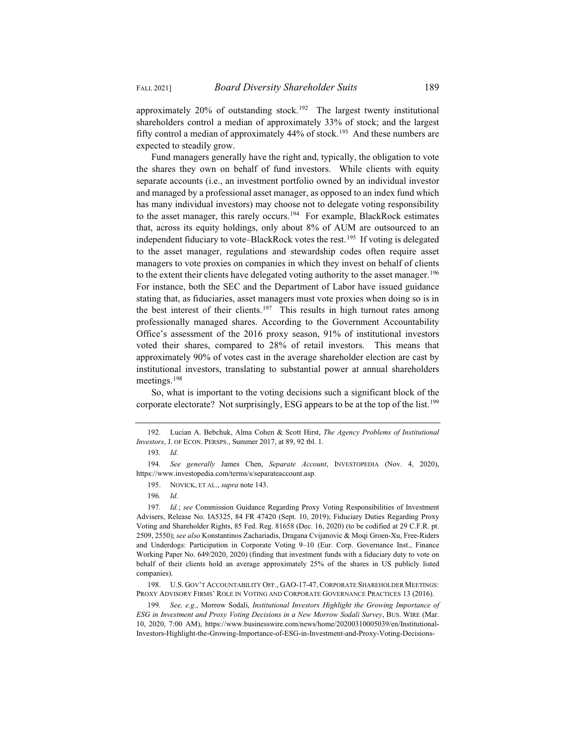approximately  $20\%$  of outstanding stock.<sup>192</sup> The largest twenty institutional shareholders control a median of approximately 33% of stock; and the largest fifty control a median of approximately  $44\%$  of stock.<sup>193</sup> And these numbers are expected to steadily grow.

Fund managers generally have the right and, typically, the obligation to vote the shares they own on behalf of fund investors. While clients with equity separate accounts (i.e., an investment portfolio owned by an individual investor and managed by a professional asset manager, as opposed to an index fund which has many individual investors) may choose not to delegate voting responsibility to the asset manager, this rarely occurs.<sup>194</sup> For example, BlackRock estimates that, across its equity holdings, only about 8% of AUM are outsourced to an independent fiduciary to vote–BlackRock votes the rest.<sup>195</sup> If voting is delegated to the asset manager, regulations and stewardship codes often require asset managers to vote proxies on companies in which they invest on behalf of clients to the extent their clients have delegated voting authority to the asset manager.<sup>196</sup> For instance, both the SEC and the Department of Labor have issued guidance stating that, as fiduciaries, asset managers must vote proxies when doing so is in the best interest of their clients.<sup>197</sup> This results in high turnout rates among professionally managed shares. According to the Government Accountability Office's assessment of the 2016 proxy season, 91% of institutional investors voted their shares, compared to 28% of retail investors. This means that approximately 90% of votes cast in the average shareholder election are cast by institutional investors, translating to substantial power at annual shareholders meetings.<sup>198</sup>

So, what is important to the voting decisions such a significant block of the corporate electorate? Not surprisingly, ESG appears to be at the top of the list.<sup>199</sup>

199*. See, e.g.*, Morrow Sodali, *Institutional Investors Highlight the Growing Importance of ESG in Investment and Proxy Voting Decisions in a New Morrow Sodali Survey*, BUS. WIRE (Mar. 10, 2020, 7:00 AM), https://www.businesswire.com/news/home/20200310005039/en/Institutional-Investors-Highlight-the-Growing-Importance-of-ESG-in-Investment-and-Proxy-Voting-Decisions-

<sup>192.</sup> Lucian A. Bebchuk, Alma Cohen & Scott Hirst, *The Agency Problems of Institutional Investors*, J. OF ECON. PERSPS., Summer 2017, at 89, 92 tbl. 1.

<sup>193</sup>*. Id.*

<sup>194</sup>*. See generally* James Chen, *Separate Account*, INVESTOPEDIA (Nov. 4, 2020), https://www.investopedia.com/terms/s/separateaccount.asp.

<sup>195.</sup> NOVICK, ET AL., *supra* note 143.

<sup>196</sup>*. Id.*

<sup>197</sup>*. Id.*; *see* Commission Guidance Regarding Proxy Voting Responsibilities of Investment Advisers, Release No. IA5325, 84 FR 47420 (Sept. 10, 2019); Fiduciary Duties Regarding Proxy Voting and Shareholder Rights, 85 Fed. Reg. 81658 (Dec. 16, 2020) (to be codified at 29 C.F.R. pt. 2509, 2550); *see also* Konstantinos Zachariadis, Dragana Cvijanovic & Moqi Groen-Xu, Free-Riders and Underdogs: Participation in Corporate Voting 9–10 (Eur. Corp. Governance Inst., Finance Working Paper No. 649/2020, 2020) (finding that investment funds with a fiduciary duty to vote on behalf of their clients hold an average approximately 25% of the shares in US publicly listed companies).

<sup>198.</sup> U.S. GOV'T ACCOUNTABILITY OFF., GAO-17-47, CORPORATE SHAREHOLDER MEETINGS: PROXY ADVISORY FIRMS' ROLE IN VOTING AND CORPORATE GOVERNANCE PRACTICES 13 (2016).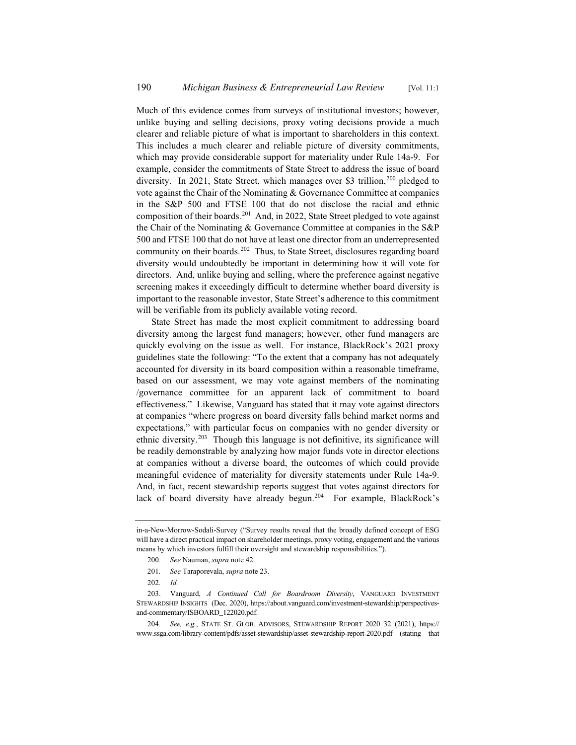Much of this evidence comes from surveys of institutional investors; however, unlike buying and selling decisions, proxy voting decisions provide a much clearer and reliable picture of what is important to shareholders in this context. This includes a much clearer and reliable picture of diversity commitments, which may provide considerable support for materiality under Rule 14a-9. For example, consider the commitments of State Street to address the issue of board diversity. In 2021, State Street, which manages over \$3 trillion,  $200$  pledged to vote against the Chair of the Nominating & Governance Committee at companies in the S&P 500 and FTSE 100 that do not disclose the racial and ethnic composition of their boards.<sup>201</sup> And, in 2022, State Street pledged to vote against the Chair of the Nominating & Governance Committee at companies in the S&P 500 and FTSE 100 that do not have at least one director from an underrepresented community on their boards.<sup>202</sup> Thus, to State Street, disclosures regarding board diversity would undoubtedly be important in determining how it will vote for directors. And, unlike buying and selling, where the preference against negative screening makes it exceedingly difficult to determine whether board diversity is important to the reasonable investor, State Street's adherence to this commitment will be verifiable from its publicly available voting record.

State Street has made the most explicit commitment to addressing board diversity among the largest fund managers; however, other fund managers are quickly evolving on the issue as well. For instance, BlackRock's 2021 proxy guidelines state the following: "To the extent that a company has not adequately accounted for diversity in its board composition within a reasonable timeframe, based on our assessment, we may vote against members of the nominating /governance committee for an apparent lack of commitment to board effectiveness." Likewise, Vanguard has stated that it may vote against directors at companies "where progress on board diversity falls behind market norms and expectations," with particular focus on companies with no gender diversity or ethnic diversity.203 Though this language is not definitive, its significance will be readily demonstrable by analyzing how major funds vote in director elections at companies without a diverse board, the outcomes of which could provide meaningful evidence of materiality for diversity statements under Rule 14a-9. And, in fact, recent stewardship reports suggest that votes against directors for lack of board diversity have already begun.<sup>204</sup> For example, BlackRock's

201*. See* Taraporevala, *supra* note 23.

in-a-New-Morrow-Sodali-Survey ("Survey results reveal that the broadly defined concept of ESG will have a direct practical impact on shareholder meetings, proxy voting, engagement and the various means by which investors fulfill their oversight and stewardship responsibilities.").

<sup>200</sup>*. See* Nauman, *supra* note 42.

<sup>202</sup>*. Id.*

<sup>203.</sup> Vanguard, *A Continued Call for Boardroom Diversity*, VANGUARD INVESTMENT STEWARDSHIP INSIGHTS (Dec. 2020), https://about.vanguard.com/investment-stewardship/perspectivesand-commentary/ISBOARD\_122020.pdf.

<sup>204</sup>*. See, e.g.*, STATE ST. GLOB. ADVISORS, STEWARDSHIP REPORT 2020 32 (2021), https:// www.ssga.com/library-content/pdfs/asset-stewardship/asset-stewardship-report-2020.pdf (stating that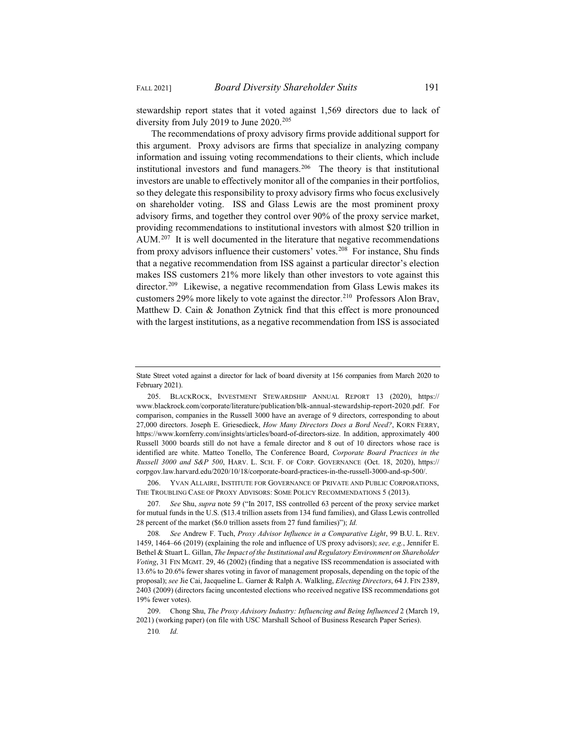stewardship report states that it voted against 1,569 directors due to lack of diversity from July 2019 to June 2020.<sup>205</sup>

The recommendations of proxy advisory firms provide additional support for this argument. Proxy advisors are firms that specialize in analyzing company information and issuing voting recommendations to their clients, which include institutional investors and fund managers.206 The theory is that institutional investors are unable to effectively monitor all of the companies in their portfolios, so they delegate this responsibility to proxy advisory firms who focus exclusively on shareholder voting. ISS and Glass Lewis are the most prominent proxy advisory firms, and together they control over 90% of the proxy service market, providing recommendations to institutional investors with almost \$20 trillion in AUM.<sup>207</sup> It is well documented in the literature that negative recommendations from proxy advisors influence their customers' votes.<sup>208</sup> For instance, Shu finds that a negative recommendation from ISS against a particular director's election makes ISS customers 21% more likely than other investors to vote against this director.<sup>209</sup> Likewise, a negative recommendation from Glass Lewis makes its customers 29% more likely to vote against the director.<sup>210</sup> Professors Alon Brav, Matthew D. Cain & Jonathon Zytnick find that this effect is more pronounced with the largest institutions, as a negative recommendation from ISS is associated

206. YVAN ALLAIRE, INSTITUTE FOR GOVERNANCE OF PRIVATE AND PUBLIC CORPORATIONS, THE TROUBLING CASE OF PROXY ADVISORS: SOME POLICY RECOMMENDATIONS 5 (2013).

207*. See* Shu, *supra* note 59 ("In 2017, ISS controlled 63 percent of the proxy service market for mutual funds in the U.S. (\$13.4 trillion assets from 134 fund families), and Glass Lewis controlled 28 percent of the market (\$6.0 trillion assets from 27 fund families)"); *Id.*

208*. See* Andrew F. Tuch, *Proxy Advisor Influence in a Comparative Light*, 99 B.U. L. REV. 1459, 1464–66 (2019) (explaining the role and influence of US proxy advisors); *see, e.g.*, Jennifer E. Bethel & Stuart L. Gillan, *The Impact of the Institutional and Regulatory Environment on Shareholder Voting*, 31 FIN MGMT. 29, 46 (2002) (finding that a negative ISS recommendation is associated with 13.6% to 20.6% fewer shares voting in favor of management proposals, depending on the topic of the proposal); *see* Jie Cai, Jacqueline L. Garner & Ralph A. Walkling, *Electing Directors*, 64 J. FIN 2389, 2403 (2009) (directors facing uncontested elections who received negative ISS recommendations got 19% fewer votes).

209. Chong Shu, *The Proxy Advisory Industry: Influencing and Being Influenced* 2 (March 19, 2021) (working paper) (on file with USC Marshall School of Business Research Paper Series).

210*. Id.*

State Street voted against a director for lack of board diversity at 156 companies from March 2020 to February 2021).

<sup>205.</sup> BLACKROCK, INVESTMENT STEWARDSHIP ANNUAL REPORT 13 (2020), https:// www.blackrock.com/corporate/literature/publication/blk-annual-stewardship-report-2020.pdf. For comparison, companies in the Russell 3000 have an average of 9 directors, corresponding to about 27,000 directors. Joseph E. Griesedieck, *How Many Directors Does a Bord Need?*, KORN FERRY, https://www.kornferry.com/insights/articles/board-of-directors-size. In addition, approximately 400 Russell 3000 boards still do not have a female director and 8 out of 10 directors whose race is identified are white. Matteo Tonello, The Conference Board, *Corporate Board Practices in the Russell 3000 and S&P 500*, HARV. L. SCH. F. OF CORP. GOVERNANCE (Oct. 18, 2020), https:// corpgov.law.harvard.edu/2020/10/18/corporate-board-practices-in-the-russell-3000-and-sp-500/.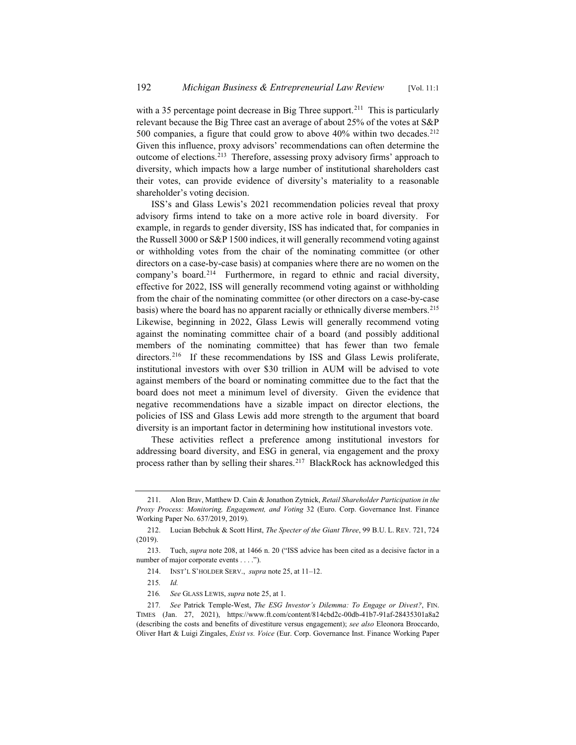with a 35 percentage point decrease in Big Three support.<sup>211</sup> This is particularly relevant because the Big Three cast an average of about 25% of the votes at S&P 500 companies, a figure that could grow to above  $40\%$  within two decades.<sup>212</sup> Given this influence, proxy advisors' recommendations can often determine the outcome of elections.<sup>213</sup> Therefore, assessing proxy advisory firms' approach to diversity, which impacts how a large number of institutional shareholders cast their votes, can provide evidence of diversity's materiality to a reasonable shareholder's voting decision.

ISS's and Glass Lewis's 2021 recommendation policies reveal that proxy advisory firms intend to take on a more active role in board diversity. For example, in regards to gender diversity, ISS has indicated that, for companies in the Russell 3000 or S&P 1500 indices, it will generally recommend voting against or withholding votes from the chair of the nominating committee (or other directors on a case-by-case basis) at companies where there are no women on the company's board.214 Furthermore, in regard to ethnic and racial diversity, effective for 2022, ISS will generally recommend voting against or withholding from the chair of the nominating committee (or other directors on a case-by-case basis) where the board has no apparent racially or ethnically diverse members.<sup>215</sup> Likewise, beginning in 2022, Glass Lewis will generally recommend voting against the nominating committee chair of a board (and possibly additional members of the nominating committee) that has fewer than two female directors.<sup>216</sup> If these recommendations by ISS and Glass Lewis proliferate, institutional investors with over \$30 trillion in AUM will be advised to vote against members of the board or nominating committee due to the fact that the board does not meet a minimum level of diversity. Given the evidence that negative recommendations have a sizable impact on director elections, the policies of ISS and Glass Lewis add more strength to the argument that board diversity is an important factor in determining how institutional investors vote.

These activities reflect a preference among institutional investors for addressing board diversity, and ESG in general, via engagement and the proxy process rather than by selling their shares.<sup>217</sup> BlackRock has acknowledged this

<sup>211.</sup> Alon Brav, Matthew D. Cain & Jonathon Zytnick, *Retail Shareholder Participation in the Proxy Process: Monitoring, Engagement, and Voting* 32 (Euro. Corp. Governance Inst. Finance Working Paper No. 637/2019, 2019).

<sup>212.</sup> Lucian Bebchuk & Scott Hirst, *The Specter of the Giant Three*, 99 B.U. L. REV. 721, 724 (2019).

<sup>213.</sup> Tuch, *supra* note 208, at 1466 n. 20 ("ISS advice has been cited as a decisive factor in a number of major corporate events . . . .").

<sup>214.</sup> INST'L S'HOLDER SERV., *supra* note 25, at 11–12.

<sup>215</sup>*. Id.*

<sup>216</sup>*. See* GLASS LEWIS, *supra* note 25, at 1.

<sup>217</sup>*. See* Patrick Temple-West, *The ESG Investor's Dilemma: To Engage or Divest?*, FIN. TIMES (Jan. 27, 2021), https://www.ft.com/content/814cbd2c-00db-41b7-91af-28435301a8a2 (describing the costs and benefits of divestiture versus engagement); *see also* Eleonora Broccardo, Oliver Hart & Luigi Zingales, *Exist vs. Voice* (Eur. Corp. Governance Inst. Finance Working Paper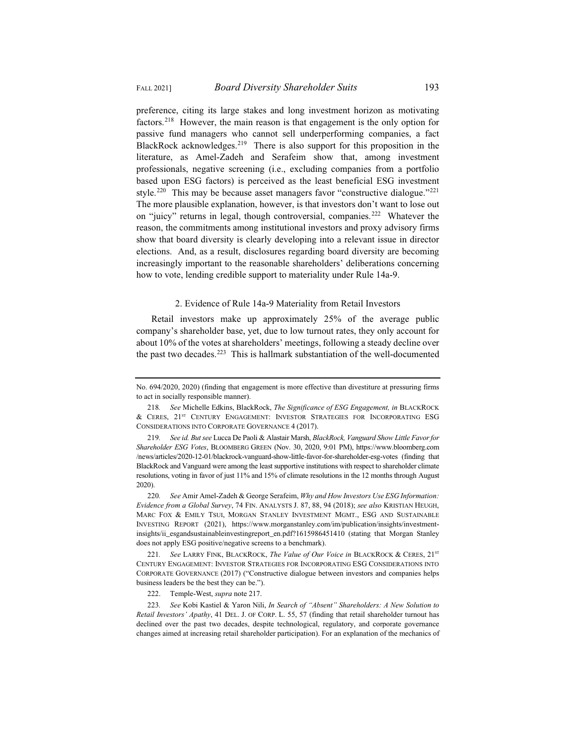preference, citing its large stakes and long investment horizon as motivating factors.218 However, the main reason is that engagement is the only option for passive fund managers who cannot sell underperforming companies, a fact BlackRock acknowledges.<sup>219</sup> There is also support for this proposition in the literature, as Amel-Zadeh and Serafeim show that, among investment professionals, negative screening (i.e., excluding companies from a portfolio based upon ESG factors) is perceived as the least beneficial ESG investment style.<sup>220</sup> This may be because asset managers favor "constructive dialogue."<sup>221</sup> The more plausible explanation, however, is that investors don't want to lose out on "juicy" returns in legal, though controversial, companies.<sup>222</sup> Whatever the reason, the commitments among institutional investors and proxy advisory firms show that board diversity is clearly developing into a relevant issue in director elections. And, as a result, disclosures regarding board diversity are becoming increasingly important to the reasonable shareholders' deliberations concerning how to vote, lending credible support to materiality under Rule 14a-9.

# 2. Evidence of Rule 14a-9 Materiality from Retail Investors

Retail investors make up approximately 25% of the average public company's shareholder base, yet, due to low turnout rates, they only account for about 10% of the votes at shareholders' meetings, following a steady decline over the past two decades.<sup>223</sup> This is hallmark substantiation of the well-documented

220*. See* Amir Amel-Zadeh & George Serafeim, *Why and How Investors Use ESG Information: Evidence from a Global Survey*, 74 FIN. ANALYSTS J. 87, 88, 94 (2018); *see also* KRISTIAN HEUGH, MARC FOX & EMILY TSUI, MORGAN STANLEY INVESTMENT MGMT., ESG AND SUSTAINABLE INVESTING REPORT (2021), https://www.morganstanley.com/im/publication/insights/investmentinsights/ii\_esgandsustainableinvestingreport\_en.pdf?1615986451410 (stating that Morgan Stanley does not apply ESG positive/negative screens to a benchmark).

221. See LARRY FINK, BLACKROCK, *The Value of Our Voice in* BLACKROCK & CERES, 21<sup>sT</sup> CENTURY ENGAGEMENT: INVESTOR STRATEGIES FOR INCORPORATING ESG CONSIDERATIONS INTO CORPORATE GOVERNANCE (2017) ("Constructive dialogue between investors and companies helps business leaders be the best they can be.").

222. Temple-West, *supra* note 217.

223*. See* Kobi Kastiel & Yaron Nili, *In Search of "Absent" Shareholders: A New Solution to Retail Investors' Apathy*, 41 DEL. J. OF CORP. L. 55, 57 (finding that retail shareholder turnout has declined over the past two decades, despite technological, regulatory, and corporate governance changes aimed at increasing retail shareholder participation). For an explanation of the mechanics of

No. 694/2020, 2020) (finding that engagement is more effective than divestiture at pressuring firms to act in socially responsible manner).

<sup>218</sup>*. See* Michelle Edkins, BlackRock, *The Significance of ESG Engagement, in* BLACKROCK & CERES, 21ST CENTURY ENGAGEMENT: INVESTOR STRATEGIES FOR INCORPORATING ESG CONSIDERATIONS INTO CORPORATE GOVERNANCE 4 (2017).

<sup>219</sup>*. See id. But see* Lucca De Paoli & Alastair Marsh, *BlackRock, Vanguard Show Little Favor for Shareholder ESG Votes*, BLOOMBERG GREEN (Nov. 30, 2020, 9:01 PM), https://www.bloomberg.com /news/articles/2020-12-01/blackrock-vanguard-show-little-favor-for-shareholder-esg-votes (finding that BlackRock and Vanguard were among the least supportive institutions with respect to shareholder climate resolutions, voting in favor of just 11% and 15% of climate resolutions in the 12 months through August 2020).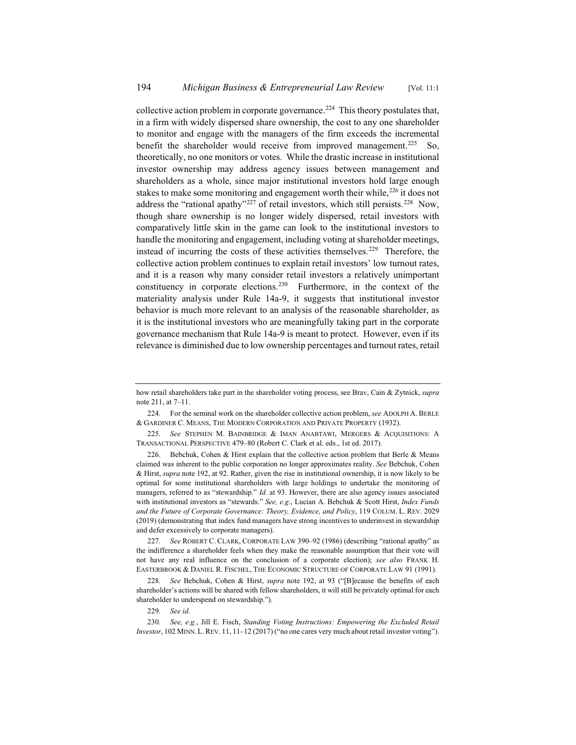collective action problem in corporate governance.<sup>224</sup> This theory postulates that, in a firm with widely dispersed share ownership, the cost to any one shareholder to monitor and engage with the managers of the firm exceeds the incremental benefit the shareholder would receive from improved management.<sup>225</sup> So, theoretically, no one monitors or votes. While the drastic increase in institutional investor ownership may address agency issues between management and shareholders as a whole, since major institutional investors hold large enough stakes to make some monitoring and engagement worth their while,  $226$  it does not address the "rational apathy"<sup>227</sup> of retail investors, which still persists.<sup>228</sup> Now, though share ownership is no longer widely dispersed, retail investors with comparatively little skin in the game can look to the institutional investors to handle the monitoring and engagement, including voting at shareholder meetings, instead of incurring the costs of these activities themselves.<sup>229</sup> Therefore, the collective action problem continues to explain retail investors' low turnout rates, and it is a reason why many consider retail investors a relatively unimportant constituency in corporate elections.230 Furthermore, in the context of the materiality analysis under Rule 14a-9, it suggests that institutional investor behavior is much more relevant to an analysis of the reasonable shareholder, as it is the institutional investors who are meaningfully taking part in the corporate governance mechanism that Rule 14a-9 is meant to protect. However, even if its relevance is diminished due to low ownership percentages and turnout rates, retail

227*. See* ROBERT C. CLARK, CORPORATE LAW 390–92 (1986) (describing "rational apathy" as the indifference a shareholder feels when they make the reasonable assumption that their vote will not have any real influence on the conclusion of a corporate election); *see also* FRANK H. EASTERBROOK & DANIEL R. FISCHEL, THE ECONOMIC STRUCTURE OF CORPORATE LAW 91 (1991).

228*. See* Bebchuk, Cohen & Hirst, *supra* note 192, at 93 ("[B]ecause the benefits of each shareholder's actions will be shared with fellow shareholders, it will still be privately optimal for each shareholder to underspend on stewardship.").

229*. See id.*

how retail shareholders take part in the shareholder voting process, see Brav, Cain & Zytnick, *supra* note 211, at 7–11.

<sup>224.</sup> For the seminal work on the shareholder collective action problem, *see* ADOLPH A. BERLE & GARDINER C. MEANS, THE MODERN CORPORATION AND PRIVATE PROPERTY (1932).

<sup>225</sup>*. See* STEPHEN M. BAINBRIDGE & IMAN ANABTAWI, MERGERS & ACQUISITIONS: A TRANSACTIONAL PERSPECTIVE 479–80 (Robert C. Clark et al. eds., 1st ed. 2017).

<sup>226.</sup> Bebchuk, Cohen & Hirst explain that the collective action problem that Berle & Means claimed was inherent to the public corporation no longer approximates reality. *See* Bebchuk, Cohen & Hirst, *supra* note 192, at 92. Rather, given the rise in institutional ownership, it is now likely to be optimal for some institutional shareholders with large holdings to undertake the monitoring of managers, referred to as "stewardship." *Id.* at 93. However, there are also agency issues associated with institutional investors as "stewards." *See, e.g.*, Lucian A. Bebchuk & Scott Hirst, *Index Funds and the Future of Corporate Governance: Theory, Evidence, and Policy*, 119 COLUM. L. REV. 2029 (2019) (demonstrating that index fund managers have strong incentives to underinvest in stewardship and defer excessively to corporate managers).

<sup>230</sup>*. See, e.g.*, Jill E. Fisch, *Standing Voting Instructions: Empowering the Excluded Retail Investor*, 102 MINN. L. REV. 11, 11–12 (2017) ("no one cares very much about retail investor voting").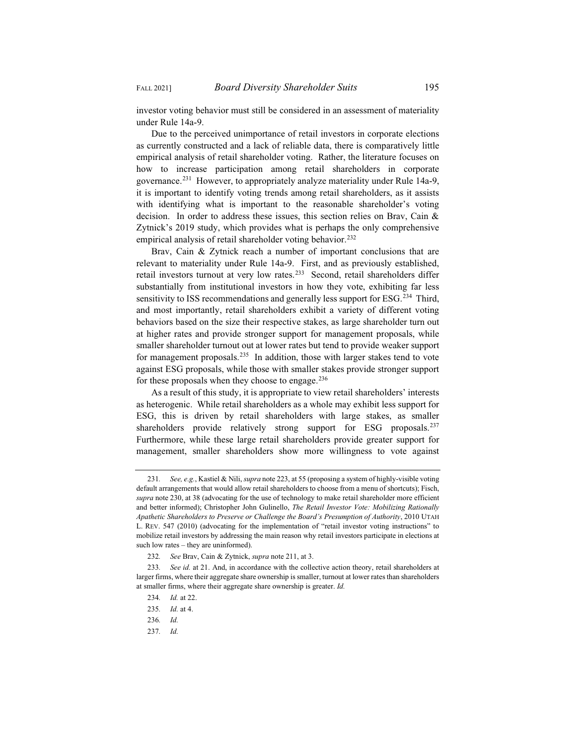investor voting behavior must still be considered in an assessment of materiality under Rule 14a-9.

Due to the perceived unimportance of retail investors in corporate elections as currently constructed and a lack of reliable data, there is comparatively little empirical analysis of retail shareholder voting. Rather, the literature focuses on how to increase participation among retail shareholders in corporate governance.<sup>231</sup> However, to appropriately analyze materiality under Rule 14a-9, it is important to identify voting trends among retail shareholders, as it assists with identifying what is important to the reasonable shareholder's voting decision. In order to address these issues, this section relies on Brav, Cain & Zytnick's 2019 study, which provides what is perhaps the only comprehensive empirical analysis of retail shareholder voting behavior.<sup>232</sup>

Brav, Cain & Zytnick reach a number of important conclusions that are relevant to materiality under Rule 14a-9. First, and as previously established, retail investors turnout at very low rates.<sup>233</sup> Second, retail shareholders differ substantially from institutional investors in how they vote, exhibiting far less sensitivity to ISS recommendations and generally less support for ESG.<sup>234</sup> Third, and most importantly, retail shareholders exhibit a variety of different voting behaviors based on the size their respective stakes, as large shareholder turn out at higher rates and provide stronger support for management proposals, while smaller shareholder turnout out at lower rates but tend to provide weaker support for management proposals.<sup>235</sup> In addition, those with larger stakes tend to vote against ESG proposals, while those with smaller stakes provide stronger support for these proposals when they choose to engage. $236$ 

As a result of this study, it is appropriate to view retail shareholders' interests as heterogenic. While retail shareholders as a whole may exhibit less support for ESG, this is driven by retail shareholders with large stakes, as smaller shareholders provide relatively strong support for ESG proposals.<sup>237</sup> Furthermore, while these large retail shareholders provide greater support for management, smaller shareholders show more willingness to vote against

<sup>231</sup>*. See, e.g.*, Kastiel & Nili, *supra* note 223, at 55 (proposing a system of highly-visible voting default arrangements that would allow retail shareholders to choose from a menu of shortcuts); Fisch, *supra* note 230, at 38 (advocating for the use of technology to make retail shareholder more efficient and better informed); Christopher John Gulinello, *The Retail Investor Vote: Mobilizing Rationally Apathetic Shareholders to Preserve or Challenge the Board's Presumption of Authority*, 2010 UTAH L. REV. 547 (2010) (advocating for the implementation of "retail investor voting instructions" to mobilize retail investors by addressing the main reason why retail investors participate in elections at such low rates – they are uninformed).

<sup>232</sup>*. See* Brav, Cain & Zytnick, *supra* note 211, at 3.

<sup>233</sup>*. See id.* at 21. And, in accordance with the collective action theory, retail shareholders at larger firms, where their aggregate share ownership is smaller, turnout at lower rates than shareholders at smaller firms, where their aggregate share ownership is greater. *Id.*

<sup>234</sup>*. Id.* at 22.

<sup>235</sup>*. Id.* at 4.

<sup>236</sup>*. Id.*

<sup>237</sup>*. Id.*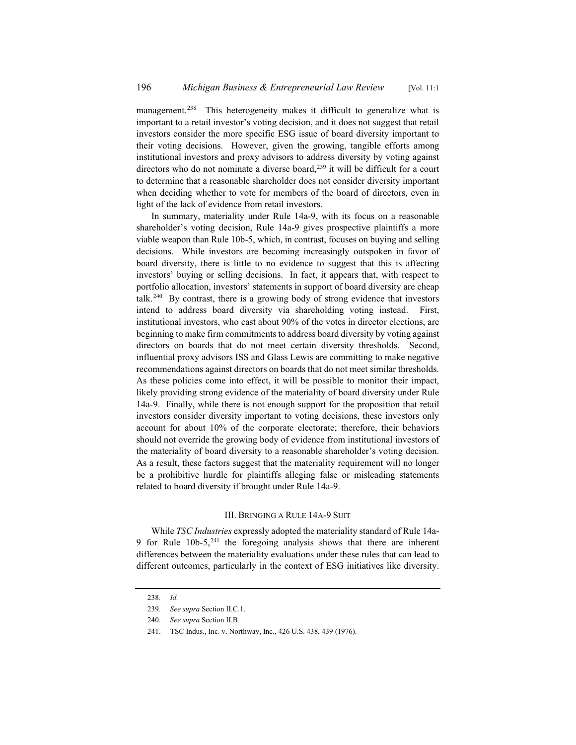management.<sup>238</sup> This heterogeneity makes it difficult to generalize what is important to a retail investor's voting decision, and it does not suggest that retail investors consider the more specific ESG issue of board diversity important to their voting decisions. However, given the growing, tangible efforts among institutional investors and proxy advisors to address diversity by voting against directors who do not nominate a diverse board, $239$  it will be difficult for a court to determine that a reasonable shareholder does not consider diversity important when deciding whether to vote for members of the board of directors, even in light of the lack of evidence from retail investors.

In summary, materiality under Rule 14a-9, with its focus on a reasonable shareholder's voting decision, Rule 14a-9 gives prospective plaintiffs a more viable weapon than Rule 10b-5, which, in contrast, focuses on buying and selling decisions. While investors are becoming increasingly outspoken in favor of board diversity, there is little to no evidence to suggest that this is affecting investors' buying or selling decisions. In fact, it appears that, with respect to portfolio allocation, investors' statements in support of board diversity are cheap talk.<sup>240</sup> By contrast, there is a growing body of strong evidence that investors intend to address board diversity via shareholding voting instead. First, institutional investors, who cast about 90% of the votes in director elections, are beginning to make firm commitments to address board diversity by voting against directors on boards that do not meet certain diversity thresholds. Second, influential proxy advisors ISS and Glass Lewis are committing to make negative recommendations against directors on boards that do not meet similar thresholds. As these policies come into effect, it will be possible to monitor their impact, likely providing strong evidence of the materiality of board diversity under Rule 14a-9. Finally, while there is not enough support for the proposition that retail investors consider diversity important to voting decisions, these investors only account for about 10% of the corporate electorate; therefore, their behaviors should not override the growing body of evidence from institutional investors of the materiality of board diversity to a reasonable shareholder's voting decision. As a result, these factors suggest that the materiality requirement will no longer be a prohibitive hurdle for plaintiffs alleging false or misleading statements related to board diversity if brought under Rule 14a-9.

#### III. BRINGING A RULE 14A-9 SUIT

While *TSC Industries* expressly adopted the materiality standard of Rule 14a-9 for Rule  $10b-5$ ,  $241$  the foregoing analysis shows that there are inherent differences between the materiality evaluations under these rules that can lead to different outcomes, particularly in the context of ESG initiatives like diversity.

<sup>238</sup>*. Id.*

<sup>239</sup>*. See supra* Section II.C.1.

<sup>240</sup>*. See supra* Section II.B.

<sup>241.</sup> TSC Indus., Inc. v. Northway, Inc., 426 U.S. 438, 439 (1976).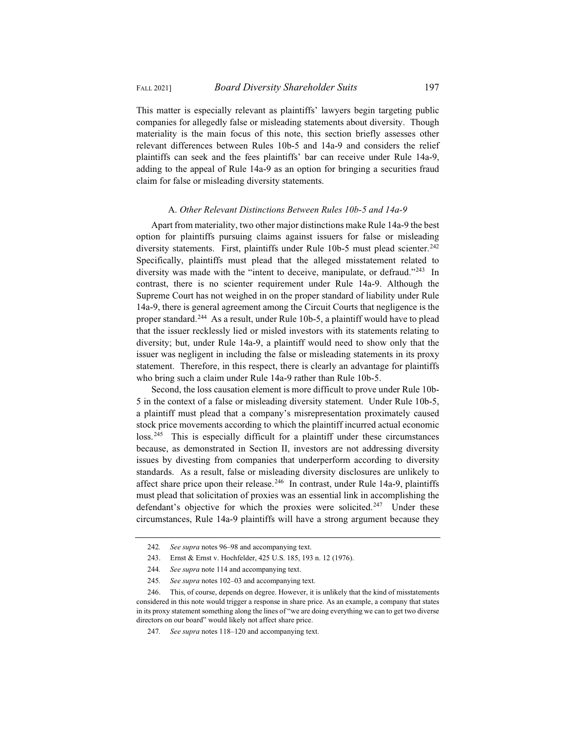This matter is especially relevant as plaintiffs' lawyers begin targeting public companies for allegedly false or misleading statements about diversity. Though materiality is the main focus of this note, this section briefly assesses other relevant differences between Rules 10b-5 and 14a-9 and considers the relief plaintiffs can seek and the fees plaintiffs' bar can receive under Rule 14a-9, adding to the appeal of Rule 14a-9 as an option for bringing a securities fraud claim for false or misleading diversity statements.

#### A. *Other Relevant Distinctions Between Rules 10b-5 and 14a-9*

Apart from materiality, two other major distinctions make Rule 14a-9 the best option for plaintiffs pursuing claims against issuers for false or misleading diversity statements. First, plaintiffs under Rule 10b-5 must plead scienter.<sup>242</sup> Specifically, plaintiffs must plead that the alleged misstatement related to diversity was made with the "intent to deceive, manipulate, or defraud."<sup>243</sup> In contrast, there is no scienter requirement under Rule 14a-9. Although the Supreme Court has not weighed in on the proper standard of liability under Rule 14a-9, there is general agreement among the Circuit Courts that negligence is the proper standard.<sup>244</sup> As a result, under Rule 10b-5, a plaintiff would have to plead that the issuer recklessly lied or misled investors with its statements relating to diversity; but, under Rule 14a-9, a plaintiff would need to show only that the issuer was negligent in including the false or misleading statements in its proxy statement. Therefore, in this respect, there is clearly an advantage for plaintiffs who bring such a claim under Rule 14a-9 rather than Rule 10b-5.

Second, the loss causation element is more difficult to prove under Rule 10b-5 in the context of a false or misleading diversity statement. Under Rule 10b-5, a plaintiff must plead that a company's misrepresentation proximately caused stock price movements according to which the plaintiff incurred actual economic loss.<sup>245</sup> This is especially difficult for a plaintiff under these circumstances because, as demonstrated in Section II, investors are not addressing diversity issues by divesting from companies that underperform according to diversity standards. As a result, false or misleading diversity disclosures are unlikely to affect share price upon their release.<sup>246</sup> In contrast, under Rule 14a-9, plaintiffs must plead that solicitation of proxies was an essential link in accomplishing the defendant's objective for which the proxies were solicited.<sup>247</sup> Under these circumstances, Rule 14a-9 plaintiffs will have a strong argument because they

<sup>242</sup>*. See supra* notes 96–98 and accompanying text.

<sup>243.</sup> Ernst & Ernst v. Hochfelder, 425 U.S. 185, 193 n. 12 (1976).

<sup>244</sup>*. See supra* note 114 and accompanying text.

<sup>245</sup>*. See supra* notes 102–03 and accompanying text.

<sup>246.</sup> This, of course, depends on degree. However, it is unlikely that the kind of misstatements considered in this note would trigger a response in share price. As an example, a company that states in its proxy statement something along the lines of "we are doing everything we can to get two diverse directors on our board" would likely not affect share price.

<sup>247</sup>*. See supra* notes 118–120 and accompanying text.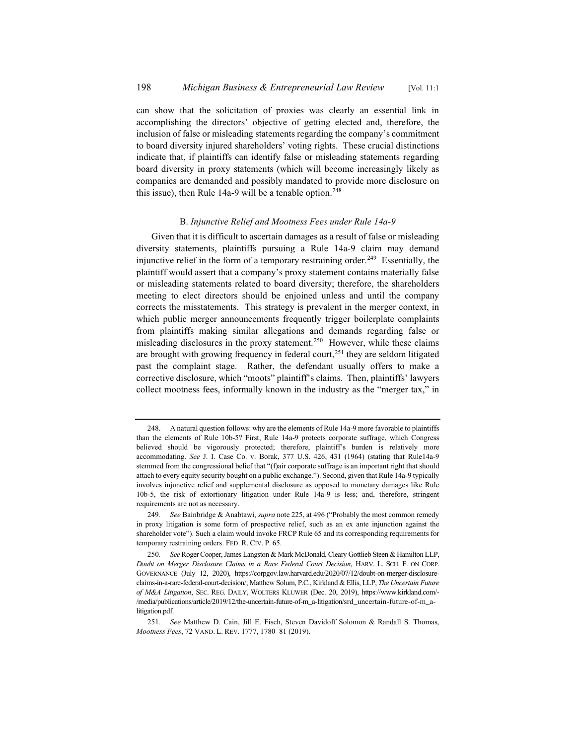can show that the solicitation of proxies was clearly an essential link in accomplishing the directors' objective of getting elected and, therefore, the inclusion of false or misleading statements regarding the company's commitment to board diversity injured shareholders' voting rights. These crucial distinctions indicate that, if plaintiffs can identify false or misleading statements regarding board diversity in proxy statements (which will become increasingly likely as companies are demanded and possibly mandated to provide more disclosure on this issue), then Rule 14a-9 will be a tenable option.<sup>248</sup>

# B. *Injunctive Relief and Mootness Fees under Rule 14a-9*

Given that it is difficult to ascertain damages as a result of false or misleading diversity statements, plaintiffs pursuing a Rule 14a-9 claim may demand injunctive relief in the form of a temporary restraining order.<sup>249</sup> Essentially, the plaintiff would assert that a company's proxy statement contains materially false or misleading statements related to board diversity; therefore, the shareholders meeting to elect directors should be enjoined unless and until the company corrects the misstatements. This strategy is prevalent in the merger context, in which public merger announcements frequently trigger boilerplate complaints from plaintiffs making similar allegations and demands regarding false or misleading disclosures in the proxy statement.<sup>250</sup> However, while these claims are brought with growing frequency in federal court,<sup>251</sup> they are seldom litigated past the complaint stage. Rather, the defendant usually offers to make a corrective disclosure, which "moots" plaintiff's claims. Then, plaintiffs' lawyers collect mootness fees, informally known in the industry as the "merger tax," in

<sup>248.</sup> A natural question follows: why are the elements of Rule 14a-9 more favorable to plaintiffs than the elements of Rule 10b-5? First, Rule 14a-9 protects corporate suffrage, which Congress believed should be vigorously protected; therefore, plaintiff's burden is relatively more accommodating. *See* J. I. Case Co. v. Borak, 377 U.S. 426, 431 (1964) (stating that Rule14a-9 stemmed from the congressional belief that "(f)air corporate suffrage is an important right that should attach to every equity security bought on a public exchange."). Second, given that Rule 14a-9 typically involves injunctive relief and supplemental disclosure as opposed to monetary damages like Rule 10b-5, the risk of extortionary litigation under Rule 14a-9 is less; and, therefore, stringent requirements are not as necessary.

<sup>249</sup>*. See* Bainbridge & Anabtawi, *supra* note 225, at 496 ("Probably the most common remedy in proxy litigation is some form of prospective relief, such as an ex ante injunction against the shareholder vote"). Such a claim would invoke FRCP Rule 65 and its corresponding requirements for temporary restraining orders. FED. R. CIV. P. 65.

<sup>250</sup>*. See* Roger Cooper, James Langston & Mark McDonald, Cleary Gottlieb Steen & Hamilton LLP, *Doubt on Merger Disclosure Claims in a Rare Federal Court Decision*, HARV. L. SCH. F. ON CORP. GOVERNANCE (July 12, 2020), https://corpgov.law.harvard.edu/2020/07/12/doubt-on-merger-disclosureclaims-in-a-rare-federal-court-decision/; Matthew Solum, P.C., Kirkland & Ellis, LLP, *The Uncertain Future of M&A Litigation*, SEC. REG. DAILY, WOLTERS KLUWER (Dec. 20, 2019), https://www.kirkland.com/- /media/publications/article/2019/12/the-uncertain-future-of-m\_a-litigation/srd\_uncertain-future-of-m\_alitigation.pdf.

<sup>251</sup>*. See* Matthew D. Cain, Jill E. Fisch, Steven Davidoff Solomon & Randall S. Thomas, *Mootness Fees*, 72 VAND. L. REV. 1777, 1780–81 (2019).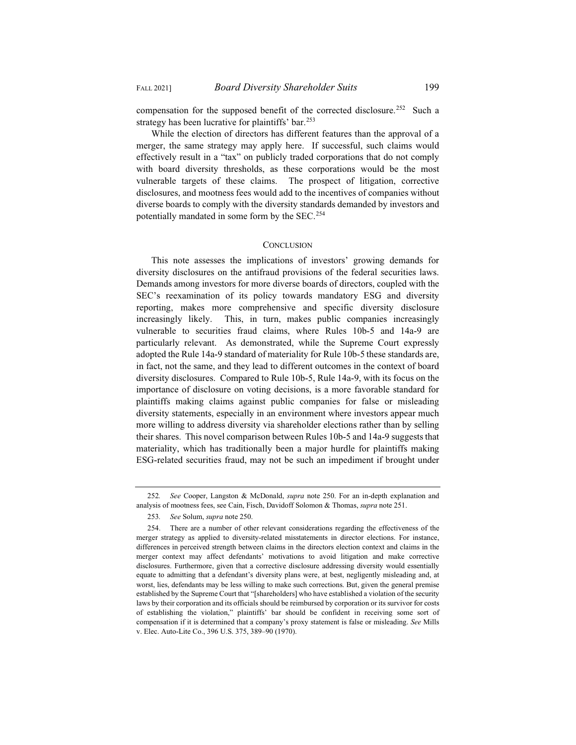compensation for the supposed benefit of the corrected disclosure.<sup>252</sup> Such a strategy has been lucrative for plaintiffs' bar.<sup>253</sup>

While the election of directors has different features than the approval of a merger, the same strategy may apply here. If successful, such claims would effectively result in a "tax" on publicly traded corporations that do not comply with board diversity thresholds, as these corporations would be the most vulnerable targets of these claims. The prospect of litigation, corrective disclosures, and mootness fees would add to the incentives of companies without diverse boards to comply with the diversity standards demanded by investors and potentially mandated in some form by the SEC.254

#### **CONCLUSION**

This note assesses the implications of investors' growing demands for diversity disclosures on the antifraud provisions of the federal securities laws. Demands among investors for more diverse boards of directors, coupled with the SEC's reexamination of its policy towards mandatory ESG and diversity reporting, makes more comprehensive and specific diversity disclosure increasingly likely. This, in turn, makes public companies increasingly vulnerable to securities fraud claims, where Rules 10b-5 and 14a-9 are particularly relevant. As demonstrated, while the Supreme Court expressly adopted the Rule 14a-9 standard of materiality for Rule 10b-5 these standards are, in fact, not the same, and they lead to different outcomes in the context of board diversity disclosures. Compared to Rule 10b-5, Rule 14a-9, with its focus on the importance of disclosure on voting decisions, is a more favorable standard for plaintiffs making claims against public companies for false or misleading diversity statements, especially in an environment where investors appear much more willing to address diversity via shareholder elections rather than by selling their shares. This novel comparison between Rules 10b-5 and 14a-9 suggests that materiality, which has traditionally been a major hurdle for plaintiffs making ESG-related securities fraud, may not be such an impediment if brought under

<sup>252</sup>*. See* Cooper, Langston & McDonald, *supra* note 250. For an in-depth explanation and analysis of mootness fees, see Cain, Fisch, Davidoff Solomon & Thomas, *supra* note 251.

<sup>253</sup>*. See* Solum, *supra* note 250.

<sup>254.</sup> There are a number of other relevant considerations regarding the effectiveness of the merger strategy as applied to diversity-related misstatements in director elections. For instance, differences in perceived strength between claims in the directors election context and claims in the merger context may affect defendants' motivations to avoid litigation and make corrective disclosures. Furthermore, given that a corrective disclosure addressing diversity would essentially equate to admitting that a defendant's diversity plans were, at best, negligently misleading and, at worst, lies, defendants may be less willing to make such corrections. But, given the general premise established by the Supreme Court that "[shareholders] who have established a violation of the security laws by their corporation and its officials should be reimbursed by corporation or its survivor for costs of establishing the violation," plaintiffs' bar should be confident in receiving some sort of compensation if it is determined that a company's proxy statement is false or misleading. *See* Mills v. Elec. Auto-Lite Co., 396 U.S. 375, 389–90 (1970).